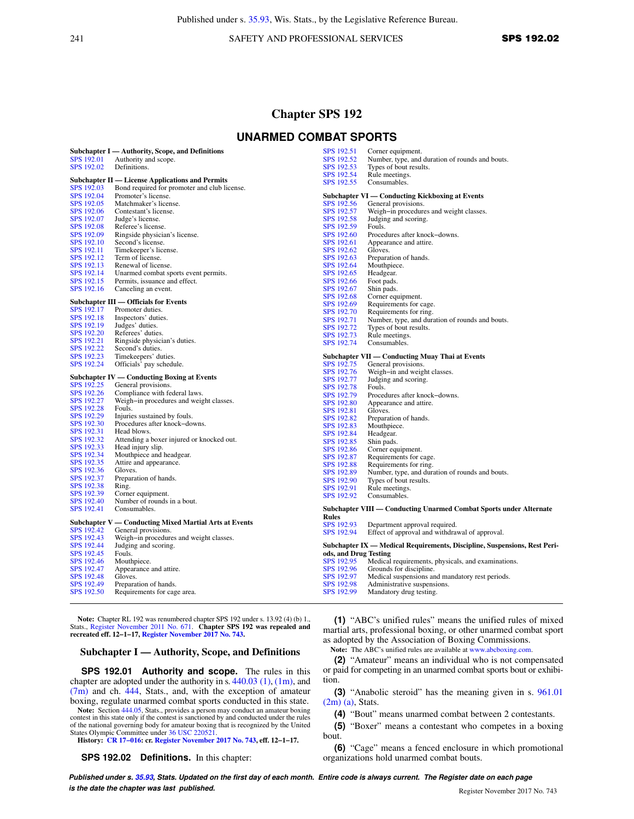241 SAFETY AND PROFESSIONAL SERVICES **SPS 192.02** 

# **Chapter SPS 192**

# **UNARMED COMBAT SPORTS**

|            | Subchapter I — Authority, Scope, and Definitions       | SPS 192.51            | Corner equipment.                                                         |
|------------|--------------------------------------------------------|-----------------------|---------------------------------------------------------------------------|
| SPS 192.01 | Authority and scope.                                   | SPS 192.52            | Number, type, and duration of rounds and bouts.                           |
| SPS 192.02 | Definitions.                                           | SPS 192.53            | Types of bout results.                                                    |
|            |                                                        | SPS 192.54            | Rule meetings.                                                            |
|            | Subchapter II — License Applications and Permits       | SPS 192.55            | Consumables.                                                              |
| SPS 192.03 | Bond required for promoter and club license.           |                       |                                                                           |
| SPS 192.04 | Promoter's license.                                    |                       | Subchapter VI — Conducting Kickboxing at Events                           |
| SPS 192.05 | Matchmaker's license.                                  | SPS 192.56            | General provisions.                                                       |
| SPS 192.06 | Contestant's license.                                  | SPS 192.57            | Weigh-in procedures and weight classes.                                   |
| SPS 192.07 | Judge's license.                                       | SPS 192.58            | Judging and scoring.                                                      |
| SPS 192.08 | Referee's license.                                     | SPS 192.59            | Fouls.                                                                    |
| SPS 192.09 | Ringside physician's license.                          | SPS 192.60            | Procedures after knock-downs.                                             |
| SPS 192.10 | Second's license.                                      | SPS 192.61            | Appearance and attire.                                                    |
| SPS 192.11 | Timekeeper's license.                                  | SPS 192.62            | Gloves.                                                                   |
| SPS 192.12 | Term of license.                                       | SPS 192.63            | Preparation of hands.                                                     |
| SPS 192.13 | Renewal of license.                                    | SPS 192.64            | Mouthpiece.                                                               |
| SPS 192.14 | Unarmed combat sports event permits.                   | SPS 192.65            | Headgear.                                                                 |
| SPS 192.15 | Permits, issuance and effect.                          | SPS 192.66            | Foot pads.                                                                |
|            |                                                        |                       |                                                                           |
| SPS 192.16 | Canceling an event.                                    | SPS 192.67            | Shin pads.                                                                |
|            | Subchapter III — Officials for Events                  | SPS 192.68            | Corner equipment.                                                         |
| SPS 192.17 | Promoter duties.                                       | SPS 192.69            | Requirements for cage.                                                    |
| SPS 192.18 | Inspectors' duties.                                    | SPS 192.70            | Requirements for ring.                                                    |
| SPS 192.19 | Judges' duties.                                        | SPS 192.71            | Number, type, and duration of rounds and bouts.                           |
| SPS 192.20 | Referees' duties.                                      | SPS 192.72            | Types of bout results.                                                    |
|            |                                                        | SPS 192.73            | Rule meetings.                                                            |
| SPS 192.21 | Ringside physician's duties.                           | SPS 192.74            | Consumables.                                                              |
| SPS 192.22 | Second's duties.                                       |                       |                                                                           |
| SPS 192.23 | Timekeepers' duties.                                   |                       | Subchapter VII — Conducting Muay Thai at Events                           |
| SPS 192.24 | Officials' pay schedule.                               | SPS 192.75            | General provisions.                                                       |
|            |                                                        | SPS 192.76            | Weigh-in and weight classes.                                              |
|            | Subchapter IV — Conducting Boxing at Events            | SPS 192.77            | Judging and scoring.                                                      |
| SPS 192.25 | General provisions.                                    | SPS 192.78            | Fouls.                                                                    |
| SPS 192.26 | Compliance with federal laws.                          | SPS 192.79            | Procedures after knock-downs.                                             |
| SPS 192.27 | Weigh-in procedures and weight classes.                | SPS 192.80            | Appearance and attire.                                                    |
| SPS 192.28 | Fouls.                                                 | SPS 192.81            | Gloves.                                                                   |
| SPS 192.29 | Injuries sustained by fouls.                           | SPS 192.82            | Preparation of hands.                                                     |
| SPS 192.30 | Procedures after knock-downs.                          | SPS 192.83            | Mouthpiece.                                                               |
| SPS 192.31 | Head blows.                                            | SPS 192.84            | Headgear.                                                                 |
| SPS 192.32 | Attending a boxer injured or knocked out.              | SPS 192.85            | Shin pads.                                                                |
| SPS 192.33 | Head injury slip.                                      | SPS 192.86            | Corner equipment.                                                         |
| SPS 192.34 | Mouthpiece and headgear.                               | SPS 192.87            | Requirements for cage.                                                    |
| SPS 192.35 | Attire and appearance.                                 | SPS 192.88            | Requirements for ring.                                                    |
| SPS 192.36 | Gloves.                                                | SPS 192.89            | Number, type, and duration of rounds and bouts.                           |
| SPS 192.37 | Preparation of hands.                                  | SPS 192.90            | Types of bout results.                                                    |
| SPS 192.38 | Ring.                                                  | SPS 192.91            | Rule meetings.                                                            |
| SPS 192.39 | Corner equipment.                                      | SPS 192.92            | Consumables.                                                              |
| SPS 192.40 | Number of rounds in a bout.                            |                       |                                                                           |
| SPS 192.41 | Consumables.                                           |                       | Subchapter VIII — Conducting Unarmed Combat Sports under Alternate        |
|            |                                                        | <b>Rules</b>          |                                                                           |
|            | Subchapter V — Conducting Mixed Martial Arts at Events | SPS 192.93            | Department approval required.                                             |
| SPS 192.42 | General provisions.                                    | SPS 192.94            | Effect of approval and withdrawal of approval.                            |
| SPS 192.43 | Weigh-in procedures and weight classes.                |                       |                                                                           |
| SPS 192.44 | Judging and scoring.                                   |                       | Subchapter IX — Medical Requirements, Discipline, Suspensions, Rest Peri- |
| SPS 192.45 | Fouls.                                                 | ods, and Drug Testing |                                                                           |
| SPS 192.46 | Mouthpiece.                                            | SPS 192.95            | Medical requirements, physicals, and examinations.                        |
| SPS 192.47 | Appearance and attire.                                 | SPS 192.96            | Grounds for discipline.                                                   |
| SPS 192.48 | Gloves.                                                | SPS 192.97            | Medical suspensions and mandatory rest periods.                           |
| SPS 192.49 | Preparation of hands.                                  | SPS 192.98            | Administrative suspensions.                                               |
| SPS 192.50 | Requirements for cage area.                            | SPS 192.99            | Mandatory drug testing.                                                   |
|            |                                                        |                       |                                                                           |
|            |                                                        |                       |                                                                           |

Note: Chapter RL 192 was renumbered chapter SPS 192 under s. 13.92 (4) (b) 1., Stats., [Register November 2011 No. 671](https://docs.legis.wisconsin.gov/document/register/671/B/toc). Chapter SPS 192 was repealed and recreated eff. 12–1–17, [Register November 2017 No. 743.](https://docs.legis.wisconsin.gov/document/register/743/B/toc)

#### **Subchapter I — Authority, Scope, and Definitions**

**SPS 192.01 Authority and scope.** The rules in this chapter are adopted under the authority in s. [440.03 \(1\)](https://docs.legis.wisconsin.gov/document/statutes/440.03(1)), [\(1m\),](https://docs.legis.wisconsin.gov/document/statutes/440.03(1m)) and  $(7m)$  and ch.  $444$ , Stats., and, with the exception of amateur boxing, regulate unarmed combat sports conducted in this state.

Note: Section [444.05,](https://docs.legis.wisconsin.gov/document/statutes/444.05) Stats., provides a person may conduct an amateur boxing contest in this state only if the contest is sanctioned by and conducted under the rules of the national governing body for amateur boxing that is recognized by the United

States Olympic Committee under [36 USC 220521](https://docs.legis.wisconsin.gov/document/usc/36%20USC%20220521). **History: [CR 17−016](https://docs.legis.wisconsin.gov/document/cr/2017/16): cr. [Register November 2017 No. 743](https://docs.legis.wisconsin.gov/document/register/743/B/toc), eff. 12−1−17.**

**SPS 192.02 Definitions.** In this chapter:

**(1)** "ABC's unified rules" means the unified rules of mixed martial arts, professional boxing, or other unarmed combat sport as adopted by the Association of Boxing Commissions.

**Note:** The ABC's unified rules are available at [www.abcboxing.com](http://www.abcboxing.com).

**(2)** "Amateur" means an individual who is not compensated or paid for competing in an unarmed combat sports bout or exhibition.

**(3)** "Anabolic steroid" has the meaning given in s. [961.01](https://docs.legis.wisconsin.gov/document/statutes/961.01(2m)(a))  $(2m)$  (a), Stats.

**(4)** "Bout" means unarmed combat between 2 contestants.

**(5)** "Boxer" means a contestant who competes in a boxing bout.

**(6)** "Cage" means a fenced enclosure in which promotional organizations hold unarmed combat bouts.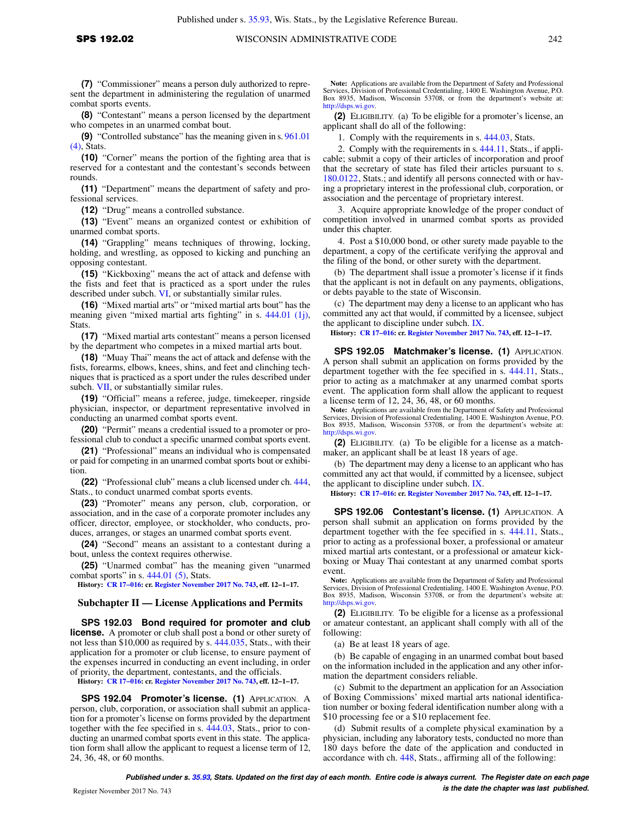**(8)** "Contestant" means a person licensed by the department who competes in an unarmed combat bout.

**(9)** "Controlled substance" has the meaning given in s. [961.01](https://docs.legis.wisconsin.gov/document/statutes/961.01(4)) [\(4\)](https://docs.legis.wisconsin.gov/document/statutes/961.01(4)), Stats.

**(10)** "Corner" means the portion of the fighting area that is reserved for a contestant and the contestant's seconds between rounds.

**(11)** "Department" means the department of safety and professional services.

**(12)** "Drug" means a controlled substance.

**(13)** "Event" means an organized contest or exhibition of unarmed combat sports.

**(14)** "Grappling" means techniques of throwing, locking, holding, and wrestling, as opposed to kicking and punching an opposing contestant.

**(15)** "Kickboxing" means the act of attack and defense with the fists and feet that is practiced as a sport under the rules described under subch. [VI,](https://docs.legis.wisconsin.gov/document/administrativecode/subch.%20VI%20of%20ch.%20SPS%20192) or substantially similar rules.

**(16)** "Mixed martial arts" or "mixed martial arts bout" has the meaning given "mixed martial arts fighting" in s. [444.01 \(1j\),](https://docs.legis.wisconsin.gov/document/statutes/444.01(1j)) Stats.

**(17)** "Mixed martial arts contestant" means a person licensed by the department who competes in a mixed martial arts bout.

**(18)** "Muay Thai" means the act of attack and defense with the fists, forearms, elbows, knees, shins, and feet and clinching techniques that is practiced as a sport under the rules described under subch. [VII,](https://docs.legis.wisconsin.gov/document/administrativecode/subch.%20VII%20of%20ch.%20SPS%20192) or substantially similar rules.

**(19)** "Official" means a referee, judge, timekeeper, ringside physician, inspector, or department representative involved in conducting an unarmed combat sports event.

**(20)** "Permit" means a credential issued to a promoter or professional club to conduct a specific unarmed combat sports event.

**(21)** "Professional" means an individual who is compensated or paid for competing in an unarmed combat sports bout or exhibition.

**(22)** "Professional club" means a club licensed under ch. [444,](https://docs.legis.wisconsin.gov/document/statutes/ch.%20444) Stats., to conduct unarmed combat sports events.

**(23)** "Promoter" means any person, club, corporation, or association, and in the case of a corporate promoter includes any officer, director, employee, or stockholder, who conducts, produces, arranges, or stages an unarmed combat sports event.

**(24)** "Second" means an assistant to a contestant during a bout, unless the context requires otherwise.

**(25)** "Unarmed combat" has the meaning given "unarmed combat sports" in s. [444.01 \(5\),](https://docs.legis.wisconsin.gov/document/statutes/444.01(5)) Stats.

**History: [CR 17−016](https://docs.legis.wisconsin.gov/document/cr/2017/16): cr. [Register November 2017 No. 743](https://docs.legis.wisconsin.gov/document/register/743/B/toc), eff. 12−1−17.**

### **Subchapter II — License Applications and Permits**

**SPS 192.03 Bond required for promoter and club license.** A promoter or club shall post a bond or other surety of not less than \$10,000 as required by s. [444.035,](https://docs.legis.wisconsin.gov/document/statutes/444.035) Stats., with their application for a promoter or club license, to ensure payment of the expenses incurred in conducting an event including, in order of priority, the department, contestants, and the officials.

**History: [CR 17−016](https://docs.legis.wisconsin.gov/document/cr/2017/16): cr. [Register November 2017 No. 743](https://docs.legis.wisconsin.gov/document/register/743/B/toc), eff. 12−1−17.**

**SPS 192.04 Promoter's license. (1)** APPLICATION. A person, club, corporation, or association shall submit an application for a promoter's license on forms provided by the department together with the fee specified in s. [444.03](https://docs.legis.wisconsin.gov/document/statutes/444.03), Stats., prior to conducting an unarmed combat sports event in this state. The application form shall allow the applicant to request a license term of 12, 24, 36, 48, or 60 months.

**Note:** Applications are available from the Department of Safety and Professional Services, Division of Professional Credentialing, 1400 E. Washington Avenue, P.O. Box 8935, Madison, Wisconsin 53708, or from the department's website at: [http://dsps.wi.gov.](http://dsps.wi.gov)

**(2)** ELIGIBILITY. (a) To be eligible for a promoter's license, an applicant shall do all of the following:

1. Comply with the requirements in s. [444.03,](https://docs.legis.wisconsin.gov/document/statutes/444.03) Stats.

2. Comply with the requirements in s. [444.11](https://docs.legis.wisconsin.gov/document/statutes/444.11), Stats., if applicable; submit a copy of their articles of incorporation and proof that the secretary of state has filed their articles pursuant to s. [180.0122](https://docs.legis.wisconsin.gov/document/statutes/180.0122), Stats.; and identify all persons connected with or having a proprietary interest in the professional club, corporation, or association and the percentage of proprietary interest.

3. Acquire appropriate knowledge of the proper conduct of competition involved in unarmed combat sports as provided under this chapter.

4. Post a \$10,000 bond, or other surety made payable to the department, a copy of the certificate verifying the approval and the filing of the bond, or other surety with the department.

(b) The department shall issue a promoter's license if it finds that the applicant is not in default on any payments, obligations, or debts payable to the state of Wisconsin.

(c) The department may deny a license to an applicant who has committed any act that would, if committed by a licensee, subject the applicant to discipline under subch. [IX.](https://docs.legis.wisconsin.gov/document/administrativecode/subch.%20IX%20of%20ch.%20SPS%20192)

**History: [CR 17−016:](https://docs.legis.wisconsin.gov/document/cr/2017/16) cr. [Register November 2017 No. 743,](https://docs.legis.wisconsin.gov/document/register/743/B/toc) eff. 12−1−17.**

**SPS 192.05 Matchmaker's license. (1)** APPLICATION. A person shall submit an application on forms provided by the department together with the fee specified in s. [444.11,](https://docs.legis.wisconsin.gov/document/statutes/444.11) Stats., prior to acting as a matchmaker at any unarmed combat sports event. The application form shall allow the applicant to request a license term of 12, 24, 36, 48, or 60 months.

**Note:** Applications are available from the Department of Safety and Professional Services, Division of Professional Credentialing, 1400 E. Washington Avenue, P.O. Box 8935, Madison, Wisconsin 53708, or from the department's website at: [http://dsps.wi.gov.](http://dsps.wi.gov)

**(2)** ELIGIBILITY. (a) To be eligible for a license as a matchmaker, an applicant shall be at least 18 years of age.

(b) The department may deny a license to an applicant who has committed any act that would, if committed by a licensee, subject the applicant to discipline under subch. [IX.](https://docs.legis.wisconsin.gov/document/administrativecode/subch.%20IX%20of%20ch.%20SPS%20192)

**History: [CR 17−016:](https://docs.legis.wisconsin.gov/document/cr/2017/16) cr. [Register November 2017 No. 743,](https://docs.legis.wisconsin.gov/document/register/743/B/toc) eff. 12−1−17.**

**SPS 192.06 Contestant's license. (1)** APPLICATION. A person shall submit an application on forms provided by the department together with the fee specified in s. [444.11,](https://docs.legis.wisconsin.gov/document/statutes/444.11) Stats., prior to acting as a professional boxer, a professional or amateur mixed martial arts contestant, or a professional or amateur kickboxing or Muay Thai contestant at any unarmed combat sports event.

**Note:** Applications are available from the Department of Safety and Professional Services, Division of Professional Credentialing, 1400 E. Washington Avenue, P.O. Box 8935, Madison, Wisconsin 53708, or from the department's website at: [http://dsps.wi.gov.](http://dsps.wi.gov)

**(2)** ELIGIBILITY. To be eligible for a license as a professional or amateur contestant, an applicant shall comply with all of the following:

(a) Be at least 18 years of age.

(b) Be capable of engaging in an unarmed combat bout based on the information included in the application and any other information the department considers reliable.

(c) Submit to the department an application for an Association of Boxing Commissions' mixed martial arts national identification number or boxing federal identification number along with a \$10 processing fee or a \$10 replacement fee.

(d) Submit results of a complete physical examination by a physician, including any laboratory tests, conducted no more than 180 days before the date of the application and conducted in accordance with ch. [448](https://docs.legis.wisconsin.gov/document/statutes/ch.%20448), Stats., affirming all of the following: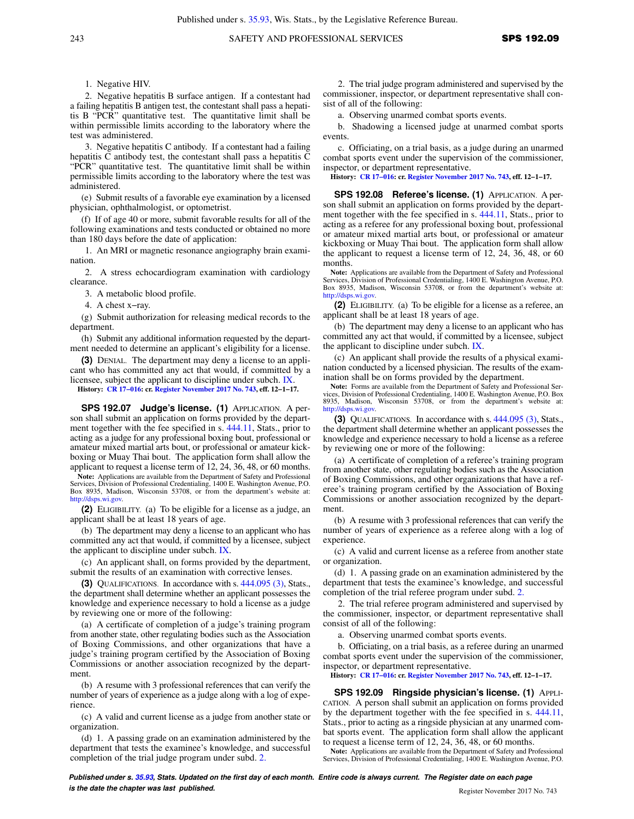1. Negative HIV.

2. Negative hepatitis B surface antigen. If a contestant had a failing hepatitis B antigen test, the contestant shall pass a hepatitis B "PCR" quantitative test. The quantitative limit shall be within permissible limits according to the laboratory where the test was administered.

3. Negative hepatitis C antibody. If a contestant had a failing hepatitis C antibody test, the contestant shall pass a hepatitis C "PCR" quantitative test. The quantitative limit shall be within permissible limits according to the laboratory where the test was administered.

(e) Submit results of a favorable eye examination by a licensed physician, ophthalmologist, or optometrist.

(f) If of age 40 or more, submit favorable results for all of the following examinations and tests conducted or obtained no more than 180 days before the date of application:

1. An MRI or magnetic resonance angiography brain examination.

2. A stress echocardiogram examination with cardiology clearance.

3. A metabolic blood profile.

4. A chest x−ray.

(g) Submit authorization for releasing medical records to the department.

(h) Submit any additional information requested by the department needed to determine an applicant's eligibility for a license.

**(3)** DENIAL. The department may deny a license to an applicant who has committed any act that would, if committed by a licensee, subject the applicant to discipline under subch. [IX.](https://docs.legis.wisconsin.gov/document/administrativecode/subch.%20IX%20of%20ch.%20SPS%20192)

**History: [CR 17−016](https://docs.legis.wisconsin.gov/document/cr/2017/16): cr. [Register November 2017 No. 743](https://docs.legis.wisconsin.gov/document/register/743/B/toc), eff. 12−1−17.**

**SPS 192.07 Judge's license. (1)** APPLICATION. A person shall submit an application on forms provided by the department together with the fee specified in s. [444.11,](https://docs.legis.wisconsin.gov/document/statutes/444.11) Stats., prior to acting as a judge for any professional boxing bout, professional or amateur mixed martial arts bout, or professional or amateur kickboxing or Muay Thai bout. The application form shall allow the applicant to request a license term of 12, 24, 36, 48, or 60 months.

**Note:** Applications are available from the Department of Safety and Professional Services, Division of Professional Credentialing, 1400 E. Washington Avenue, P.O. Box 8935, Madison, Wisconsin 53708, or from the department's website at: [http://dsps.wi.gov.](http://dsps.wi.gov)

**(2)** ELIGIBILITY. (a) To be eligible for a license as a judge, an applicant shall be at least 18 years of age.

(b) The department may deny a license to an applicant who has committed any act that would, if committed by a licensee, subject the applicant to discipline under subch. [IX](https://docs.legis.wisconsin.gov/document/administrativecode/subch.%20IX%20of%20ch.%20SPS%20192).

(c) An applicant shall, on forms provided by the department, submit the results of an examination with corrective lenses.

**(3)** QUALIFICATIONS. In accordance with s. [444.095 \(3\)](https://docs.legis.wisconsin.gov/document/statutes/444.095(3)), Stats., the department shall determine whether an applicant possesses the knowledge and experience necessary to hold a license as a judge by reviewing one or more of the following:

(a) A certificate of completion of a judge's training program from another state, other regulating bodies such as the Association of Boxing Commissions, and other organizations that have a judge's training program certified by the Association of Boxing Commissions or another association recognized by the department.

(b) A resume with 3 professional references that can verify the number of years of experience as a judge along with a log of experience.

(c) A valid and current license as a judge from another state or organization.

(d) 1. A passing grade on an examination administered by the department that tests the examinee's knowledge, and successful completion of the trial judge program under subd. [2.](https://docs.legis.wisconsin.gov/document/administrativecode/SPS%20192.07(3)(d)2.)

2. The trial judge program administered and supervised by the commissioner, inspector, or department representative shall consist of all of the following:

a. Observing unarmed combat sports events.

b. Shadowing a licensed judge at unarmed combat sports events.

c. Officiating, on a trial basis, as a judge during an unarmed combat sports event under the supervision of the commissioner, inspector, or department representative.

**History: [CR 17−016:](https://docs.legis.wisconsin.gov/document/cr/2017/16) cr. [Register November 2017 No. 743,](https://docs.legis.wisconsin.gov/document/register/743/B/toc) eff. 12−1−17.**

**SPS 192.08 Referee's license. (1)** APPLICATION. A person shall submit an application on forms provided by the department together with the fee specified in s. [444.11,](https://docs.legis.wisconsin.gov/document/statutes/444.11) Stats., prior to acting as a referee for any professional boxing bout, professional or amateur mixed martial arts bout, or professional or amateur kickboxing or Muay Thai bout. The application form shall allow the applicant to request a license term of 12, 24, 36, 48, or 60 months.

**Note:** Applications are available from the Department of Safety and Professional Services, Division of Professional Credentialing, 1400 E. Washington Avenue, P.O. Box 8935, Madison, Wisconsin 53708, or from the department's website at: [http://dsps.wi.gov.](http://dsps.wi.gov)

**(2)** ELIGIBILITY. (a) To be eligible for a license as a referee, an applicant shall be at least 18 years of age.

(b) The department may deny a license to an applicant who has committed any act that would, if committed by a licensee, subject the applicant to discipline under subch. [IX.](https://docs.legis.wisconsin.gov/document/administrativecode/subch.%20IX%20of%20ch.%20SPS%20192)

(c) An applicant shall provide the results of a physical examination conducted by a licensed physician. The results of the examination shall be on forms provided by the department.

Note: Forms are available from the Department of Safety and Professional Services, Division of Professional Credentialing, 1400 E. Washington Avenue, P.O. Box 8935, Madison, Wisconsin 53708, or from the department's websit [http://dsps.wi.gov.](http://dsps.wi.gov)

**(3)** QUALIFICATIONS. In accordance with s. [444.095 \(3\)](https://docs.legis.wisconsin.gov/document/statutes/444.095(3)), Stats., the department shall determine whether an applicant possesses the knowledge and experience necessary to hold a license as a referee by reviewing one or more of the following:

(a) A certificate of completion of a referee's training program from another state, other regulating bodies such as the Association of Boxing Commissions, and other organizations that have a referee's training program certified by the Association of Boxing Commissions or another association recognized by the department.

(b) A resume with 3 professional references that can verify the number of years of experience as a referee along with a log of experience.

(c) A valid and current license as a referee from another state or organization.

(d) 1. A passing grade on an examination administered by the department that tests the examinee's knowledge, and successful completion of the trial referee program under subd. [2.](https://docs.legis.wisconsin.gov/document/administrativecode/SPS%20192.08(3)(d)2.)

2. The trial referee program administered and supervised by the commissioner, inspector, or department representative shall consist of all of the following:

a. Observing unarmed combat sports events.

b. Officiating, on a trial basis, as a referee during an unarmed combat sports event under the supervision of the commissioner, inspector, or department representative.

**History: [CR 17−016:](https://docs.legis.wisconsin.gov/document/cr/2017/16) cr. [Register November 2017 No. 743,](https://docs.legis.wisconsin.gov/document/register/743/B/toc) eff. 12−1−17.**

**SPS 192.09 Ringside physician's license. (1)** APPLI-CATION. A person shall submit an application on forms provided by the department together with the fee specified in s. [444.11,](https://docs.legis.wisconsin.gov/document/statutes/444.11) Stats., prior to acting as a ringside physician at any unarmed combat sports event. The application form shall allow the applicant to request a license term of 12, 24, 36, 48, or 60 months.

**Note:** Applications are available from the Department of Safety and Professional Services, Division of Professional Credentialing, 1400 E. Washington Avenue, P.O.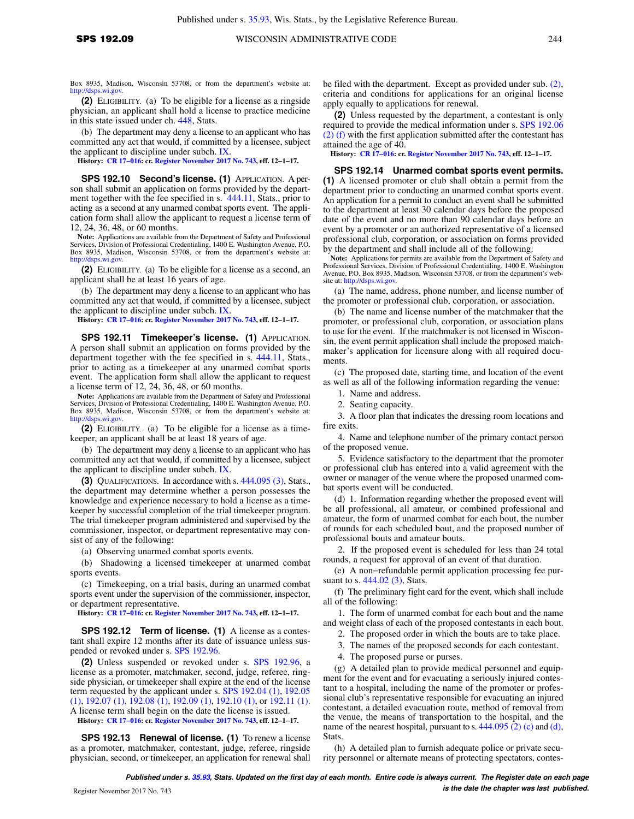Box 8935, Madison, Wisconsin 53708, or from the department's website at: [http://dsps.wi.gov.](http://dsps.wi.gov)

**(2)** ELIGIBILITY. (a) To be eligible for a license as a ringside physician, an applicant shall hold a license to practice medicine in this state issued under ch. [448,](https://docs.legis.wisconsin.gov/document/statutes/ch.%20448) Stats.

(b) The department may deny a license to an applicant who has committed any act that would, if committed by a licensee, subject the applicant to discipline under subch. [IX](https://docs.legis.wisconsin.gov/document/administrativecode/subch.%20IX%20of%20ch.%20SPS%20192).

**History: [CR 17−016](https://docs.legis.wisconsin.gov/document/cr/2017/16): cr. [Register November 2017 No. 743](https://docs.legis.wisconsin.gov/document/register/743/B/toc), eff. 12−1−17.**

**SPS 192.10 Second's license. (1)** APPLICATION. A person shall submit an application on forms provided by the department together with the fee specified in s. [444.11](https://docs.legis.wisconsin.gov/document/statutes/444.11), Stats., prior to acting as a second at any unarmed combat sports event. The application form shall allow the applicant to request a license term of 12, 24, 36, 48, or 60 months.

**Note:** Applications are available from the Department of Safety and Professional Services, Division of Professional Credentialing, 1400 E. Washington Avenue, P.O. Box 8935, Madison, Wisconsin 53708, or from the department's website at: [http://dsps.wi.gov.](http://dsps.wi.gov)

**(2)** ELIGIBILITY. (a) To be eligible for a license as a second, an applicant shall be at least 16 years of age.

(b) The department may deny a license to an applicant who has committed any act that would, if committed by a licensee, subject the applicant to discipline under subch. [IX](https://docs.legis.wisconsin.gov/document/administrativecode/subch.%20IX%20of%20ch.%20SPS%20192).

**History: [CR 17−016](https://docs.legis.wisconsin.gov/document/cr/2017/16): cr. [Register November 2017 No. 743](https://docs.legis.wisconsin.gov/document/register/743/B/toc), eff. 12−1−17.**

**SPS 192.11 Timekeeper's license. (1)** APPLICATION. A person shall submit an application on forms provided by the department together with the fee specified in s. [444.11](https://docs.legis.wisconsin.gov/document/statutes/444.11), Stats., prior to acting as a timekeeper at any unarmed combat sports event. The application form shall allow the applicant to request a license term of 12, 24, 36, 48, or 60 months.

**Note:** Applications are available from the Department of Safety and Professional Services, Division of Professional Credentialing, 1400 E. Washington Avenue, P.O. Box 8935, Madison, Wisconsin 53708, or from the department's website at: [http://dsps.wi.gov.](http://dsps.wi.gov)

**(2)** ELIGIBILITY. (a) To be eligible for a license as a timekeeper, an applicant shall be at least 18 years of age.

(b) The department may deny a license to an applicant who has committed any act that would, if committed by a licensee, subject the applicant to discipline under subch. [IX](https://docs.legis.wisconsin.gov/document/administrativecode/subch.%20IX%20of%20ch.%20SPS%20192).

**(3)** QUALIFICATIONS. In accordance with s. [444.095 \(3\)](https://docs.legis.wisconsin.gov/document/statutes/444.095(3)), Stats., the department may determine whether a person possesses the knowledge and experience necessary to hold a license as a timekeeper by successful completion of the trial timekeeper program. The trial timekeeper program administered and supervised by the commissioner, inspector, or department representative may consist of any of the following:

(a) Observing unarmed combat sports events.

(b) Shadowing a licensed timekeeper at unarmed combat sports events.

(c) Timekeeping, on a trial basis, during an unarmed combat sports event under the supervision of the commissioner, inspector, or department representative.

**History: [CR 17−016](https://docs.legis.wisconsin.gov/document/cr/2017/16): cr. [Register November 2017 No. 743](https://docs.legis.wisconsin.gov/document/register/743/B/toc), eff. 12−1−17.**

**SPS 192.12 Term of license. (1)** A license as a contestant shall expire 12 months after its date of issuance unless suspended or revoked under s. [SPS 192.96.](https://docs.legis.wisconsin.gov/document/administrativecode/SPS%20192.96)

**(2)** Unless suspended or revoked under s. [SPS 192.96](https://docs.legis.wisconsin.gov/document/administrativecode/SPS%20192.96), a license as a promoter, matchmaker, second, judge, referee, ringside physician, or timekeeper shall expire at the end of the license term requested by the applicant under s. [SPS 192.04 \(1\)](https://docs.legis.wisconsin.gov/document/administrativecode/SPS%20192.04(1)), [192.05](https://docs.legis.wisconsin.gov/document/administrativecode/SPS%20192.05(1)) [\(1\)](https://docs.legis.wisconsin.gov/document/administrativecode/SPS%20192.05(1)), [192.07 \(1\)](https://docs.legis.wisconsin.gov/document/administrativecode/SPS%20192.07(1)), [192.08 \(1\)](https://docs.legis.wisconsin.gov/document/administrativecode/SPS%20192.08(1)), [192.09 \(1\)](https://docs.legis.wisconsin.gov/document/administrativecode/SPS%20192.09(1)), [192.10 \(1\)](https://docs.legis.wisconsin.gov/document/administrativecode/SPS%20192.10(1)), or [192.11 \(1\).](https://docs.legis.wisconsin.gov/document/administrativecode/SPS%20192.11(1)) A license term shall begin on the date the license is issued.

**History: [CR 17−016](https://docs.legis.wisconsin.gov/document/cr/2017/16): cr. [Register November 2017 No. 743](https://docs.legis.wisconsin.gov/document/register/743/B/toc), eff. 12−1−17.**

**SPS 192.13 Renewal of license. (1)** To renew a license as a promoter, matchmaker, contestant, judge, referee, ringside physician, second, or timekeeper, an application for renewal shall be filed with the department. Except as provided under sub. [\(2\),](https://docs.legis.wisconsin.gov/document/administrativecode/SPS%20192.13(2)) criteria and conditions for applications for an original license apply equally to applications for renewal.

**(2)** Unless requested by the department, a contestant is only required to provide the medical information under s. [SPS 192.06](https://docs.legis.wisconsin.gov/document/administrativecode/SPS%20192.06(2)(f)) [\(2\) \(f\)](https://docs.legis.wisconsin.gov/document/administrativecode/SPS%20192.06(2)(f)) with the first application submitted after the contestant has attained the age of 40.

**History: [CR 17−016:](https://docs.legis.wisconsin.gov/document/cr/2017/16) cr. [Register November 2017 No. 743,](https://docs.legis.wisconsin.gov/document/register/743/B/toc) eff. 12−1−17.**

**SPS 192.14 Unarmed combat sports event permits. (1)** A licensed promoter or club shall obtain a permit from the department prior to conducting an unarmed combat sports event. An application for a permit to conduct an event shall be submitted to the department at least 30 calendar days before the proposed date of the event and no more than 90 calendar days before an event by a promoter or an authorized representative of a licensed professional club, corporation, or association on forms provided by the department and shall include all of the following:

**Note:** Applications for permits are available from the Department of Safety and Professional Services, Division of Professional Credentialing, 1400 E. Washington Avenue, P.O. Box 8935, Madison, Wisconsin 53708, or from the department's website at: [http://dsps.wi.gov.](http://dsps.wi.gov)

(a) The name, address, phone number, and license number of the promoter or professional club, corporation, or association.

(b) The name and license number of the matchmaker that the promoter, or professional club, corporation, or association plans to use for the event. If the matchmaker is not licensed in Wisconsin, the event permit application shall include the proposed matchmaker's application for licensure along with all required documents.

(c) The proposed date, starting time, and location of the event as well as all of the following information regarding the venue:

1. Name and address.

2. Seating capacity.

3. A floor plan that indicates the dressing room locations and fire exits.

4. Name and telephone number of the primary contact person of the proposed venue.

5. Evidence satisfactory to the department that the promoter or professional club has entered into a valid agreement with the owner or manager of the venue where the proposed unarmed combat sports event will be conducted.

(d) 1. Information regarding whether the proposed event will be all professional, all amateur, or combined professional and amateur, the form of unarmed combat for each bout, the number of rounds for each scheduled bout, and the proposed number of professional bouts and amateur bouts.

If the proposed event is scheduled for less than 24 total rounds, a request for approval of an event of that duration.

(e) A non−refundable permit application processing fee pur-suant to s. [444.02 \(3\),](https://docs.legis.wisconsin.gov/document/statutes/444.02(3)) Stats.

(f) The preliminary fight card for the event, which shall include all of the following:

1. The form of unarmed combat for each bout and the name and weight class of each of the proposed contestants in each bout.

2. The proposed order in which the bouts are to take place.

3. The names of the proposed seconds for each contestant.

4. The proposed purse or purses.

(g) A detailed plan to provide medical personnel and equipment for the event and for evacuating a seriously injured contestant to a hospital, including the name of the promoter or professional club's representative responsible for evacuating an injured contestant, a detailed evacuation route, method of removal from the venue, the means of transportation to the hospital, and the name of the nearest hospital, pursuant to s. [444.095 \(2\) \(c\)](https://docs.legis.wisconsin.gov/document/statutes/444.095(2)(c)) and [\(d\),](https://docs.legis.wisconsin.gov/document/statutes/444.095(2)(d)) Stats.

(h) A detailed plan to furnish adequate police or private security personnel or alternate means of protecting spectators, contes-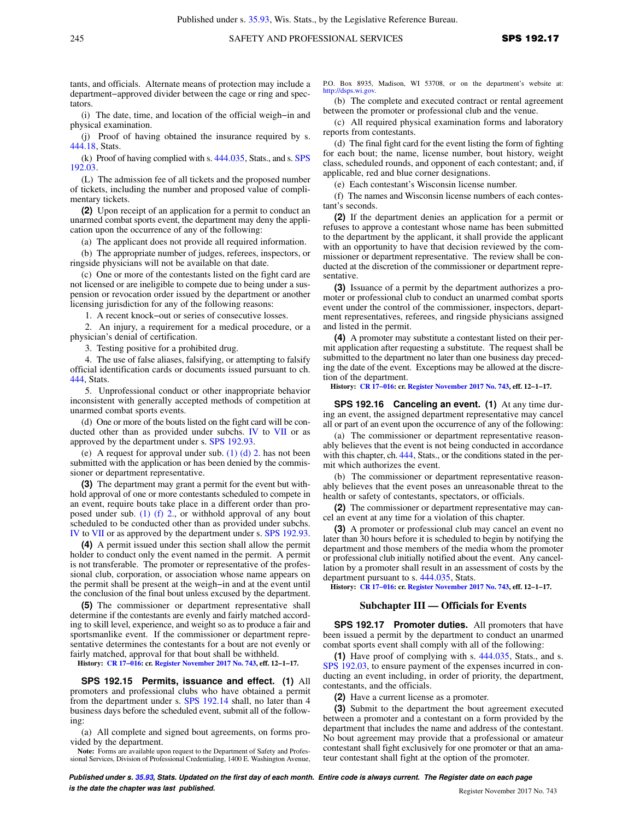tants, and officials. Alternate means of protection may include a department−approved divider between the cage or ring and spectators.

(i) The date, time, and location of the official weigh−in and physical examination.

(j) Proof of having obtained the insurance required by s. [444.18,](https://docs.legis.wisconsin.gov/document/statutes/444.18) Stats.

(k) Proof of having complied with s. [444.035,](https://docs.legis.wisconsin.gov/document/statutes/444.035) Stats., and s. [SPS](https://docs.legis.wisconsin.gov/document/administrativecode/SPS%20192.03) [192.03.](https://docs.legis.wisconsin.gov/document/administrativecode/SPS%20192.03)

(L) The admission fee of all tickets and the proposed number of tickets, including the number and proposed value of complimentary tickets.

**(2)** Upon receipt of an application for a permit to conduct an unarmed combat sports event, the department may deny the application upon the occurrence of any of the following:

(a) The applicant does not provide all required information.

(b) The appropriate number of judges, referees, inspectors, or ringside physicians will not be available on that date.

(c) One or more of the contestants listed on the fight card are not licensed or are ineligible to compete due to being under a suspension or revocation order issued by the department or another licensing jurisdiction for any of the following reasons:

1. A recent knock−out or series of consecutive losses.

2. An injury, a requirement for a medical procedure, or a physician's denial of certification.

3. Testing positive for a prohibited drug.

4. The use of false aliases, falsifying, or attempting to falsify official identification cards or documents issued pursuant to ch. [444](https://docs.legis.wisconsin.gov/document/statutes/ch.%20444), Stats.

5. Unprofessional conduct or other inappropriate behavior inconsistent with generally accepted methods of competition at unarmed combat sports events.

(d) One or more of the bouts listed on the fight card will be conducted other than as provided under subchs. [IV](https://docs.legis.wisconsin.gov/document/administrativecode/subch.%20IV%20of%20ch.%20SPS%20192) to [VII](https://docs.legis.wisconsin.gov/document/administrativecode/subch.%20VII%20of%20ch.%20SPS%20192) or as approved by the department under s. [SPS 192.93.](https://docs.legis.wisconsin.gov/document/administrativecode/SPS%20192.93)

(e) A request for approval under sub. [\(1\) \(d\) 2.](https://docs.legis.wisconsin.gov/document/administrativecode/SPS%20192.14(1)(d)2.) has not been submitted with the application or has been denied by the commissioner or department representative.

**(3)** The department may grant a permit for the event but withhold approval of one or more contestants scheduled to compete in an event, require bouts take place in a different order than proposed under sub. [\(1\) \(f\) 2.](https://docs.legis.wisconsin.gov/document/administrativecode/SPS%20192.14(1)(f)2.), or withhold approval of any bout scheduled to be conducted other than as provided under subchs. [IV](https://docs.legis.wisconsin.gov/document/administrativecode/subch.%20IV%20of%20ch.%20SPS%20192) to [VII](https://docs.legis.wisconsin.gov/document/administrativecode/subch.%20VII%20of%20ch.%20SPS%20192) or as approved by the department under s. [SPS 192.93.](https://docs.legis.wisconsin.gov/document/administrativecode/SPS%20192.93)

**(4)** A permit issued under this section shall allow the permit holder to conduct only the event named in the permit. A permit is not transferable. The promoter or representative of the professional club, corporation, or association whose name appears on the permit shall be present at the weigh−in and at the event until the conclusion of the final bout unless excused by the department.

**(5)** The commissioner or department representative shall determine if the contestants are evenly and fairly matched according to skill level, experience, and weight so as to produce a fair and sportsmanlike event. If the commissioner or department representative determines the contestants for a bout are not evenly or fairly matched, approval for that bout shall be withheld.

**History: [CR 17−016](https://docs.legis.wisconsin.gov/document/cr/2017/16): cr. [Register November 2017 No. 743](https://docs.legis.wisconsin.gov/document/register/743/B/toc), eff. 12−1−17.**

**SPS 192.15 Permits, issuance and effect. (1)** All promoters and professional clubs who have obtained a permit from the department under s. [SPS 192.14](https://docs.legis.wisconsin.gov/document/administrativecode/SPS%20192.14) shall, no later than 4 business days before the scheduled event, submit all of the following:

(a) All complete and signed bout agreements, on forms provided by the department.

**Note:** Forms are available upon request to the Department of Safety and Profes-sional Services, Division of Professional Credentialing, 1400 E. Washington Avenue,

P.O. Box 8935, Madison, WI 53708, or on the department's website at: [http://dsps.wi.gov.](http://dsps.wi.gov)

(b) The complete and executed contract or rental agreement between the promoter or professional club and the venue.

(c) All required physical examination forms and laboratory reports from contestants.

(d) The final fight card for the event listing the form of fighting for each bout; the name, license number, bout history, weight class, scheduled rounds, and opponent of each contestant; and, if applicable, red and blue corner designations.

(e) Each contestant's Wisconsin license number.

(f) The names and Wisconsin license numbers of each contestant's seconds.

**(2)** If the department denies an application for a permit or refuses to approve a contestant whose name has been submitted to the department by the applicant, it shall provide the applicant with an opportunity to have that decision reviewed by the commissioner or department representative. The review shall be conducted at the discretion of the commissioner or department representative.

**(3)** Issuance of a permit by the department authorizes a promoter or professional club to conduct an unarmed combat sports event under the control of the commissioner, inspectors, department representatives, referees, and ringside physicians assigned and listed in the permit.

**(4)** A promoter may substitute a contestant listed on their permit application after requesting a substitute. The request shall be submitted to the department no later than one business day preceding the date of the event. Exceptions may be allowed at the discretion of the department.

**History: [CR 17−016:](https://docs.legis.wisconsin.gov/document/cr/2017/16) cr. [Register November 2017 No. 743,](https://docs.legis.wisconsin.gov/document/register/743/B/toc) eff. 12−1−17.**

**SPS 192.16 Canceling an event. (1)** At any time during an event, the assigned department representative may cancel all or part of an event upon the occurrence of any of the following:

(a) The commissioner or department representative reasonably believes that the event is not being conducted in accordance with this chapter, ch. [444](https://docs.legis.wisconsin.gov/document/statutes/ch.%20444), Stats., or the conditions stated in the permit which authorizes the event.

(b) The commissioner or department representative reasonably believes that the event poses an unreasonable threat to the health or safety of contestants, spectators, or officials.

**(2)** The commissioner or department representative may cancel an event at any time for a violation of this chapter.

**(3)** A promoter or professional club may cancel an event no later than 30 hours before it is scheduled to begin by notifying the department and those members of the media whom the promoter or professional club initially notified about the event. Any cancellation by a promoter shall result in an assessment of costs by the department pursuant to s. [444.035](https://docs.legis.wisconsin.gov/document/statutes/444.035), Stats.

**History: [CR 17−016:](https://docs.legis.wisconsin.gov/document/cr/2017/16) cr. [Register November 2017 No. 743,](https://docs.legis.wisconsin.gov/document/register/743/B/toc) eff. 12−1−17.**

#### **Subchapter III — Officials for Events**

**SPS 192.17 Promoter duties.** All promoters that have been issued a permit by the department to conduct an unarmed combat sports event shall comply with all of the following:

**(1)** Have proof of complying with s. [444.035](https://docs.legis.wisconsin.gov/document/statutes/444.035), Stats., and s. [SPS 192.03](https://docs.legis.wisconsin.gov/document/administrativecode/SPS%20192.03), to ensure payment of the expenses incurred in conducting an event including, in order of priority, the department, contestants, and the officials.

**(2)** Have a current license as a promoter.

**(3)** Submit to the department the bout agreement executed between a promoter and a contestant on a form provided by the department that includes the name and address of the contestant. No bout agreement may provide that a professional or amateur contestant shall fight exclusively for one promoter or that an amateur contestant shall fight at the option of the promoter.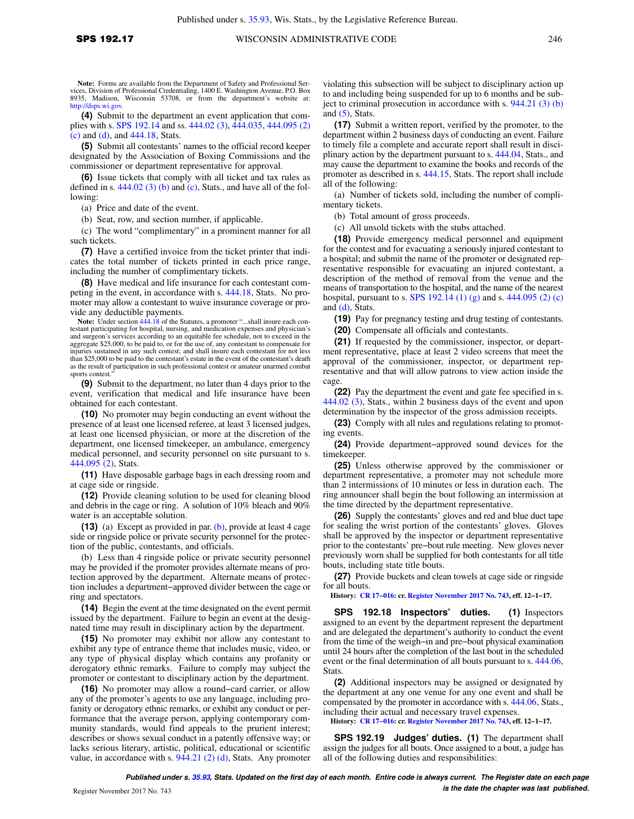**Note:** Forms are available from the Department of Safety and Professional Ser-vices, Division of Professional Credentialing, 1400 E. Washington Avenue, P.O. Box 8935, Madison, Wisconsin 53708, or from the department's website at: [http://dsps.wi.gov.](http://dsps.wi.gov)

**(4)** Submit to the department an event application that complies with s. [SPS 192.14](https://docs.legis.wisconsin.gov/document/administrativecode/SPS%20192.14) and ss. [444.02 \(3\)](https://docs.legis.wisconsin.gov/document/statutes/444.02(3)), [444.035,](https://docs.legis.wisconsin.gov/document/statutes/444.035) [444.095 \(2\)](https://docs.legis.wisconsin.gov/document/statutes/444.095(2)(c)) [\(c\)](https://docs.legis.wisconsin.gov/document/statutes/444.095(2)(c)) and [\(d\),](https://docs.legis.wisconsin.gov/document/statutes/444.095(2)(d)) and [444.18,](https://docs.legis.wisconsin.gov/document/statutes/444.18) Stats.

**(5)** Submit all contestants' names to the official record keeper designated by the Association of Boxing Commissions and the commissioner or department representative for approval.

**(6)** Issue tickets that comply with all ticket and tax rules as defined in s.  $444.02$  (3) (b) and [\(c\),](https://docs.legis.wisconsin.gov/document/statutes/444.02(3)(c)) Stats., and have all of the following:

(a) Price and date of the event.

(b) Seat, row, and section number, if applicable.

(c) The word "complimentary" in a prominent manner for all such tickets.

**(7)** Have a certified invoice from the ticket printer that indicates the total number of tickets printed in each price range, including the number of complimentary tickets.

**(8)** Have medical and life insurance for each contestant competing in the event, in accordance with s. [444.18,](https://docs.legis.wisconsin.gov/document/statutes/444.18) Stats. No promoter may allow a contestant to waive insurance coverage or provide any deductible payments.

**Note:** Under section [444.18](https://docs.legis.wisconsin.gov/document/statutes/444.18) of the Statutes, a promoter "...shall insure each contestant participating for hospital, nursing, and medication expenses and physician's and surgeon's services according to an equitable fee schedule, not to exceed in the aggregate \$25,000, to be paid to, or for the use of, any contestant to compensate for injuries sustained in any such contest; and shall insure each contestant for not less than \$25,000 to be paid to the contestant's estate in the event of the contestant's death as the result of participation in such professional contest or amateur unarmed combat sports contest.

**(9)** Submit to the department, no later than 4 days prior to the event, verification that medical and life insurance have been obtained for each contestant.

**(10)** No promoter may begin conducting an event without the presence of at least one licensed referee, at least 3 licensed judges, at least one licensed physician, or more at the discretion of the department, one licensed timekeeper, an ambulance, emergency medical personnel, and security personnel on site pursuant to s. [444.095 \(2\)](https://docs.legis.wisconsin.gov/document/statutes/444.095(2)), Stats.

**(11)** Have disposable garbage bags in each dressing room and at cage side or ringside.

**(12)** Provide cleaning solution to be used for cleaning blood and debris in the cage or ring. A solution of 10% bleach and 90% water is an acceptable solution.

**(13)** (a) Except as provided in par. [\(b\)](https://docs.legis.wisconsin.gov/document/administrativecode/SPS%20192.17(13)(b)), provide at least 4 cage side or ringside police or private security personnel for the protection of the public, contestants, and officials.

(b) Less than 4 ringside police or private security personnel may be provided if the promoter provides alternate means of protection approved by the department. Alternate means of protection includes a department−approved divider between the cage or ring and spectators.

**(14)** Begin the event at the time designated on the event permit issued by the department. Failure to begin an event at the designated time may result in disciplinary action by the department.

**(15)** No promoter may exhibit nor allow any contestant to exhibit any type of entrance theme that includes music, video, or any type of physical display which contains any profanity or derogatory ethnic remarks. Failure to comply may subject the promoter or contestant to disciplinary action by the department.

**(16)** No promoter may allow a round−card carrier, or allow any of the promoter's agents to use any language, including profanity or derogatory ethnic remarks, or exhibit any conduct or performance that the average person, applying contemporary community standards, would find appeals to the prurient interest; describes or shows sexual conduct in a patently offensive way; or lacks serious literary, artistic, political, educational or scientific value, in accordance with s.  $944.21$  (2) (d), Stats. Any promoter

violating this subsection will be subject to disciplinary action up to and including being suspended for up to 6 months and be subject to criminal prosecution in accordance with s. [944.21 \(3\) \(b\)](https://docs.legis.wisconsin.gov/document/statutes/944.21(3)(b)) and  $(5)$ , Stats.

**(17)** Submit a written report, verified by the promoter, to the department within 2 business days of conducting an event. Failure to timely file a complete and accurate report shall result in disciplinary action by the department pursuant to s. [444.04](https://docs.legis.wisconsin.gov/document/statutes/444.04), Stats., and may cause the department to examine the books and records of the promoter as described in s. [444.15](https://docs.legis.wisconsin.gov/document/statutes/444.15), Stats. The report shall include all of the following:

(a) Number of tickets sold, including the number of complimentary tickets.

(b) Total amount of gross proceeds.

(c) All unsold tickets with the stubs attached.

**(18)** Provide emergency medical personnel and equipment for the contest and for evacuating a seriously injured contestant to a hospital; and submit the name of the promoter or designated representative responsible for evacuating an injured contestant, a description of the method of removal from the venue and the means of transportation to the hospital, and the name of the nearest hospital, pursuant to s. [SPS 192.14 \(1\) \(g\)](https://docs.legis.wisconsin.gov/document/administrativecode/SPS%20192.14(1)(g)) and s. [444.095 \(2\) \(c\)](https://docs.legis.wisconsin.gov/document/statutes/444.095(2)(c)) and [\(d\)](https://docs.legis.wisconsin.gov/document/statutes/444.095(2)(d)), Stats.

**(19)** Pay for pregnancy testing and drug testing of contestants.

**(20)** Compensate all officials and contestants.

**(21)** If requested by the commissioner, inspector, or department representative, place at least 2 video screens that meet the approval of the commissioner, inspector, or department representative and that will allow patrons to view action inside the cage.

**(22)** Pay the department the event and gate fee specified in s. [444.02 \(3\)](https://docs.legis.wisconsin.gov/document/statutes/444.02(3)), Stats., within 2 business days of the event and upon determination by the inspector of the gross admission receipts.

**(23)** Comply with all rules and regulations relating to promoting events.

**(24)** Provide department−approved sound devices for the timekeeper.

**(25)** Unless otherwise approved by the commissioner or department representative, a promoter may not schedule more than 2 intermissions of 10 minutes or less in duration each. The ring announcer shall begin the bout following an intermission at the time directed by the department representative.

**(26)** Supply the contestants' gloves and red and blue duct tape for sealing the wrist portion of the contestants' gloves. Gloves shall be approved by the inspector or department representative prior to the contestants' pre−bout rule meeting. New gloves never previously worn shall be supplied for both contestants for all title bouts, including state title bouts.

**(27)** Provide buckets and clean towels at cage side or ringside for all bouts.

**History: [CR 17−016:](https://docs.legis.wisconsin.gov/document/cr/2017/16) cr. [Register November 2017 No. 743,](https://docs.legis.wisconsin.gov/document/register/743/B/toc) eff. 12−1−17.**

**SPS 192.18 Inspectors' duties. (1)** Inspectors assigned to an event by the department represent the department and are delegated the department's authority to conduct the event from the time of the weigh−in and pre−bout physical examination until 24 hours after the completion of the last bout in the scheduled event or the final determination of all bouts pursuant to s. [444.06,](https://docs.legis.wisconsin.gov/document/statutes/444.06) **Stats** 

**(2)** Additional inspectors may be assigned or designated by the department at any one venue for any one event and shall be compensated by the promoter in accordance with s. [444.06,](https://docs.legis.wisconsin.gov/document/statutes/444.06) Stats., including their actual and necessary travel expenses.

**History: [CR 17−016:](https://docs.legis.wisconsin.gov/document/cr/2017/16) cr. [Register November 2017 No. 743,](https://docs.legis.wisconsin.gov/document/register/743/B/toc) eff. 12−1−17.**

**SPS 192.19 Judges' duties. (1)** The department shall assign the judges for all bouts. Once assigned to a bout, a judge has all of the following duties and responsibilities: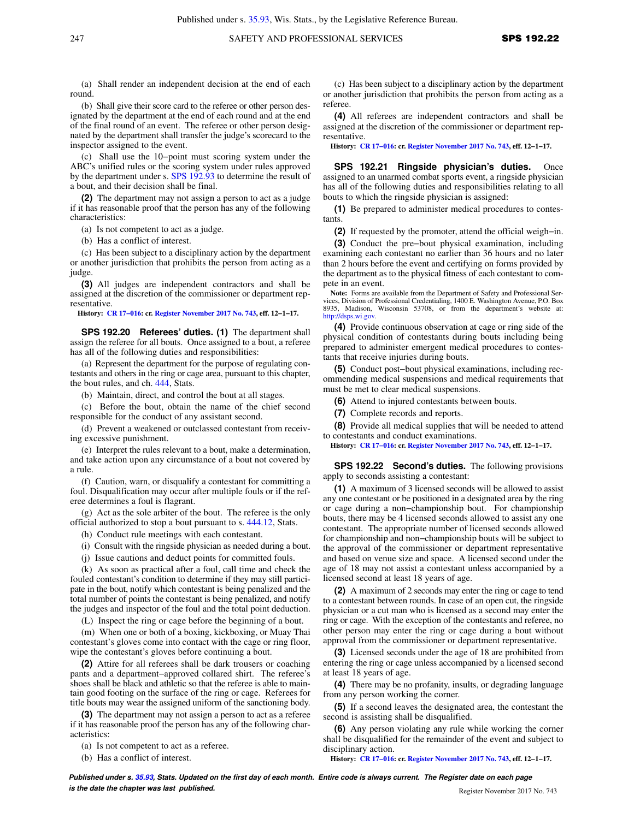(a) Shall render an independent decision at the end of each round.

(b) Shall give their score card to the referee or other person designated by the department at the end of each round and at the end of the final round of an event. The referee or other person designated by the department shall transfer the judge's scorecard to the inspector assigned to the event.

(c) Shall use the 10−point must scoring system under the ABC's unified rules or the scoring system under rules approved by the department under s. [SPS 192.93](https://docs.legis.wisconsin.gov/document/administrativecode/SPS%20192.93) to determine the result of a bout, and their decision shall be final.

**(2)** The department may not assign a person to act as a judge if it has reasonable proof that the person has any of the following characteristics:

(a) Is not competent to act as a judge.

(b) Has a conflict of interest.

(c) Has been subject to a disciplinary action by the department or another jurisdiction that prohibits the person from acting as a judge.

**(3)** All judges are independent contractors and shall be assigned at the discretion of the commissioner or department representative.

**History: [CR 17−016](https://docs.legis.wisconsin.gov/document/cr/2017/16): cr. [Register November 2017 No. 743](https://docs.legis.wisconsin.gov/document/register/743/B/toc), eff. 12−1−17.**

**SPS 192.20 Referees' duties. (1)** The department shall assign the referee for all bouts. Once assigned to a bout, a referee has all of the following duties and responsibilities:

(a) Represent the department for the purpose of regulating contestants and others in the ring or cage area, pursuant to this chapter, the bout rules, and ch. [444,](https://docs.legis.wisconsin.gov/document/statutes/ch.%20444) Stats.

(b) Maintain, direct, and control the bout at all stages.

(c) Before the bout, obtain the name of the chief second responsible for the conduct of any assistant second.

(d) Prevent a weakened or outclassed contestant from receiving excessive punishment.

(e) Interpret the rules relevant to a bout, make a determination, and take action upon any circumstance of a bout not covered by a rule.

(f) Caution, warn, or disqualify a contestant for committing a foul. Disqualification may occur after multiple fouls or if the referee determines a foul is flagrant.

(g) Act as the sole arbiter of the bout. The referee is the only official authorized to stop a bout pursuant to s. [444.12](https://docs.legis.wisconsin.gov/document/statutes/444.12), Stats.

(h) Conduct rule meetings with each contestant.

(i) Consult with the ringside physician as needed during a bout.

(j) Issue cautions and deduct points for committed fouls.

(k) As soon as practical after a foul, call time and check the fouled contestant's condition to determine if they may still participate in the bout, notify which contestant is being penalized and the total number of points the contestant is being penalized, and notify the judges and inspector of the foul and the total point deduction.

(L) Inspect the ring or cage before the beginning of a bout.

(m) When one or both of a boxing, kickboxing, or Muay Thai contestant's gloves come into contact with the cage or ring floor, wipe the contestant's gloves before continuing a bout.

**(2)** Attire for all referees shall be dark trousers or coaching pants and a department−approved collared shirt. The referee's shoes shall be black and athletic so that the referee is able to maintain good footing on the surface of the ring or cage. Referees for title bouts may wear the assigned uniform of the sanctioning body.

**(3)** The department may not assign a person to act as a referee if it has reasonable proof the person has any of the following characteristics:

(a) Is not competent to act as a referee.

(b) Has a conflict of interest.

(c) Has been subject to a disciplinary action by the department or another jurisdiction that prohibits the person from acting as a referee.

**(4)** All referees are independent contractors and shall be assigned at the discretion of the commissioner or department representative.

**History: [CR 17−016:](https://docs.legis.wisconsin.gov/document/cr/2017/16) cr. [Register November 2017 No. 743,](https://docs.legis.wisconsin.gov/document/register/743/B/toc) eff. 12−1−17.**

**SPS 192.21 Ringside physician's duties.** Once assigned to an unarmed combat sports event, a ringside physician has all of the following duties and responsibilities relating to all bouts to which the ringside physician is assigned:

**(1)** Be prepared to administer medical procedures to contestants.

**(2)** If requested by the promoter, attend the official weigh−in.

**(3)** Conduct the pre−bout physical examination, including examining each contestant no earlier than 36 hours and no later than 2 hours before the event and certifying on forms provided by the department as to the physical fitness of each contestant to compete in an event.

**Note:** Forms are available from the Department of Safety and Professional Services, Division of Professional Credentialing, 1400 E. Washington Avenue, P.O. Box 8935, Madison, Wisconsin 53708, or from the department's website at: [http://dsps.wi.gov.](http://dsps.wi.gov)

**(4)** Provide continuous observation at cage or ring side of the physical condition of contestants during bouts including being prepared to administer emergent medical procedures to contestants that receive injuries during bouts.

**(5)** Conduct post−bout physical examinations, including recommending medical suspensions and medical requirements that must be met to clear medical suspensions.

**(6)** Attend to injured contestants between bouts.

**(7)** Complete records and reports.

**(8)** Provide all medical supplies that will be needed to attend to contestants and conduct examinations.

**History: [CR 17−016:](https://docs.legis.wisconsin.gov/document/cr/2017/16) cr. [Register November 2017 No. 743,](https://docs.legis.wisconsin.gov/document/register/743/B/toc) eff. 12−1−17.**

**SPS 192.22 Second's duties.** The following provisions apply to seconds assisting a contestant:

**(1)** A maximum of 3 licensed seconds will be allowed to assist any one contestant or be positioned in a designated area by the ring or cage during a non−championship bout. For championship bouts, there may be 4 licensed seconds allowed to assist any one contestant. The appropriate number of licensed seconds allowed for championship and non−championship bouts will be subject to the approval of the commissioner or department representative and based on venue size and space. A licensed second under the age of 18 may not assist a contestant unless accompanied by a licensed second at least 18 years of age.

**(2)** A maximum of 2 seconds may enter the ring or cage to tend to a contestant between rounds. In case of an open cut, the ringside physician or a cut man who is licensed as a second may enter the ring or cage. With the exception of the contestants and referee, no other person may enter the ring or cage during a bout without approval from the commissioner or department representative.

**(3)** Licensed seconds under the age of 18 are prohibited from entering the ring or cage unless accompanied by a licensed second at least 18 years of age.

**(4)** There may be no profanity, insults, or degrading language from any person working the corner.

**(5)** If a second leaves the designated area, the contestant the second is assisting shall be disqualified.

**(6)** Any person violating any rule while working the corner shall be disqualified for the remainder of the event and subject to disciplinary action.

**History: [CR 17−016:](https://docs.legis.wisconsin.gov/document/cr/2017/16) cr. [Register November 2017 No. 743,](https://docs.legis.wisconsin.gov/document/register/743/B/toc) eff. 12−1−17.**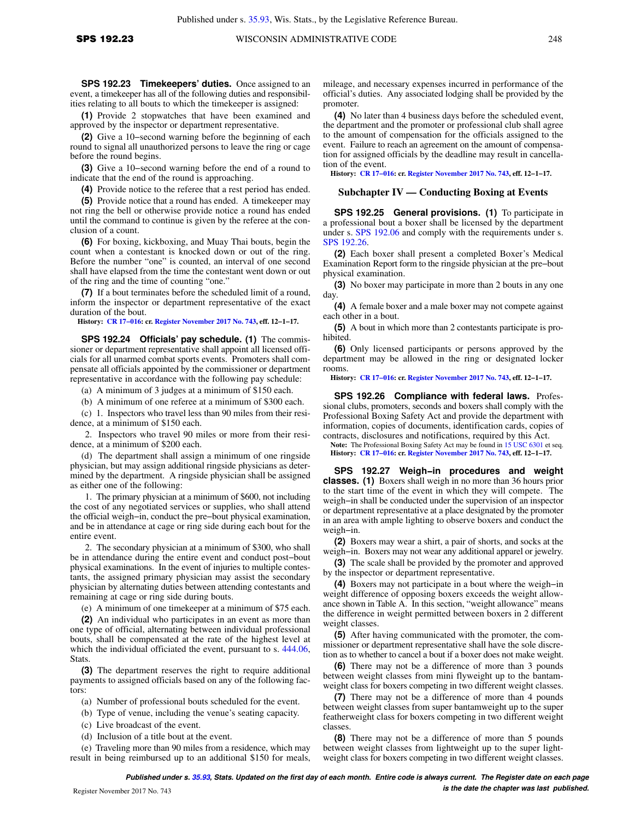**SPS 192.23 Timekeepers' duties.** Once assigned to an event, a timekeeper has all of the following duties and responsibilities relating to all bouts to which the timekeeper is assigned:

**(1)** Provide 2 stopwatches that have been examined and approved by the inspector or department representative.

**(2)** Give a 10−second warning before the beginning of each round to signal all unauthorized persons to leave the ring or cage before the round begins.

**(3)** Give a 10−second warning before the end of a round to indicate that the end of the round is approaching.

**(4)** Provide notice to the referee that a rest period has ended.

**(5)** Provide notice that a round has ended. A timekeeper may not ring the bell or otherwise provide notice a round has ended until the command to continue is given by the referee at the conclusion of a count.

**(6)** For boxing, kickboxing, and Muay Thai bouts, begin the count when a contestant is knocked down or out of the ring. Before the number "one" is counted, an interval of one second shall have elapsed from the time the contestant went down or out of the ring and the time of counting "one."

**(7)** If a bout terminates before the scheduled limit of a round, inform the inspector or department representative of the exact duration of the bout.

**History: [CR 17−016](https://docs.legis.wisconsin.gov/document/cr/2017/16): cr. [Register November 2017 No. 743](https://docs.legis.wisconsin.gov/document/register/743/B/toc), eff. 12−1−17.**

**SPS 192.24 Officials' pay schedule. (1)** The commissioner or department representative shall appoint all licensed officials for all unarmed combat sports events. Promoters shall compensate all officials appointed by the commissioner or department representative in accordance with the following pay schedule:

(a) A minimum of 3 judges at a minimum of \$150 each.

(b) A minimum of one referee at a minimum of \$300 each.

(c) 1. Inspectors who travel less than 90 miles from their residence, at a minimum of \$150 each.

2. Inspectors who travel 90 miles or more from their residence, at a minimum of \$200 each.

(d) The department shall assign a minimum of one ringside physician, but may assign additional ringside physicians as determined by the department. A ringside physician shall be assigned as either one of the following:

1. The primary physician at a minimum of \$600, not including the cost of any negotiated services or supplies, who shall attend the official weigh−in, conduct the pre−bout physical examination, and be in attendance at cage or ring side during each bout for the entire event.

2. The secondary physician at a minimum of \$300, who shall be in attendance during the entire event and conduct post−bout physical examinations. In the event of injuries to multiple contestants, the assigned primary physician may assist the secondary physician by alternating duties between attending contestants and remaining at cage or ring side during bouts.

(e) A minimum of one timekeeper at a minimum of \$75 each.

**(2)** An individual who participates in an event as more than one type of official, alternating between individual professional bouts, shall be compensated at the rate of the highest level at which the individual officiated the event, pursuant to s.  $444.06$ , **Stats** 

**(3)** The department reserves the right to require additional payments to assigned officials based on any of the following factors:

(a) Number of professional bouts scheduled for the event.

(b) Type of venue, including the venue's seating capacity.

- (c) Live broadcast of the event.
- (d) Inclusion of a title bout at the event.

(e) Traveling more than 90 miles from a residence, which may result in being reimbursed up to an additional \$150 for meals, mileage, and necessary expenses incurred in performance of the official's duties. Any associated lodging shall be provided by the promoter.

**(4)** No later than 4 business days before the scheduled event, the department and the promoter or professional club shall agree to the amount of compensation for the officials assigned to the event. Failure to reach an agreement on the amount of compensation for assigned officials by the deadline may result in cancellation of the event.

**History: [CR 17−016:](https://docs.legis.wisconsin.gov/document/cr/2017/16) cr. [Register November 2017 No. 743,](https://docs.legis.wisconsin.gov/document/register/743/B/toc) eff. 12−1−17.**

### **Subchapter IV — Conducting Boxing at Events**

**SPS 192.25 General provisions. (1)** To participate in a professional bout a boxer shall be licensed by the department under s. [SPS 192.06](https://docs.legis.wisconsin.gov/document/administrativecode/SPS%20192.06) and comply with the requirements under s. [SPS 192.26](https://docs.legis.wisconsin.gov/document/administrativecode/SPS%20192.26).

**(2)** Each boxer shall present a completed Boxer's Medical Examination Report form to the ringside physician at the pre−bout physical examination.

**(3)** No boxer may participate in more than 2 bouts in any one day.

**(4)** A female boxer and a male boxer may not compete against each other in a bout.

**(5)** A bout in which more than 2 contestants participate is prohibited.

**(6)** Only licensed participants or persons approved by the department may be allowed in the ring or designated locker rooms.

**History: [CR 17−016:](https://docs.legis.wisconsin.gov/document/cr/2017/16) cr. [Register November 2017 No. 743,](https://docs.legis.wisconsin.gov/document/register/743/B/toc) eff. 12−1−17.**

**SPS 192.26 Compliance with federal laws.** Professional clubs, promoters, seconds and boxers shall comply with the Professional Boxing Safety Act and provide the department with information, copies of documents, identification cards, copies of contracts, disclosures and notifications, required by this Act.

**Note:** The Professional Boxing Safety Act may be found in [15 USC 6301](https://docs.legis.wisconsin.gov/document/usc/15%20USC%206301) et seq. **History: [CR 17−016:](https://docs.legis.wisconsin.gov/document/cr/2017/16) cr. [Register November 2017 No. 743,](https://docs.legis.wisconsin.gov/document/register/743/B/toc) eff. 12−1−17.**

**SPS 192.27 Weigh−in procedures and weight classes. (1)** Boxers shall weigh in no more than 36 hours prior to the start time of the event in which they will compete. The weigh−in shall be conducted under the supervision of an inspector or department representative at a place designated by the promoter in an area with ample lighting to observe boxers and conduct the weigh−in.

**(2)** Boxers may wear a shirt, a pair of shorts, and socks at the weigh−in. Boxers may not wear any additional apparel or jewelry.

**(3)** The scale shall be provided by the promoter and approved by the inspector or department representative.

**(4)** Boxers may not participate in a bout where the weigh−in weight difference of opposing boxers exceeds the weight allowance shown in Table A. In this section, "weight allowance" means the difference in weight permitted between boxers in 2 different weight classes.

**(5)** After having communicated with the promoter, the commissioner or department representative shall have the sole discretion as to whether to cancel a bout if a boxer does not make weight.

**(6)** There may not be a difference of more than 3 pounds between weight classes from mini flyweight up to the bantamweight class for boxers competing in two different weight classes.

**(7)** There may not be a difference of more than 4 pounds between weight classes from super bantamweight up to the super featherweight class for boxers competing in two different weight classes.

**(8)** There may not be a difference of more than 5 pounds between weight classes from lightweight up to the super lightweight class for boxers competing in two different weight classes.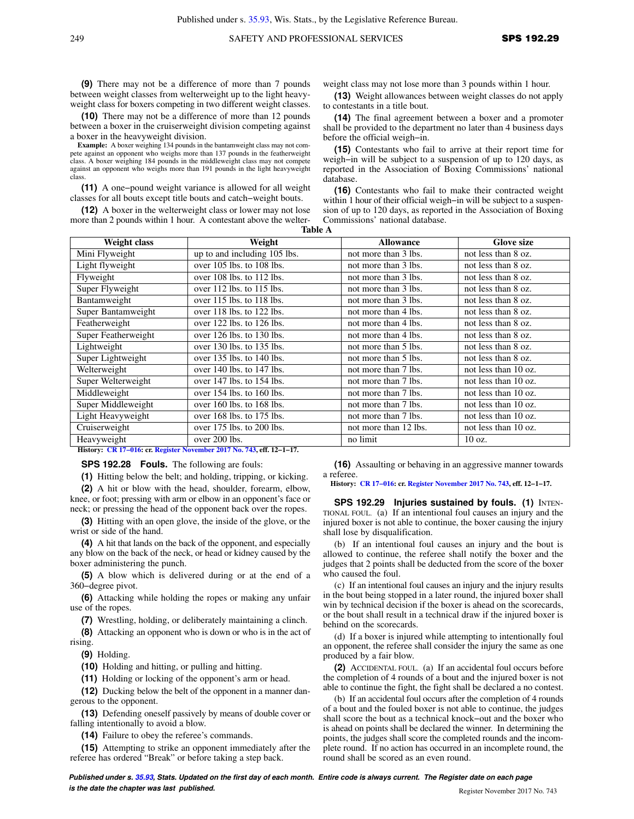**(9)** There may not be a difference of more than 7 pounds between weight classes from welterweight up to the light heavyweight class for boxers competing in two different weight classes.

**(10)** There may not be a difference of more than 12 pounds between a boxer in the cruiserweight division competing against a boxer in the heavyweight division.

**Example:** A boxer weighing 134 pounds in the bantamweight class may not compete against an opponent who weighs more than 137 pounds in the featherweight class. A boxer weighing 184 pounds in the middleweight class may not compete against an opponent who weighs more than 191 pounds in the light heavyweight class.

**(11)** A one−pound weight variance is allowed for all weight classes for all bouts except title bouts and catch−weight bouts.

**(12)** A boxer in the welterweight class or lower may not lose more than 2 pounds within 1 hour. A contestant above the welterweight class may not lose more than 3 pounds within 1 hour.

**(13)** Weight allowances between weight classes do not apply to contestants in a title bout.

**(14)** The final agreement between a boxer and a promoter shall be provided to the department no later than 4 business days before the official weigh−in.

**(15)** Contestants who fail to arrive at their report time for weigh−in will be subject to a suspension of up to 120 days, as reported in the Association of Boxing Commissions' national database.

**(16)** Contestants who fail to make their contracted weight within 1 hour of their official weigh−in will be subject to a suspension of up to 120 days, as reported in the Association of Boxing Commissions' national database.

| <b>Table A</b> |                               |                      |                     |
|----------------|-------------------------------|----------------------|---------------------|
| Weight class   | Weight                        | <b>Allowance</b>     | <b>Glove size</b>   |
| vweight        | up to and including 105 lbs.  | not more than 3 lbs. | not less than 8 oz. |
| vweight        | over $105$ lbs. to $108$ lbs. | not more than 3 lbs. | not less than 8 oz. |
| ≥ht            | over $108$ lbs. to $112$ lbs. | not more than 3 lbs. | not less than 8 oz. |

| Mini Flyweight      | up to and including 105 lbs.  | not more than 3 lbs.  | not less than 8 oz.    |
|---------------------|-------------------------------|-----------------------|------------------------|
| Light flyweight     | over 105 lbs. to 108 lbs.     | not more than 3 lbs.  | not less than 8 oz.    |
| Flyweight           | over 108 lbs. to 112 lbs.     | not more than 3 lbs.  | not less than 8 oz.    |
| Super Flyweight     | over 112 lbs. to 115 lbs.     | not more than 3 lbs.  | not less than 8 oz.    |
| Bantamweight        | over 115 lbs. to 118 lbs.     | not more than 3 lbs.  | not less than 8 oz.    |
| Super Bantamweight  | over 118 lbs. to 122 lbs.     | not more than 4 lbs.  | not less than 8 oz.    |
| Featherweight       | over 122 lbs. to 126 lbs.     | not more than 4 lbs.  | not less than 8 oz.    |
| Super Featherweight | over 126 lbs. to 130 lbs.     | not more than 4 lbs.  | not less than 8 oz.    |
| Lightweight         | over 130 lbs. to 135 lbs.     | not more than 5 lbs.  | not less than 8 oz.    |
| Super Lightweight   | over 135 lbs. to 140 lbs.     | not more than 5 lbs.  | not less than 8 oz.    |
| Welterweight        | over 140 lbs. to 147 lbs.     | not more than 7 lbs.  | not less than 10 oz.   |
| Super Welterweight  | over 147 lbs. to 154 lbs.     | not more than 7 lbs.  | not less than $10$ oz. |
| Middleweight        | over $154$ lbs. to $160$ lbs. | not more than 7 lbs.  | not less than 10 oz.   |
| Super Middleweight  | over $160$ lbs. to $168$ lbs. | not more than 7 lbs.  | not less than 10 oz.   |
| Light Heavyweight   | over 168 lbs. to 175 lbs.     | not more than 7 lbs.  | not less than 10 oz.   |
| Cruiserweight       | over 175 lbs. to 200 lbs.     | not more than 12 lbs. | not less than 10 oz.   |
| Heavyweight         | over 200 lbs.                 | no limit              | 10 oz.                 |

**History: [CR 17−016](https://docs.legis.wisconsin.gov/document/cr/2017/16): cr. [Register November 2017 No. 743](https://docs.legis.wisconsin.gov/document/register/743/B/toc), eff. 12−1−17.**

### **SPS 192.28 Fouls.** The following are fouls:

**(1)** Hitting below the belt; and holding, tripping, or kicking.

**(2)** A hit or blow with the head, shoulder, forearm, elbow, knee, or foot; pressing with arm or elbow in an opponent's face or neck; or pressing the head of the opponent back over the ropes.

**(3)** Hitting with an open glove, the inside of the glove, or the wrist or side of the hand.

**(4)** A hit that lands on the back of the opponent, and especially any blow on the back of the neck, or head or kidney caused by the boxer administering the punch.

**(5)** A blow which is delivered during or at the end of a 360−degree pivot.

**(6)** Attacking while holding the ropes or making any unfair use of the ropes.

**(7)** Wrestling, holding, or deliberately maintaining a clinch.

**(8)** Attacking an opponent who is down or who is in the act of rising.

**(9)** Holding.

**(10)** Holding and hitting, or pulling and hitting.

**(11)** Holding or locking of the opponent's arm or head.

**(12)** Ducking below the belt of the opponent in a manner dangerous to the opponent.

**(13)** Defending oneself passively by means of double cover or falling intentionally to avoid a blow.

**(14)** Failure to obey the referee's commands.

**(15)** Attempting to strike an opponent immediately after the referee has ordered "Break" or before taking a step back.

**(16)** Assaulting or behaving in an aggressive manner towards a referee.

**History: [CR 17−016:](https://docs.legis.wisconsin.gov/document/cr/2017/16) cr. [Register November 2017 No. 743,](https://docs.legis.wisconsin.gov/document/register/743/B/toc) eff. 12−1−17.**

**SPS 192.29 Injuries sustained by fouls. (1)** INTEN-TIONAL FOUL. (a) If an intentional foul causes an injury and the injured boxer is not able to continue, the boxer causing the injury shall lose by disqualification.

(b) If an intentional foul causes an injury and the bout is allowed to continue, the referee shall notify the boxer and the judges that 2 points shall be deducted from the score of the boxer who caused the foul.

(c) If an intentional foul causes an injury and the injury results in the bout being stopped in a later round, the injured boxer shall win by technical decision if the boxer is ahead on the scorecards, or the bout shall result in a technical draw if the injured boxer is behind on the scorecards.

(d) If a boxer is injured while attempting to intentionally foul an opponent, the referee shall consider the injury the same as one produced by a fair blow.

**(2)** ACCIDENTAL FOUL. (a) If an accidental foul occurs before the completion of 4 rounds of a bout and the injured boxer is not able to continue the fight, the fight shall be declared a no contest.

(b) If an accidental foul occurs after the completion of 4 rounds of a bout and the fouled boxer is not able to continue, the judges shall score the bout as a technical knock−out and the boxer who is ahead on points shall be declared the winner. In determining the points, the judges shall score the completed rounds and the incomplete round. If no action has occurred in an incomplete round, the round shall be scored as an even round.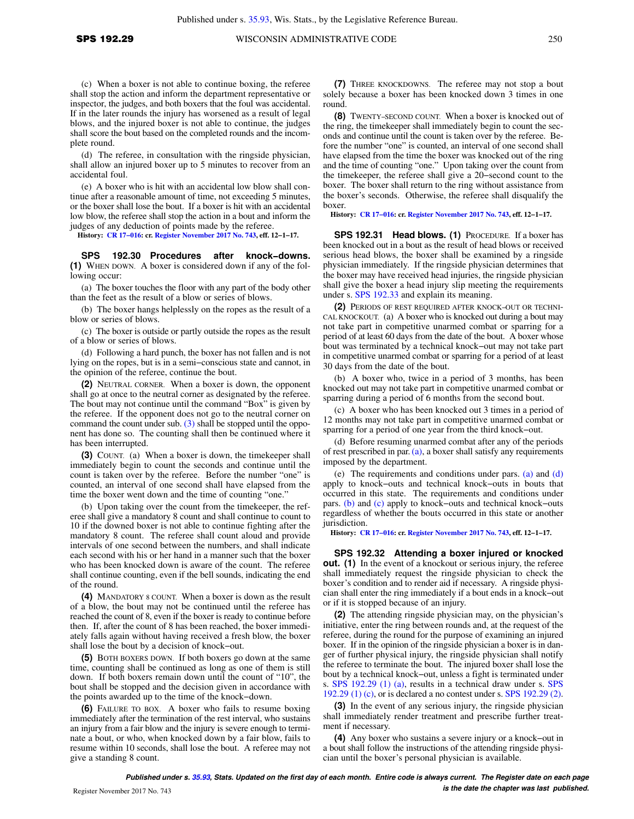(c) When a boxer is not able to continue boxing, the referee shall stop the action and inform the department representative or inspector, the judges, and both boxers that the foul was accidental. If in the later rounds the injury has worsened as a result of legal blows, and the injured boxer is not able to continue, the judges shall score the bout based on the completed rounds and the incomplete round.

(d) The referee, in consultation with the ringside physician, shall allow an injured boxer up to 5 minutes to recover from an accidental foul.

(e) A boxer who is hit with an accidental low blow shall continue after a reasonable amount of time, not exceeding 5 minutes, or the boxer shall lose the bout. If a boxer is hit with an accidental low blow, the referee shall stop the action in a bout and inform the judges of any deduction of points made by the referee.

**History: [CR 17−016](https://docs.legis.wisconsin.gov/document/cr/2017/16): cr. [Register November 2017 No. 743](https://docs.legis.wisconsin.gov/document/register/743/B/toc), eff. 12−1−17.**

**SPS 192.30 Procedures after knock−downs. (1)** WHEN DOWN. A boxer is considered down if any of the following occur:

(a) The boxer touches the floor with any part of the body other than the feet as the result of a blow or series of blows.

(b) The boxer hangs helplessly on the ropes as the result of a blow or series of blows.

(c) The boxer is outside or partly outside the ropes as the result of a blow or series of blows.

(d) Following a hard punch, the boxer has not fallen and is not lying on the ropes, but is in a semi−conscious state and cannot, in the opinion of the referee, continue the bout.

**(2)** NEUTRAL CORNER. When a boxer is down, the opponent shall go at once to the neutral corner as designated by the referee. The bout may not continue until the command "Box" is given by the referee. If the opponent does not go to the neutral corner on command the count under sub. [\(3\)](https://docs.legis.wisconsin.gov/document/administrativecode/SPS%20192.30(3)) shall be stopped until the opponent has done so. The counting shall then be continued where it has been interrupted.

**(3)** COUNT. (a) When a boxer is down, the timekeeper shall immediately begin to count the seconds and continue until the count is taken over by the referee. Before the number "one" is counted, an interval of one second shall have elapsed from the time the boxer went down and the time of counting "one."

(b) Upon taking over the count from the timekeeper, the referee shall give a mandatory 8 count and shall continue to count to 10 if the downed boxer is not able to continue fighting after the mandatory 8 count. The referee shall count aloud and provide intervals of one second between the numbers, and shall indicate each second with his or her hand in a manner such that the boxer who has been knocked down is aware of the count. The referee shall continue counting, even if the bell sounds, indicating the end of the round.

**(4)** MANDATORY 8 COUNT. When a boxer is down as the result of a blow, the bout may not be continued until the referee has reached the count of 8, even if the boxer is ready to continue before then. If, after the count of 8 has been reached, the boxer immediately falls again without having received a fresh blow, the boxer shall lose the bout by a decision of knock−out.

**(5)** BOTH BOXERS DOWN. If both boxers go down at the same time, counting shall be continued as long as one of them is still down. If both boxers remain down until the count of "10", the bout shall be stopped and the decision given in accordance with the points awarded up to the time of the knock−down.

**(6)** FAILURE TO BOX. A boxer who fails to resume boxing immediately after the termination of the rest interval, who sustains an injury from a fair blow and the injury is severe enough to terminate a bout, or who, when knocked down by a fair blow, fails to resume within 10 seconds, shall lose the bout. A referee may not give a standing 8 count.

**(7)** THREE KNOCKDOWNS. The referee may not stop a bout solely because a boxer has been knocked down 3 times in one round.

**(8)** TWENTY−SECOND COUNT. When a boxer is knocked out of the ring, the timekeeper shall immediately begin to count the seconds and continue until the count is taken over by the referee. Before the number "one" is counted, an interval of one second shall have elapsed from the time the boxer was knocked out of the ring and the time of counting "one." Upon taking over the count from the timekeeper, the referee shall give a 20−second count to the boxer. The boxer shall return to the ring without assistance from the boxer's seconds. Otherwise, the referee shall disqualify the boxer.

**History: [CR 17−016:](https://docs.legis.wisconsin.gov/document/cr/2017/16) cr. [Register November 2017 No. 743,](https://docs.legis.wisconsin.gov/document/register/743/B/toc) eff. 12−1−17.**

**SPS 192.31 Head blows. (1)** PROCEDURE. If a boxer has been knocked out in a bout as the result of head blows or received serious head blows, the boxer shall be examined by a ringside physician immediately. If the ringside physician determines that the boxer may have received head injuries, the ringside physician shall give the boxer a head injury slip meeting the requirements under s. [SPS 192.33](https://docs.legis.wisconsin.gov/document/administrativecode/SPS%20192.33) and explain its meaning.

**(2)** PERIODS OF REST REQUIRED AFTER KNOCK−OUT OR TECHNI-CAL KNOCKOUT. (a) A boxer who is knocked out during a bout may not take part in competitive unarmed combat or sparring for a period of at least 60 days from the date of the bout. A boxer whose bout was terminated by a technical knock−out may not take part in competitive unarmed combat or sparring for a period of at least 30 days from the date of the bout.

(b) A boxer who, twice in a period of 3 months, has been knocked out may not take part in competitive unarmed combat or sparring during a period of 6 months from the second bout.

(c) A boxer who has been knocked out 3 times in a period of 12 months may not take part in competitive unarmed combat or sparring for a period of one year from the third knock−out.

(d) Before resuming unarmed combat after any of the periods of rest prescribed in par.  $(a)$ , a boxer shall satisfy any requirements imposed by the department.

(e) The requirements and conditions under pars. [\(a\)](https://docs.legis.wisconsin.gov/document/administrativecode/SPS%20192.31(2)(a)) and [\(d\)](https://docs.legis.wisconsin.gov/document/administrativecode/SPS%20192.31(2)(d)) apply to knock−outs and technical knock−outs in bouts that occurred in this state. The requirements and conditions under pars. [\(b\)](https://docs.legis.wisconsin.gov/document/administrativecode/SPS%20192.31(2)(b)) and [\(c\)](https://docs.legis.wisconsin.gov/document/administrativecode/SPS%20192.31(2)(c)) apply to knock−outs and technical knock−outs regardless of whether the bouts occurred in this state or another jurisdiction.

**History: [CR 17−016:](https://docs.legis.wisconsin.gov/document/cr/2017/16) cr. [Register November 2017 No. 743,](https://docs.legis.wisconsin.gov/document/register/743/B/toc) eff. 12−1−17.**

**SPS 192.32 Attending a boxer injured or knocked out.** (1) In the event of a knockout or serious injury, the referee shall immediately request the ringside physician to check the boxer's condition and to render aid if necessary. A ringside physician shall enter the ring immediately if a bout ends in a knock−out or if it is stopped because of an injury.

**(2)** The attending ringside physician may, on the physician's initiative, enter the ring between rounds and, at the request of the referee, during the round for the purpose of examining an injured boxer. If in the opinion of the ringside physician a boxer is in danger of further physical injury, the ringside physician shall notify the referee to terminate the bout. The injured boxer shall lose the bout by a technical knock−out, unless a fight is terminated under s. [SPS 192.29 \(1\) \(a\),](https://docs.legis.wisconsin.gov/document/administrativecode/SPS%20192.29(1)(a)) results in a technical draw under s. [SPS](https://docs.legis.wisconsin.gov/document/administrativecode/SPS%20192.29(1)(c)) [192.29 \(1\) \(c\)](https://docs.legis.wisconsin.gov/document/administrativecode/SPS%20192.29(1)(c)), or is declared a no contest under s. [SPS 192.29 \(2\).](https://docs.legis.wisconsin.gov/document/administrativecode/SPS%20192.29(2))

**(3)** In the event of any serious injury, the ringside physician shall immediately render treatment and prescribe further treatment if necessary.

**(4)** Any boxer who sustains a severe injury or a knock−out in a bout shall follow the instructions of the attending ringside physician until the boxer's personal physician is available.

**Published under s. [35.93,](https://docs.legis.wisconsin.gov/document/statutes/35.93) Stats. Updated on the first day of each month. Entire code is always current. The Register date on each page is the date the chapter was last published. is the date the chapter was last published.**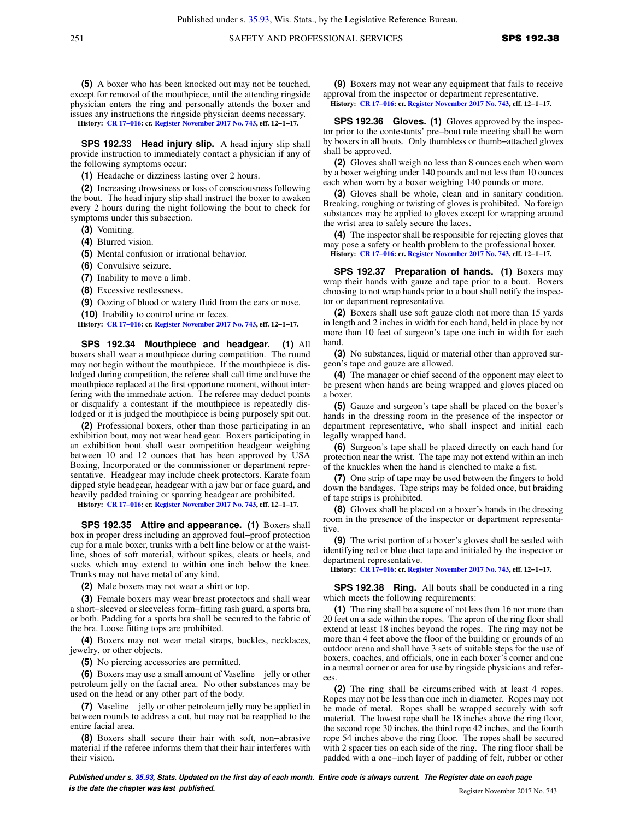**(5)** A boxer who has been knocked out may not be touched, except for removal of the mouthpiece, until the attending ringside physician enters the ring and personally attends the boxer and issues any instructions the ringside physician deems necessary. **History: [CR 17−016](https://docs.legis.wisconsin.gov/document/cr/2017/16): cr. [Register November 2017 No. 743](https://docs.legis.wisconsin.gov/document/register/743/B/toc), eff. 12−1−17.**

**SPS 192.33 Head injury slip.** A head injury slip shall provide instruction to immediately contact a physician if any of the following symptoms occur:

**(1)** Headache or dizziness lasting over 2 hours.

**(2)** Increasing drowsiness or loss of consciousness following the bout. The head injury slip shall instruct the boxer to awaken every 2 hours during the night following the bout to check for symptoms under this subsection.

**(3)** Vomiting.

**(4)** Blurred vision.

- **(5)** Mental confusion or irrational behavior.
- **(6)** Convulsive seizure.

**(7)** Inability to move a limb.

**(8)** Excessive restlessness.

**(9)** Oozing of blood or watery fluid from the ears or nose. **(10)** Inability to control urine or feces.

**History: [CR 17−016](https://docs.legis.wisconsin.gov/document/cr/2017/16): cr. [Register November 2017 No. 743](https://docs.legis.wisconsin.gov/document/register/743/B/toc), eff. 12−1−17.**

**SPS 192.34 Mouthpiece and headgear. (1)** All boxers shall wear a mouthpiece during competition. The round may not begin without the mouthpiece. If the mouthpiece is dislodged during competition, the referee shall call time and have the mouthpiece replaced at the first opportune moment, without interfering with the immediate action. The referee may deduct points or disqualify a contestant if the mouthpiece is repeatedly dislodged or it is judged the mouthpiece is being purposely spit out.

**(2)** Professional boxers, other than those participating in an exhibition bout, may not wear head gear. Boxers participating in an exhibition bout shall wear competition headgear weighing between 10 and 12 ounces that has been approved by USA Boxing, Incorporated or the commissioner or department representative. Headgear may include cheek protectors. Karate foam dipped style headgear, headgear with a jaw bar or face guard, and heavily padded training or sparring headgear are prohibited.

**History: [CR 17−016](https://docs.legis.wisconsin.gov/document/cr/2017/16): cr. [Register November 2017 No. 743](https://docs.legis.wisconsin.gov/document/register/743/B/toc), eff. 12−1−17.**

**SPS 192.35 Attire and appearance. (1)** Boxers shall box in proper dress including an approved foul−proof protection cup for a male boxer, trunks with a belt line below or at the waistline, shoes of soft material, without spikes, cleats or heels, and socks which may extend to within one inch below the knee. Trunks may not have metal of any kind.

**(2)** Male boxers may not wear a shirt or top.

**(3)** Female boxers may wear breast protectors and shall wear a short−sleeved or sleeveless form−fitting rash guard, a sports bra, or both. Padding for a sports bra shall be secured to the fabric of the bra. Loose fitting tops are prohibited.

**(4)** Boxers may not wear metal straps, buckles, necklaces, jewelry, or other objects.

**(5)** No piercing accessories are permitted.

**(6)** Boxers may use a small amount of Vaseline **®** jelly or other petroleum jelly on the facial area. No other substances may be used on the head or any other part of the body.

**(7)** Vaseline **@** jelly or other petroleum jelly may be applied in between rounds to address a cut, but may not be reapplied to the entire facial area.

**(8)** Boxers shall secure their hair with soft, non−abrasive material if the referee informs them that their hair interferes with their vision.

**(9)** Boxers may not wear any equipment that fails to receive approval from the inspector or department representative. **History: [CR 17−016:](https://docs.legis.wisconsin.gov/document/cr/2017/16) cr. [Register November 2017 No. 743,](https://docs.legis.wisconsin.gov/document/register/743/B/toc) eff. 12−1−17.**

**SPS 192.36 Gloves. (1)** Gloves approved by the inspector prior to the contestants' pre−bout rule meeting shall be worn by boxers in all bouts. Only thumbless or thumb−attached gloves shall be approved.

**(2)** Gloves shall weigh no less than 8 ounces each when worn by a boxer weighing under 140 pounds and not less than 10 ounces each when worn by a boxer weighing 140 pounds or more.

**(3)** Gloves shall be whole, clean and in sanitary condition. Breaking, roughing or twisting of gloves is prohibited. No foreign substances may be applied to gloves except for wrapping around the wrist area to safely secure the laces.

**(4)** The inspector shall be responsible for rejecting gloves that may pose a safety or health problem to the professional boxer. **History: [CR 17−016:](https://docs.legis.wisconsin.gov/document/cr/2017/16) cr. [Register November 2017 No. 743,](https://docs.legis.wisconsin.gov/document/register/743/B/toc) eff. 12−1−17.**

**SPS 192.37 Preparation of hands. (1)** Boxers may wrap their hands with gauze and tape prior to a bout. Boxers choosing to not wrap hands prior to a bout shall notify the inspector or department representative.

**(2)** Boxers shall use soft gauze cloth not more than 15 yards in length and 2 inches in width for each hand, held in place by not more than 10 feet of surgeon's tape one inch in width for each hand.

**(3)** No substances, liquid or material other than approved surgeon's tape and gauze are allowed.

**(4)** The manager or chief second of the opponent may elect to be present when hands are being wrapped and gloves placed on a boxer.

**(5)** Gauze and surgeon's tape shall be placed on the boxer's hands in the dressing room in the presence of the inspector or department representative, who shall inspect and initial each legally wrapped hand.

**(6)** Surgeon's tape shall be placed directly on each hand for protection near the wrist. The tape may not extend within an inch of the knuckles when the hand is clenched to make a fist.

**(7)** One strip of tape may be used between the fingers to hold down the bandages. Tape strips may be folded once, but braiding of tape strips is prohibited.

**(8)** Gloves shall be placed on a boxer's hands in the dressing room in the presence of the inspector or department representative.

**(9)** The wrist portion of a boxer's gloves shall be sealed with identifying red or blue duct tape and initialed by the inspector or department representative.

**History: [CR 17−016:](https://docs.legis.wisconsin.gov/document/cr/2017/16) cr. [Register November 2017 No. 743,](https://docs.legis.wisconsin.gov/document/register/743/B/toc) eff. 12−1−17.**

**SPS 192.38 Ring.** All bouts shall be conducted in a ring which meets the following requirements:

**(1)** The ring shall be a square of not less than 16 nor more than 20 feet on a side within the ropes. The apron of the ring floor shall extend at least 18 inches beyond the ropes. The ring may not be more than 4 feet above the floor of the building or grounds of an outdoor arena and shall have 3 sets of suitable steps for the use of boxers, coaches, and officials, one in each boxer's corner and one in a neutral corner or area for use by ringside physicians and referees.

**(2)** The ring shall be circumscribed with at least 4 ropes. Ropes may not be less than one inch in diameter. Ropes may not be made of metal. Ropes shall be wrapped securely with soft material. The lowest rope shall be 18 inches above the ring floor, the second rope 30 inches, the third rope 42 inches, and the fourth rope 54 inches above the ring floor. The ropes shall be secured with 2 spacer ties on each side of the ring. The ring floor shall be padded with a one−inch layer of padding of felt, rubber or other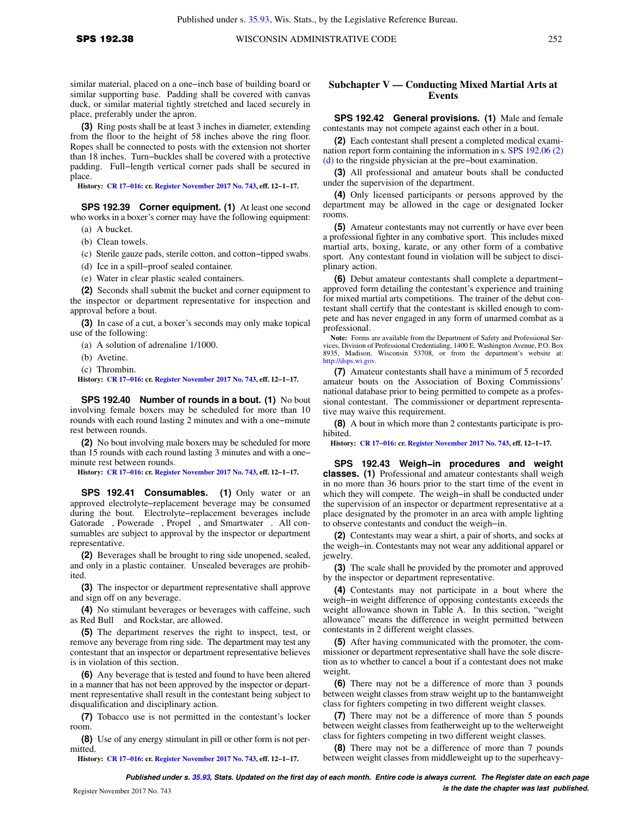similar material, placed on a one−inch base of building board or similar supporting base. Padding shall be covered with canvas duck, or similar material tightly stretched and laced securely in place, preferably under the apron.

**(3)** Ring posts shall be at least 3 inches in diameter, extending from the floor to the height of 58 inches above the ring floor. Ropes shall be connected to posts with the extension not shorter than 18 inches. Turn−buckles shall be covered with a protective padding. Full−length vertical corner pads shall be secured in place.

**History: [CR 17−016](https://docs.legis.wisconsin.gov/document/cr/2017/16): cr. [Register November 2017 No. 743](https://docs.legis.wisconsin.gov/document/register/743/B/toc), eff. 12−1−17.**

**SPS 192.39 Corner equipment. (1)** At least one second who works in a boxer's corner may have the following equipment:

(a) A bucket.

(b) Clean towels.

(c) Sterile gauze pads, sterile cotton, and cotton−tipped swabs.

- (d) Ice in a spill−proof sealed container.
- (e) Water in clear plastic sealed containers.

**(2)** Seconds shall submit the bucket and corner equipment to the inspector or department representative for inspection and approval before a bout.

**(3)** In case of a cut, a boxer's seconds may only make topical use of the following:

(a) A solution of adrenaline 1/1000.

- (b) Avetine.
- (c) Thrombin.

**History: [CR 17−016](https://docs.legis.wisconsin.gov/document/cr/2017/16): cr. [Register November 2017 No. 743](https://docs.legis.wisconsin.gov/document/register/743/B/toc), eff. 12−1−17.**

**SPS 192.40 Number of rounds in a bout. (1)** No bout involving female boxers may be scheduled for more than 10 rounds with each round lasting 2 minutes and with a one−minute rest between rounds.

**(2)** No bout involving male boxers may be scheduled for more than 15 rounds with each round lasting 3 minutes and with a one− minute rest between rounds.

**History: [CR 17−016](https://docs.legis.wisconsin.gov/document/cr/2017/16): cr. [Register November 2017 No. 743](https://docs.legis.wisconsin.gov/document/register/743/B/toc), eff. 12−1−17.**

**SPS 192.41 Consumables. (1)** Only water or an approved electrolyte−replacement beverage may be consumed during the bout. Electrolyte−replacement beverages include Gatorade®, Powerade®, Propel®, and Smartwater®. All consumables are subject to approval by the inspector or department representative.

**(2)** Beverages shall be brought to ring side unopened, sealed, and only in a plastic container. Unsealed beverages are prohibited.

**(3)** The inspector or department representative shall approve and sign off on any beverage.

**(4)** No stimulant beverages or beverages with caffeine, such as Red Bull<sup>®</sup> and Rockstar, are allowed.

**(5)** The department reserves the right to inspect, test, or remove any beverage from ring side. The department may test any contestant that an inspector or department representative believes is in violation of this section.

**(6)** Any beverage that is tested and found to have been altered in a manner that has not been approved by the inspector or department representative shall result in the contestant being subject to disqualification and disciplinary action.

**(7)** Tobacco use is not permitted in the contestant's locker room.

**(8)** Use of any energy stimulant in pill or other form is not permitted.

**History: [CR 17−016](https://docs.legis.wisconsin.gov/document/cr/2017/16): cr. [Register November 2017 No. 743](https://docs.legis.wisconsin.gov/document/register/743/B/toc), eff. 12−1−17.**

# **Subchapter V — Conducting Mixed Martial Arts at Events**

**SPS 192.42 General provisions. (1)** Male and female contestants may not compete against each other in a bout.

**(2)** Each contestant shall present a completed medical examination report form containing the information in s. [SPS 192.06 \(2\)](https://docs.legis.wisconsin.gov/document/administrativecode/SPS%20192.06(2)(d)) [\(d\)](https://docs.legis.wisconsin.gov/document/administrativecode/SPS%20192.06(2)(d)) to the ringside physician at the pre−bout examination.

**(3)** All professional and amateur bouts shall be conducted under the supervision of the department.

**(4)** Only licensed participants or persons approved by the department may be allowed in the cage or designated locker rooms.

**(5)** Amateur contestants may not currently or have ever been a professional fighter in any combative sport. This includes mixed martial arts, boxing, karate, or any other form of a combative sport. Any contestant found in violation will be subject to disciplinary action.

**(6)** Debut amateur contestants shall complete a department− approved form detailing the contestant's experience and training for mixed martial arts competitions. The trainer of the debut contestant shall certify that the contestant is skilled enough to compete and has never engaged in any form of unarmed combat as a professional.

**Note:** Forms are available from the Department of Safety and Professional Services, Division of Professional Credentialing, 1400 E. Washington Avenue, P.O. Box 8935, Madison, Wisconsin 53708, or from the department's website at: [http://dsps.wi.gov.](http://dsps.wi.gov)

**(7)** Amateur contestants shall have a minimum of 5 recorded amateur bouts on the Association of Boxing Commissions' national database prior to being permitted to compete as a professional contestant. The commissioner or department representative may waive this requirement.

**(8)** A bout in which more than 2 contestants participate is prohibited.

**History: [CR 17−016:](https://docs.legis.wisconsin.gov/document/cr/2017/16) cr. [Register November 2017 No. 743,](https://docs.legis.wisconsin.gov/document/register/743/B/toc) eff. 12−1−17.**

**SPS 192.43 Weigh−in procedures and weight classes. (1)** Professional and amateur contestants shall weigh in no more than 36 hours prior to the start time of the event in which they will compete. The weigh–in shall be conducted under the supervision of an inspector or department representative at a place designated by the promoter in an area with ample lighting to observe contestants and conduct the weigh−in.

**(2)** Contestants may wear a shirt, a pair of shorts, and socks at the weigh−in. Contestants may not wear any additional apparel or jewelry.

**(3)** The scale shall be provided by the promoter and approved by the inspector or department representative.

**(4)** Contestants may not participate in a bout where the weigh−in weight difference of opposing contestants exceeds the weight allowance shown in Table A. In this section, "weight allowance" means the difference in weight permitted between contestants in 2 different weight classes.

**(5)** After having communicated with the promoter, the commissioner or department representative shall have the sole discretion as to whether to cancel a bout if a contestant does not make weight.

**(6)** There may not be a difference of more than 3 pounds between weight classes from straw weight up to the bantamweight class for fighters competing in two different weight classes.

**(7)** There may not be a difference of more than 5 pounds between weight classes from featherweight up to the welterweight class for fighters competing in two different weight classes.

**(8)** There may not be a difference of more than 7 pounds between weight classes from middleweight up to the superheavy-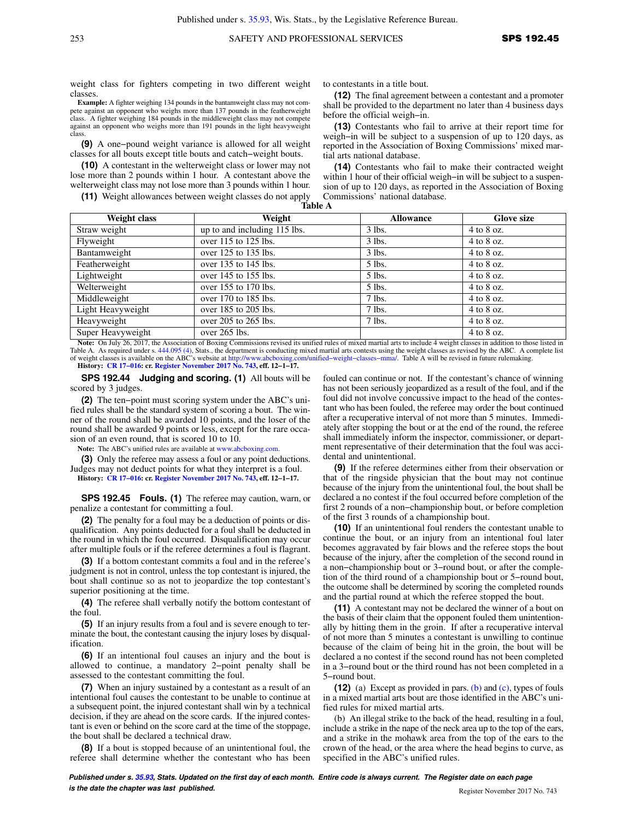weight class for fighters competing in two different weight classes.

**Example:** A fighter weighing 134 pounds in the bantamweight class may not compete against an opponent who weighs more than 137 pounds in the featherweight class. A fighter weighing 184 pounds in the middleweight class may not compete against an opponent who weighs more than 191 pounds in the light heavyweight class

**(9)** A one−pound weight variance is allowed for all weight classes for all bouts except title bouts and catch−weight bouts.

**(10)** A contestant in the welterweight class or lower may not lose more than 2 pounds within 1 hour. A contestant above the welterweight class may not lose more than 3 pounds within 1 hour.

**(11)** Weight allowances between weight classes do not apply

to contestants in a title bout.

**(12)** The final agreement between a contestant and a promoter shall be provided to the department no later than 4 business days before the official weigh−in.

**(13)** Contestants who fail to arrive at their report time for weigh−in will be subject to a suspension of up to 120 days, as reported in the Association of Boxing Commissions' mixed martial arts national database.

**(14)** Contestants who fail to make their contracted weight within 1 hour of their official weigh-in will be subject to a suspension of up to 120 days, as reported in the Association of Boxing Commissions' national database.

| Weight class                                                                                                                                                             | Weight                       | <b>Allowance</b> | <b>Glove size</b> |
|--------------------------------------------------------------------------------------------------------------------------------------------------------------------------|------------------------------|------------------|-------------------|
| Straw weight                                                                                                                                                             | up to and including 115 lbs. | $3$ lbs.         | $4$ to $8$ oz.    |
| Flyweight                                                                                                                                                                | over 115 to 125 lbs.         | $3$ lbs.         | $4$ to $8$ oz.    |
| Bantamweight                                                                                                                                                             | over 125 to 135 lbs.         | $3$ lbs.         | $4$ to $8$ oz.    |
| Featherweight                                                                                                                                                            | over 135 to 145 lbs.         | $5$ lbs.         | $4$ to $8$ oz.    |
| Lightweight                                                                                                                                                              | over 145 to 155 lbs.         | $5$ lbs.         | $4$ to $8$ oz.    |
| Welterweight                                                                                                                                                             | over 155 to 170 lbs.         | $5$ lbs.         | $4$ to $8$ oz.    |
| Middleweight                                                                                                                                                             | over 170 to 185 lbs.         | $7$ lbs.         | $4$ to $8$ oz.    |
| Light Heavyweight                                                                                                                                                        | over 185 to 205 lbs.         | $7$ lbs.         | $4$ to $8$ oz.    |
| Heavyweight                                                                                                                                                              | over 205 to 265 lbs.         | $7$ lbs.         | $4$ to $8$ oz.    |
| Super Heavyweight                                                                                                                                                        | over 265 lbs.                |                  | $4$ to $8$ oz.    |
| Note: On July 26, 2017, the Association of Boxing Commissions revised its unified rules of mixed martial arts to include 4 weight classes in addition to those listed in |                              |                  |                   |

Note: On July 26, 2017, the Association of Boxing Commissions revised its unified rules of mixed martial arts to include 4 weight classes in addition to those listed in Table A. As required under s. [444.095 \(4\)](https://docs.legis.wisconsin.gov/document/statutes/444.095(4)), Stats., th of weight classes is available on the ABC's website at [http://www.abcboxing.com/unified−weight−classes−mma/.](http://www.abcboxing.com/unified-weight-classes-mma/) Table A will be revised in future rulemaking. **History: [CR 17−016](https://docs.legis.wisconsin.gov/document/cr/2017/16): cr. [Register November 2017 No. 743](https://docs.legis.wisconsin.gov/document/register/743/B/toc), eff. 12−1−17.**

**SPS 192.44 Judging and scoring. (1)** All bouts will be scored by 3 judges.

**(2)** The ten−point must scoring system under the ABC's unified rules shall be the standard system of scoring a bout. The winner of the round shall be awarded 10 points, and the loser of the round shall be awarded 9 points or less, except for the rare occasion of an even round, that is scored 10 to 10.

**Note:** The ABC's unified rules are available at [www.abcboxing.com.](http://www.abcboxing.com)

**(3)** Only the referee may assess a foul or any point deductions. Judges may not deduct points for what they interpret is a foul. **History: [CR 17−016](https://docs.legis.wisconsin.gov/document/cr/2017/16): cr. [Register November 2017 No. 743](https://docs.legis.wisconsin.gov/document/register/743/B/toc), eff. 12−1−17.**

**SPS 192.45 Fouls. (1)** The referee may caution, warn, or penalize a contestant for committing a foul.

**(2)** The penalty for a foul may be a deduction of points or disqualification. Any points deducted for a foul shall be deducted in the round in which the foul occurred. Disqualification may occur after multiple fouls or if the referee determines a foul is flagrant.

**(3)** If a bottom contestant commits a foul and in the referee's judgment is not in control, unless the top contestant is injured, the bout shall continue so as not to jeopardize the top contestant's superior positioning at the time.

**(4)** The referee shall verbally notify the bottom contestant of the foul.

**(5)** If an injury results from a foul and is severe enough to terminate the bout, the contestant causing the injury loses by disqualification.

**(6)** If an intentional foul causes an injury and the bout is allowed to continue, a mandatory 2−point penalty shall be assessed to the contestant committing the foul.

**(7)** When an injury sustained by a contestant as a result of an intentional foul causes the contestant to be unable to continue at a subsequent point, the injured contestant shall win by a technical decision, if they are ahead on the score cards. If the injured contestant is even or behind on the score card at the time of the stoppage, the bout shall be declared a technical draw.

**(8)** If a bout is stopped because of an unintentional foul, the referee shall determine whether the contestant who has been

fouled can continue or not. If the contestant's chance of winning has not been seriously jeopardized as a result of the foul, and if the foul did not involve concussive impact to the head of the contestant who has been fouled, the referee may order the bout continued after a recuperative interval of not more than 5 minutes. Immediately after stopping the bout or at the end of the round, the referee shall immediately inform the inspector, commissioner, or department representative of their determination that the foul was accidental and unintentional.

**(9)** If the referee determines either from their observation or that of the ringside physician that the bout may not continue because of the injury from the unintentional foul, the bout shall be declared a no contest if the foul occurred before completion of the first 2 rounds of a non−championship bout, or before completion of the first 3 rounds of a championship bout.

**(10)** If an unintentional foul renders the contestant unable to continue the bout, or an injury from an intentional foul later becomes aggravated by fair blows and the referee stops the bout because of the injury, after the completion of the second round in a non−championship bout or 3−round bout, or after the completion of the third round of a championship bout or 5−round bout, the outcome shall be determined by scoring the completed rounds and the partial round at which the referee stopped the bout.

**(11)** A contestant may not be declared the winner of a bout on the basis of their claim that the opponent fouled them unintentionally by hitting them in the groin. If after a recuperative interval of not more than 5 minutes a contestant is unwilling to continue because of the claim of being hit in the groin, the bout will be declared a no contest if the second round has not been completed in a 3−round bout or the third round has not been completed in a 5−round bout.

**(12)** (a) Except as provided in pars. [\(b\)](https://docs.legis.wisconsin.gov/document/administrativecode/SPS%20192.45(12)(b)) and [\(c\)](https://docs.legis.wisconsin.gov/document/administrativecode/SPS%20192.45(12)(c)), types of fouls in a mixed martial arts bout are those identified in the ABC's unified rules for mixed martial arts.

(b) An illegal strike to the back of the head, resulting in a foul, include a strike in the nape of the neck area up to the top of the ears, and a strike in the mohawk area from the top of the ears to the crown of the head, or the area where the head begins to curve, as specified in the ABC's unified rules.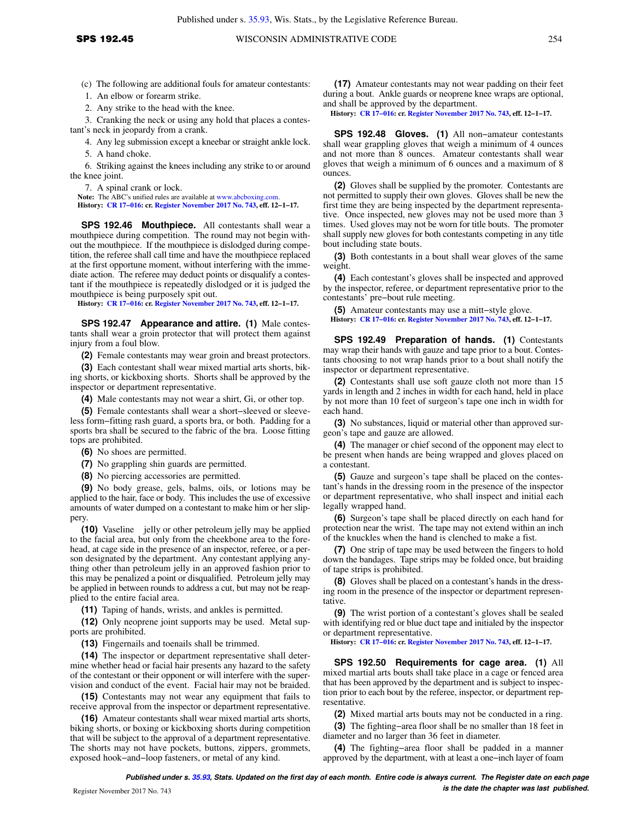(c) The following are additional fouls for amateur contestants:

1. An elbow or forearm strike.

2. Any strike to the head with the knee.

3. Cranking the neck or using any hold that places a contestant's neck in jeopardy from a crank.

4. Any leg submission except a kneebar or straight ankle lock.

5. A hand choke.

6. Striking against the knees including any strike to or around the knee joint.

7. A spinal crank or lock.

Note: The ABC's unified rules are available at [www.abcboxing.com.](http://www.abcboxing.com) **History: [CR 17−016](https://docs.legis.wisconsin.gov/document/cr/2017/16): cr. [Register November 2017 No. 743](https://docs.legis.wisconsin.gov/document/register/743/B/toc), eff. 12−1−17.**

**SPS 192.46 Mouthpiece.** All contestants shall wear a mouthpiece during competition. The round may not begin without the mouthpiece. If the mouthpiece is dislodged during competition, the referee shall call time and have the mouthpiece replaced at the first opportune moment, without interfering with the immediate action. The referee may deduct points or disqualify a contestant if the mouthpiece is repeatedly dislodged or it is judged the mouthpiece is being purposely spit out.

**History: [CR 17−016](https://docs.legis.wisconsin.gov/document/cr/2017/16): cr. [Register November 2017 No. 743](https://docs.legis.wisconsin.gov/document/register/743/B/toc), eff. 12−1−17.**

**SPS 192.47 Appearance and attire. (1)** Male contestants shall wear a groin protector that will protect them against injury from a foul blow.

**(2)** Female contestants may wear groin and breast protectors.

**(3)** Each contestant shall wear mixed martial arts shorts, biking shorts, or kickboxing shorts. Shorts shall be approved by the inspector or department representative.

**(4)** Male contestants may not wear a shirt, Gi, or other top.

**(5)** Female contestants shall wear a short−sleeved or sleeveless form−fitting rash guard, a sports bra, or both. Padding for a sports bra shall be secured to the fabric of the bra. Loose fitting tops are prohibited.

**(6)** No shoes are permitted.

**(7)** No grappling shin guards are permitted.

**(8)** No piercing accessories are permitted.

**(9)** No body grease, gels, balms, oils, or lotions may be applied to the hair, face or body. This includes the use of excessive amounts of water dumped on a contestant to make him or her slippery.

**(10)** Vaseline<sup>®</sup> jelly or other petroleum jelly may be applied to the facial area, but only from the cheekbone area to the forehead, at cage side in the presence of an inspector, referee, or a person designated by the department. Any contestant applying anything other than petroleum jelly in an approved fashion prior to this may be penalized a point or disqualified. Petroleum jelly may be applied in between rounds to address a cut, but may not be reapplied to the entire facial area.

**(11)** Taping of hands, wrists, and ankles is permitted.

**(12)** Only neoprene joint supports may be used. Metal supports are prohibited.

**(13)** Fingernails and toenails shall be trimmed.

**(14)** The inspector or department representative shall determine whether head or facial hair presents any hazard to the safety of the contestant or their opponent or will interfere with the supervision and conduct of the event. Facial hair may not be braided.

**(15)** Contestants may not wear any equipment that fails to receive approval from the inspector or department representative.

**(16)** Amateur contestants shall wear mixed martial arts shorts, biking shorts, or boxing or kickboxing shorts during competition that will be subject to the approval of a department representative. The shorts may not have pockets, buttons, zippers, grommets, exposed hook−and−loop fasteners, or metal of any kind.

**(17)** Amateur contestants may not wear padding on their feet during a bout. Ankle guards or neoprene knee wraps are optional, and shall be approved by the department.

**History: [CR 17−016:](https://docs.legis.wisconsin.gov/document/cr/2017/16) cr. [Register November 2017 No. 743,](https://docs.legis.wisconsin.gov/document/register/743/B/toc) eff. 12−1−17.**

**SPS 192.48 Gloves. (1)** All non−amateur contestants shall wear grappling gloves that weigh a minimum of 4 ounces and not more than 8 ounces. Amateur contestants shall wear gloves that weigh a minimum of 6 ounces and a maximum of 8 ounces.

**(2)** Gloves shall be supplied by the promoter. Contestants are not permitted to supply their own gloves. Gloves shall be new the first time they are being inspected by the department representative. Once inspected, new gloves may not be used more than 3 times. Used gloves may not be worn for title bouts. The promoter shall supply new gloves for both contestants competing in any title bout including state bouts.

**(3)** Both contestants in a bout shall wear gloves of the same weight.

**(4)** Each contestant's gloves shall be inspected and approved by the inspector, referee, or department representative prior to the contestants' pre−bout rule meeting.

**(5)** Amateur contestants may use a mitt−style glove.

**History: [CR 17−016:](https://docs.legis.wisconsin.gov/document/cr/2017/16) cr. [Register November 2017 No. 743,](https://docs.legis.wisconsin.gov/document/register/743/B/toc) eff. 12−1−17.**

**SPS 192.49 Preparation of hands. (1)** Contestants may wrap their hands with gauze and tape prior to a bout. Contestants choosing to not wrap hands prior to a bout shall notify the inspector or department representative.

**(2)** Contestants shall use soft gauze cloth not more than 15 yards in length and 2 inches in width for each hand, held in place by not more than 10 feet of surgeon's tape one inch in width for each hand.

**(3)** No substances, liquid or material other than approved surgeon's tape and gauze are allowed.

**(4)** The manager or chief second of the opponent may elect to be present when hands are being wrapped and gloves placed on a contestant.

**(5)** Gauze and surgeon's tape shall be placed on the contestant's hands in the dressing room in the presence of the inspector or department representative, who shall inspect and initial each legally wrapped hand.

**(6)** Surgeon's tape shall be placed directly on each hand for protection near the wrist. The tape may not extend within an inch of the knuckles when the hand is clenched to make a fist.

**(7)** One strip of tape may be used between the fingers to hold down the bandages. Tape strips may be folded once, but braiding of tape strips is prohibited.

**(8)** Gloves shall be placed on a contestant's hands in the dressing room in the presence of the inspector or department representative.

**(9)** The wrist portion of a contestant's gloves shall be sealed with identifying red or blue duct tape and initialed by the inspector or department representative.

**History: [CR 17−016:](https://docs.legis.wisconsin.gov/document/cr/2017/16) cr. [Register November 2017 No. 743,](https://docs.legis.wisconsin.gov/document/register/743/B/toc) eff. 12−1−17.**

**SPS 192.50 Requirements for cage area. (1)** All mixed martial arts bouts shall take place in a cage or fenced area that has been approved by the department and is subject to inspection prior to each bout by the referee, inspector, or department representative.

**(2)** Mixed martial arts bouts may not be conducted in a ring.

**(3)** The fighting−area floor shall be no smaller than 18 feet in diameter and no larger than 36 feet in diameter.

**(4)** The fighting−area floor shall be padded in a manner approved by the department, with at least a one−inch layer of foam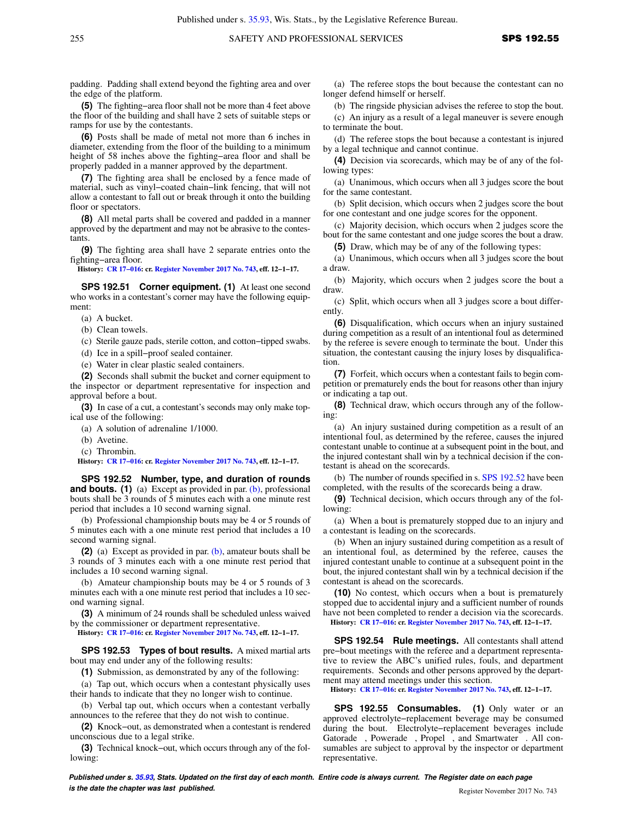padding. Padding shall extend beyond the fighting area and over the edge of the platform.

**(5)** The fighting−area floor shall not be more than 4 feet above the floor of the building and shall have 2 sets of suitable steps or ramps for use by the contestants.

**(6)** Posts shall be made of metal not more than 6 inches in diameter, extending from the floor of the building to a minimum height of 58 inches above the fighting−area floor and shall be properly padded in a manner approved by the department.

**(7)** The fighting area shall be enclosed by a fence made of material, such as vinyl−coated chain−link fencing, that will not allow a contestant to fall out or break through it onto the building floor or spectators.

**(8)** All metal parts shall be covered and padded in a manner approved by the department and may not be abrasive to the contestants.

**(9)** The fighting area shall have 2 separate entries onto the fighting−area floor.

**History: [CR 17−016](https://docs.legis.wisconsin.gov/document/cr/2017/16): cr. [Register November 2017 No. 743](https://docs.legis.wisconsin.gov/document/register/743/B/toc), eff. 12−1−17.**

**SPS 192.51 Corner equipment. (1)** At least one second who works in a contestant's corner may have the following equipment:

(a) A bucket.

(b) Clean towels.

(c) Sterile gauze pads, sterile cotton, and cotton−tipped swabs.

(d) Ice in a spill−proof sealed container.

(e) Water in clear plastic sealed containers.

**(2)** Seconds shall submit the bucket and corner equipment to the inspector or department representative for inspection and approval before a bout.

**(3)** In case of a cut, a contestant's seconds may only make topical use of the following:

(a) A solution of adrenaline 1/1000.

(b) Avetine.

(c) Thrombin.

**History: [CR 17−016](https://docs.legis.wisconsin.gov/document/cr/2017/16): cr. [Register November 2017 No. 743](https://docs.legis.wisconsin.gov/document/register/743/B/toc), eff. 12−1−17.**

**SPS 192.52 Number, type, and duration of rounds and bouts. (1)** (a) Except as provided in par. [\(b\)](https://docs.legis.wisconsin.gov/document/administrativecode/SPS%20192.52(1)(b)), professional bouts shall be 3 rounds of 5 minutes each with a one minute rest period that includes a 10 second warning signal.

(b) Professional championship bouts may be 4 or 5 rounds of 5 minutes each with a one minute rest period that includes a 10 second warning signal.

**(2)** (a) Except as provided in par. [\(b\),](https://docs.legis.wisconsin.gov/document/administrativecode/SPS%20192.52(2)(b)) amateur bouts shall be 3 rounds of 3 minutes each with a one minute rest period that includes a 10 second warning signal.

(b) Amateur championship bouts may be 4 or 5 rounds of 3 minutes each with a one minute rest period that includes a 10 second warning signal.

**(3)** A minimum of 24 rounds shall be scheduled unless waived by the commissioner or department representative.

**History: [CR 17−016](https://docs.legis.wisconsin.gov/document/cr/2017/16): cr. [Register November 2017 No. 743](https://docs.legis.wisconsin.gov/document/register/743/B/toc), eff. 12−1−17.**

**SPS 192.53 Types of bout results.** A mixed martial arts bout may end under any of the following results:

**(1)** Submission, as demonstrated by any of the following:

(a) Tap out, which occurs when a contestant physically uses their hands to indicate that they no longer wish to continue.

(b) Verbal tap out, which occurs when a contestant verbally announces to the referee that they do not wish to continue.

**(2)** Knock−out, as demonstrated when a contestant is rendered unconscious due to a legal strike.

**(3)** Technical knock−out, which occurs through any of the following:

(a) The referee stops the bout because the contestant can no longer defend himself or herself.

(b) The ringside physician advises the referee to stop the bout.

(c) An injury as a result of a legal maneuver is severe enough to terminate the bout.

(d) The referee stops the bout because a contestant is injured by a legal technique and cannot continue.

**(4)** Decision via scorecards, which may be of any of the following types:

(a) Unanimous, which occurs when all 3 judges score the bout for the same contestant.

(b) Split decision, which occurs when 2 judges score the bout for one contestant and one judge scores for the opponent.

(c) Majority decision, which occurs when 2 judges score the bout for the same contestant and one judge scores the bout a draw.

**(5)** Draw, which may be of any of the following types:

(a) Unanimous, which occurs when all 3 judges score the bout a draw.

(b) Majority, which occurs when 2 judges score the bout a draw.

(c) Split, which occurs when all 3 judges score a bout differently.

**(6)** Disqualification, which occurs when an injury sustained during competition as a result of an intentional foul as determined by the referee is severe enough to terminate the bout. Under this situation, the contestant causing the injury loses by disqualification.

**(7)** Forfeit, which occurs when a contestant fails to begin competition or prematurely ends the bout for reasons other than injury or indicating a tap out.

**(8)** Technical draw, which occurs through any of the following:

(a) An injury sustained during competition as a result of an intentional foul, as determined by the referee, causes the injured contestant unable to continue at a subsequent point in the bout, and the injured contestant shall win by a technical decision if the contestant is ahead on the scorecards.

(b) The number of rounds specified in s. [SPS 192.52](https://docs.legis.wisconsin.gov/document/administrativecode/SPS%20192.52) have been completed, with the results of the scorecards being a draw.

**(9)** Technical decision, which occurs through any of the following:

(a) When a bout is prematurely stopped due to an injury and a contestant is leading on the scorecards.

(b) When an injury sustained during competition as a result of an intentional foul, as determined by the referee, causes the injured contestant unable to continue at a subsequent point in the bout, the injured contestant shall win by a technical decision if the contestant is ahead on the scorecards.

**(10)** No contest, which occurs when a bout is prematurely stopped due to accidental injury and a sufficient number of rounds have not been completed to render a decision via the scorecards. **History: [CR 17−016:](https://docs.legis.wisconsin.gov/document/cr/2017/16) cr. [Register November 2017 No. 743,](https://docs.legis.wisconsin.gov/document/register/743/B/toc) eff. 12−1−17.**

**SPS 192.54 Rule meetings.** All contestants shall attend pre−bout meetings with the referee and a department representative to review the ABC's unified rules, fouls, and department requirements. Seconds and other persons approved by the department may attend meetings under this section.

**History: [CR 17−016:](https://docs.legis.wisconsin.gov/document/cr/2017/16) cr. [Register November 2017 No. 743,](https://docs.legis.wisconsin.gov/document/register/743/B/toc) eff. 12−1−17.**

**SPS 192.55 Consumables. (1)** Only water or an approved electrolyte−replacement beverage may be consumed during the bout. Electrolyte−replacement beverages include Gatorade®, Powerade®, Propel®, and Smartwater®. All consumables are subject to approval by the inspector or department representative.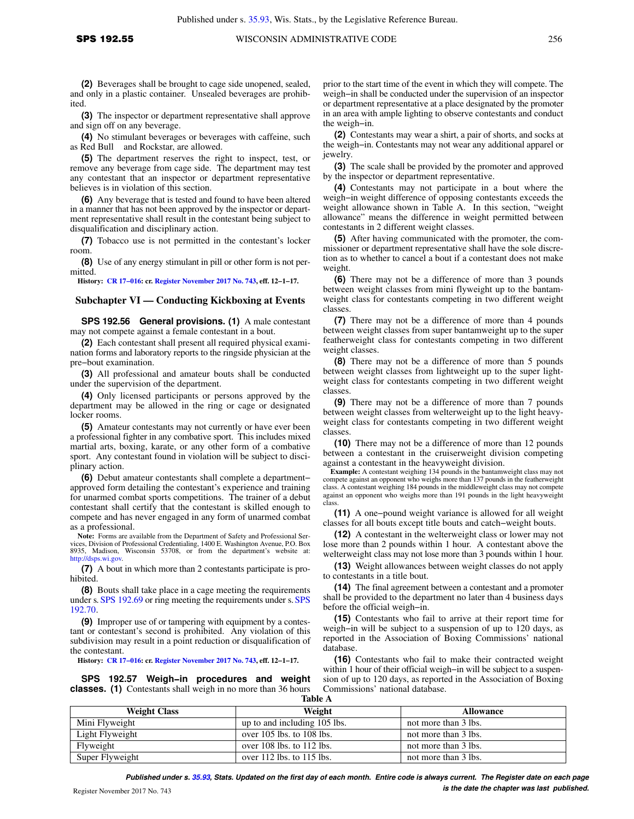**(2)** Beverages shall be brought to cage side unopened, sealed, and only in a plastic container. Unsealed beverages are prohibited.

**(3)** The inspector or department representative shall approve and sign off on any beverage.

**(4)** No stimulant beverages or beverages with caffeine, such as Red Bull<sup>®</sup> and Rockstar, are allowed.

**(5)** The department reserves the right to inspect, test, or remove any beverage from cage side. The department may test any contestant that an inspector or department representative believes is in violation of this section.

**(6)** Any beverage that is tested and found to have been altered in a manner that has not been approved by the inspector or department representative shall result in the contestant being subject to disqualification and disciplinary action.

**(7)** Tobacco use is not permitted in the contestant's locker room.

**(8)** Use of any energy stimulant in pill or other form is not permitted.

**History: [CR 17−016](https://docs.legis.wisconsin.gov/document/cr/2017/16): cr. [Register November 2017 No. 743](https://docs.legis.wisconsin.gov/document/register/743/B/toc), eff. 12−1−17.**

# **Subchapter VI — Conducting Kickboxing at Events**

**SPS 192.56 General provisions. (1)** A male contestant may not compete against a female contestant in a bout.

**(2)** Each contestant shall present all required physical examination forms and laboratory reports to the ringside physician at the pre−bout examination.

**(3)** All professional and amateur bouts shall be conducted under the supervision of the department.

**(4)** Only licensed participants or persons approved by the department may be allowed in the ring or cage or designated locker rooms.

**(5)** Amateur contestants may not currently or have ever been a professional fighter in any combative sport. This includes mixed martial arts, boxing, karate, or any other form of a combative sport. Any contestant found in violation will be subject to disciplinary action.

**(6)** Debut amateur contestants shall complete a department− approved form detailing the contestant's experience and training for unarmed combat sports competitions. The trainer of a debut contestant shall certify that the contestant is skilled enough to compete and has never engaged in any form of unarmed combat as a professional.

**Note:** Forms are available from the Department of Safety and Professional Services, Division of Professional Credentialing, 1400 E. Washington Avenue, P.O. Box 8935, Madison, Wisconsin 53708, or from the department's website at: [http://dsps.wi.gov.](http://dsps.wi.gov)

**(7)** A bout in which more than 2 contestants participate is prohibited.

**(8)** Bouts shall take place in a cage meeting the requirements under s. [SPS 192.69](https://docs.legis.wisconsin.gov/document/administrativecode/SPS%20192.69) or ring meeting the requirements under s.[SPS](https://docs.legis.wisconsin.gov/document/administrativecode/SPS%20192.70) [192.70.](https://docs.legis.wisconsin.gov/document/administrativecode/SPS%20192.70)

**(9)** Improper use of or tampering with equipment by a contestant or contestant's second is prohibited. Any violation of this subdivision may result in a point reduction or disqualification of the contestant.

**History: [CR 17−016](https://docs.legis.wisconsin.gov/document/cr/2017/16): cr. [Register November 2017 No. 743](https://docs.legis.wisconsin.gov/document/register/743/B/toc), eff. 12−1−17.**

**SPS 192.57 Weigh−in procedures and weight classes. (1)** Contestants shall weigh in no more than 36 hours **Table A**

prior to the start time of the event in which they will compete. The weigh−in shall be conducted under the supervision of an inspector or department representative at a place designated by the promoter in an area with ample lighting to observe contestants and conduct the weigh−in.

**(2)** Contestants may wear a shirt, a pair of shorts, and socks at the weigh−in. Contestants may not wear any additional apparel or jewelry.

**(3)** The scale shall be provided by the promoter and approved by the inspector or department representative.

**(4)** Contestants may not participate in a bout where the weigh−in weight difference of opposing contestants exceeds the weight allowance shown in Table A. In this section, "weight allowance" means the difference in weight permitted between contestants in 2 different weight classes.

**(5)** After having communicated with the promoter, the commissioner or department representative shall have the sole discretion as to whether to cancel a bout if a contestant does not make weight.

**(6)** There may not be a difference of more than 3 pounds between weight classes from mini flyweight up to the bantamweight class for contestants competing in two different weight classes.

**(7)** There may not be a difference of more than 4 pounds between weight classes from super bantamweight up to the super featherweight class for contestants competing in two different weight classes.

**(8)** There may not be a difference of more than 5 pounds between weight classes from lightweight up to the super lightweight class for contestants competing in two different weight classes.

**(9)** There may not be a difference of more than 7 pounds between weight classes from welterweight up to the light heavyweight class for contestants competing in two different weight classes.

**(10)** There may not be a difference of more than 12 pounds between a contestant in the cruiserweight division competing against a contestant in the heavyweight division.

**Example:** A contestant weighing 134 pounds in the bantamweight class may not compete against an opponent who weighs more than 137 pounds in the featherweight class. A contestant weighing 184 pounds in the middleweight class may not compete against an opponent who weighs more than 191 pounds in the light heavyweight class.

**(11)** A one−pound weight variance is allowed for all weight classes for all bouts except title bouts and catch−weight bouts.

**(12)** A contestant in the welterweight class or lower may not lose more than 2 pounds within 1 hour. A contestant above the welterweight class may not lose more than 3 pounds within 1 hour.

**(13)** Weight allowances between weight classes do not apply to contestants in a title bout.

**(14)** The final agreement between a contestant and a promoter shall be provided to the department no later than 4 business days before the official weigh−in.

**(15)** Contestants who fail to arrive at their report time for weigh−in will be subject to a suspension of up to 120 days, as reported in the Association of Boxing Commissions' national database.

**(16)** Contestants who fail to make their contracted weight within 1 hour of their official weigh-in will be subject to a suspension of up to 120 days, as reported in the Association of Boxing Commissions' national database.

| .                   |                               |                      |  |
|---------------------|-------------------------------|----------------------|--|
| <b>Weight Class</b> | Weight                        | <b>Allowance</b>     |  |
| Mini Flyweight      | up to and including 105 lbs.  | not more than 3 lbs. |  |
| Light Flyweight     | over $105$ lbs. to $108$ lbs. | not more than 3 lbs. |  |
| Flyweight           | over $108$ lbs. to $112$ lbs. | not more than 3 lbs. |  |
| Super Flyweight     | over $112$ lbs. to $115$ lbs. | not more than 3 lbs. |  |

**Published under s. [35.93,](https://docs.legis.wisconsin.gov/document/statutes/35.93) Stats. Updated on the first day of each month. Entire code is always current. The Register date on each page is the date the chapter was last published. is the date the chapter was last published.**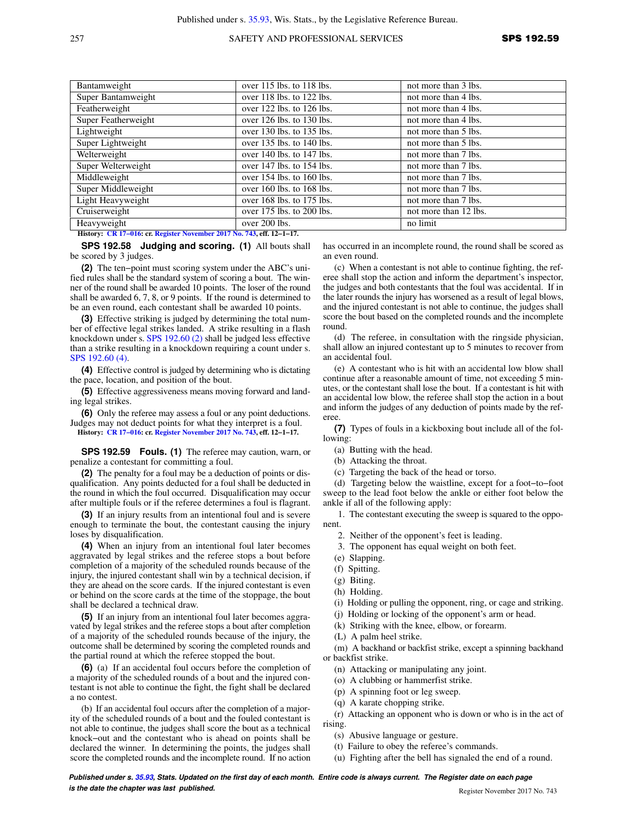## 257 SAFETY AND PROFESSIONAL SERVICES **SPS 192.59**

| over 115 lbs. to 118 lbs.     | not more than 3 lbs.  |
|-------------------------------|-----------------------|
| over 118 lbs. to 122 lbs.     | not more than 4 lbs.  |
| over 122 lbs. to 126 lbs.     | not more than 4 lbs.  |
| over 126 lbs. to 130 lbs.     | not more than 4 lbs.  |
| over 130 lbs. to 135 lbs.     | not more than 5 lbs.  |
| over 135 lbs. to 140 lbs.     | not more than 5 lbs.  |
| over 140 lbs. to 147 lbs.     | not more than 7 lbs.  |
| over 147 lbs. to 154 lbs.     | not more than 7 lbs.  |
| over 154 lbs. to 160 lbs.     | not more than 7 lbs.  |
| over $160$ lbs. to $168$ lbs. | not more than 7 lbs.  |
| over 168 lbs. to 175 lbs.     | not more than 7 lbs.  |
| over 175 lbs. to 200 lbs.     | not more than 12 lbs. |
| over 200 lbs.                 | no limit              |
|                               |                       |

**History: [CR 17−016](https://docs.legis.wisconsin.gov/document/cr/2017/16): cr. [Register November 2017 No. 743](https://docs.legis.wisconsin.gov/document/register/743/B/toc), eff. 12−1−17.**

**SPS 192.58 Judging and scoring. (1)** All bouts shall be scored by 3 judges.

**(2)** The ten−point must scoring system under the ABC's unified rules shall be the standard system of scoring a bout. The winner of the round shall be awarded 10 points. The loser of the round shall be awarded 6, 7, 8, or 9 points. If the round is determined to be an even round, each contestant shall be awarded 10 points.

**(3)** Effective striking is judged by determining the total number of effective legal strikes landed. A strike resulting in a flash knockdown under s. [SPS 192.60 \(2\)](https://docs.legis.wisconsin.gov/document/administrativecode/SPS%20192.60(2)) shall be judged less effective than a strike resulting in a knockdown requiring a count under s. [SPS 192.60 \(4\).](https://docs.legis.wisconsin.gov/document/administrativecode/SPS%20192.60(4))

**(4)** Effective control is judged by determining who is dictating the pace, location, and position of the bout.

**(5)** Effective aggressiveness means moving forward and landing legal strikes.

**(6)** Only the referee may assess a foul or any point deductions. Judges may not deduct points for what they interpret is a foul. **History: [CR 17−016](https://docs.legis.wisconsin.gov/document/cr/2017/16): cr. [Register November 2017 No. 743](https://docs.legis.wisconsin.gov/document/register/743/B/toc), eff. 12−1−17.**

**SPS 192.59 Fouls. (1)** The referee may caution, warn, or penalize a contestant for committing a foul.

**(2)** The penalty for a foul may be a deduction of points or disqualification. Any points deducted for a foul shall be deducted in the round in which the foul occurred. Disqualification may occur after multiple fouls or if the referee determines a foul is flagrant.

**(3)** If an injury results from an intentional foul and is severe enough to terminate the bout, the contestant causing the injury loses by disqualification.

**(4)** When an injury from an intentional foul later becomes aggravated by legal strikes and the referee stops a bout before completion of a majority of the scheduled rounds because of the injury, the injured contestant shall win by a technical decision, if they are ahead on the score cards. If the injured contestant is even or behind on the score cards at the time of the stoppage, the bout shall be declared a technical draw.

**(5)** If an injury from an intentional foul later becomes aggravated by legal strikes and the referee stops a bout after completion of a majority of the scheduled rounds because of the injury, the outcome shall be determined by scoring the completed rounds and the partial round at which the referee stopped the bout.

**(6)** (a) If an accidental foul occurs before the completion of a majority of the scheduled rounds of a bout and the injured contestant is not able to continue the fight, the fight shall be declared a no contest.

(b) If an accidental foul occurs after the completion of a majority of the scheduled rounds of a bout and the fouled contestant is not able to continue, the judges shall score the bout as a technical knock−out and the contestant who is ahead on points shall be declared the winner. In determining the points, the judges shall score the completed rounds and the incomplete round. If no action has occurred in an incomplete round, the round shall be scored as an even round.

(c) When a contestant is not able to continue fighting, the referee shall stop the action and inform the department's inspector, the judges and both contestants that the foul was accidental. If in the later rounds the injury has worsened as a result of legal blows, and the injured contestant is not able to continue, the judges shall score the bout based on the completed rounds and the incomplete round.

(d) The referee, in consultation with the ringside physician, shall allow an injured contestant up to 5 minutes to recover from an accidental foul.

(e) A contestant who is hit with an accidental low blow shall continue after a reasonable amount of time, not exceeding 5 minutes, or the contestant shall lose the bout. If a contestant is hit with an accidental low blow, the referee shall stop the action in a bout and inform the judges of any deduction of points made by the referee.

**(7)** Types of fouls in a kickboxing bout include all of the following:

- (a) Butting with the head.
- (b) Attacking the throat.
- (c) Targeting the back of the head or torso.

(d) Targeting below the waistline, except for a foot−to−foot sweep to the lead foot below the ankle or either foot below the ankle if all of the following apply:

1. The contestant executing the sweep is squared to the opponent.

- 2. Neither of the opponent's feet is leading.
- 3. The opponent has equal weight on both feet.
- (e) Slapping.
- (f) Spitting.
- (g) Biting.
- (h) Holding.
- (i) Holding or pulling the opponent, ring, or cage and striking.
- (j) Holding or locking of the opponent's arm or head.
- (k) Striking with the knee, elbow, or forearm.
- (L) A palm heel strike.

(m) A backhand or backfist strike, except a spinning backhand or backfist strike.

- (n) Attacking or manipulating any joint.
- (o) A clubbing or hammerfist strike.
- (p) A spinning foot or leg sweep.
- (q) A karate chopping strike.

(r) Attacking an opponent who is down or who is in the act of rising.

- (s) Abusive language or gesture.
- (t) Failure to obey the referee's commands.
- (u) Fighting after the bell has signaled the end of a round.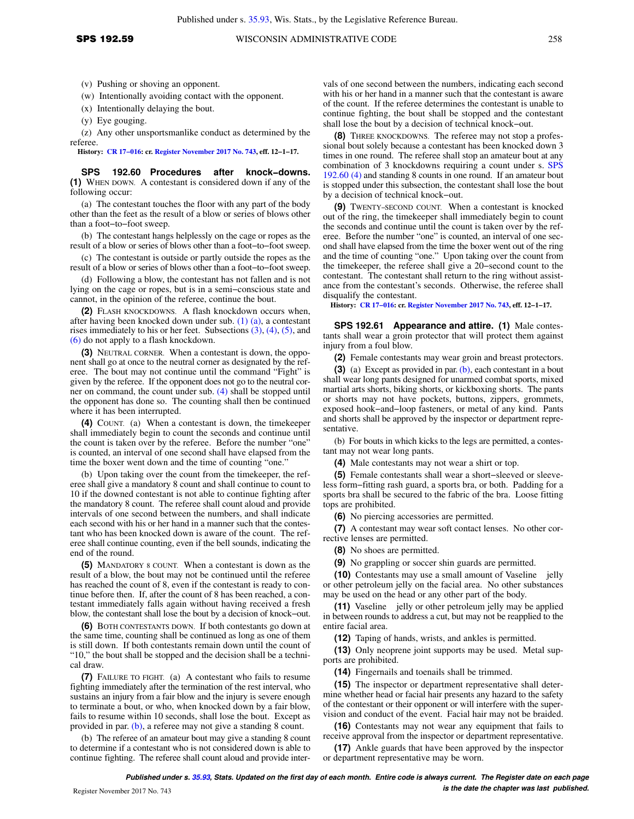(v) Pushing or shoving an opponent.

(w) Intentionally avoiding contact with the opponent.

(x) Intentionally delaying the bout.

(y) Eye gouging.

(z) Any other unsportsmanlike conduct as determined by the referee.

**History: [CR 17−016](https://docs.legis.wisconsin.gov/document/cr/2017/16): cr. [Register November 2017 No. 743](https://docs.legis.wisconsin.gov/document/register/743/B/toc), eff. 12−1−17.**

**SPS 192.60 Procedures after knock−downs. (1)** WHEN DOWN. A contestant is considered down if any of the following occur:

(a) The contestant touches the floor with any part of the body other than the feet as the result of a blow or series of blows other than a foot−to−foot sweep.

(b) The contestant hangs helplessly on the cage or ropes as the result of a blow or series of blows other than a foot−to−foot sweep.

(c) The contestant is outside or partly outside the ropes as the result of a blow or series of blows other than a foot−to−foot sweep.

(d) Following a blow, the contestant has not fallen and is not lying on the cage or ropes, but is in a semi−conscious state and cannot, in the opinion of the referee, continue the bout.

**(2)** FLASH KNOCKDOWNS. A flash knockdown occurs when, after having been knocked down under sub. [\(1\) \(a\)](https://docs.legis.wisconsin.gov/document/administrativecode/SPS%20192.60(1)(a)), a contestant rises immediately to his or her feet. Subsections [\(3\)](https://docs.legis.wisconsin.gov/document/administrativecode/SPS%20192.60(3)), [\(4\),](https://docs.legis.wisconsin.gov/document/administrativecode/SPS%20192.60(4)) [\(5\),](https://docs.legis.wisconsin.gov/document/administrativecode/SPS%20192.60(5)) and [\(6\)](https://docs.legis.wisconsin.gov/document/administrativecode/SPS%20192.60(6)) do not apply to a flash knockdown.

**(3)** NEUTRAL CORNER. When a contestant is down, the opponent shall go at once to the neutral corner as designated by the referee. The bout may not continue until the command "Fight" is given by the referee. If the opponent does not go to the neutral corner on command, the count under sub. [\(4\)](https://docs.legis.wisconsin.gov/document/administrativecode/SPS%20192.60(4)) shall be stopped until the opponent has done so. The counting shall then be continued where it has been interrupted.

**(4)** COUNT. (a) When a contestant is down, the timekeeper shall immediately begin to count the seconds and continue until the count is taken over by the referee. Before the number "one" is counted, an interval of one second shall have elapsed from the time the boxer went down and the time of counting "one."

(b) Upon taking over the count from the timekeeper, the referee shall give a mandatory 8 count and shall continue to count to 10 if the downed contestant is not able to continue fighting after the mandatory 8 count. The referee shall count aloud and provide intervals of one second between the numbers, and shall indicate each second with his or her hand in a manner such that the contestant who has been knocked down is aware of the count. The referee shall continue counting, even if the bell sounds, indicating the end of the round.

**(5)** MANDATORY 8 COUNT. When a contestant is down as the result of a blow, the bout may not be continued until the referee has reached the count of 8, even if the contestant is ready to continue before then. If, after the count of 8 has been reached, a contestant immediately falls again without having received a fresh blow, the contestant shall lose the bout by a decision of knock−out.

**(6)** BOTH CONTESTANTS DOWN. If both contestants go down at the same time, counting shall be continued as long as one of them is still down. If both contestants remain down until the count of "10," the bout shall be stopped and the decision shall be a technical draw.

**(7)** FAILURE TO FIGHT. (a) A contestant who fails to resume fighting immediately after the termination of the rest interval, who sustains an injury from a fair blow and the injury is severe enough to terminate a bout, or who, when knocked down by a fair blow, fails to resume within 10 seconds, shall lose the bout. Except as provided in par. [\(b\),](https://docs.legis.wisconsin.gov/document/administrativecode/SPS%20192.60(7)(b)) a referee may not give a standing 8 count.

(b) The referee of an amateur bout may give a standing 8 count to determine if a contestant who is not considered down is able to continue fighting. The referee shall count aloud and provide inter-

vals of one second between the numbers, indicating each second with his or her hand in a manner such that the contestant is aware of the count. If the referee determines the contestant is unable to continue fighting, the bout shall be stopped and the contestant shall lose the bout by a decision of technical knock−out.

**(8)** THREE KNOCKDOWNS. The referee may not stop a professional bout solely because a contestant has been knocked down 3 times in one round. The referee shall stop an amateur bout at any combination of 3 knockdowns requiring a count under s. [SPS](https://docs.legis.wisconsin.gov/document/administrativecode/SPS%20192.60(4)) [192.60 \(4\)](https://docs.legis.wisconsin.gov/document/administrativecode/SPS%20192.60(4)) and standing 8 counts in one round. If an amateur bout is stopped under this subsection, the contestant shall lose the bout by a decision of technical knock−out.

**(9)** TWENTY−SECOND COUNT. When a contestant is knocked out of the ring, the timekeeper shall immediately begin to count the seconds and continue until the count is taken over by the referee. Before the number "one" is counted, an interval of one second shall have elapsed from the time the boxer went out of the ring and the time of counting "one." Upon taking over the count from the timekeeper, the referee shall give a 20−second count to the contestant. The contestant shall return to the ring without assistance from the contestant's seconds. Otherwise, the referee shall disqualify the contestant.

**History: [CR 17−016:](https://docs.legis.wisconsin.gov/document/cr/2017/16) cr. [Register November 2017 No. 743,](https://docs.legis.wisconsin.gov/document/register/743/B/toc) eff. 12−1−17.**

**SPS 192.61 Appearance and attire. (1)** Male contestants shall wear a groin protector that will protect them against injury from a foul blow.

**(2)** Female contestants may wear groin and breast protectors.

**(3)** (a) Except as provided in par. [\(b\)](https://docs.legis.wisconsin.gov/document/administrativecode/SPS%20192.61(3)(b)), each contestant in a bout shall wear long pants designed for unarmed combat sports, mixed martial arts shorts, biking shorts, or kickboxing shorts. The pants or shorts may not have pockets, buttons, zippers, grommets, exposed hook−and−loop fasteners, or metal of any kind. Pants and shorts shall be approved by the inspector or department representative.

(b) For bouts in which kicks to the legs are permitted, a contestant may not wear long pants.

**(4)** Male contestants may not wear a shirt or top.

**(5)** Female contestants shall wear a short−sleeved or sleeveless form−fitting rash guard, a sports bra, or both. Padding for a sports bra shall be secured to the fabric of the bra. Loose fitting tops are prohibited.

**(6)** No piercing accessories are permitted.

**(7)** A contestant may wear soft contact lenses. No other corrective lenses are permitted.

**(8)** No shoes are permitted.

**(9)** No grappling or soccer shin guards are permitted.

**(10)** Contestants may use a small amount of Vaseline<sup>®</sup> jelly or other petroleum jelly on the facial area. No other substances may be used on the head or any other part of the body.

(11) Vaseline<sup>®</sup> jelly or other petroleum jelly may be applied in between rounds to address a cut, but may not be reapplied to the entire facial area.

**(12)** Taping of hands, wrists, and ankles is permitted.

**(13)** Only neoprene joint supports may be used. Metal supports are prohibited.

**(14)** Fingernails and toenails shall be trimmed.

**(15)** The inspector or department representative shall determine whether head or facial hair presents any hazard to the safety of the contestant or their opponent or will interfere with the supervision and conduct of the event. Facial hair may not be braided.

**(16)** Contestants may not wear any equipment that fails to receive approval from the inspector or department representative.

**(17)** Ankle guards that have been approved by the inspector or department representative may be worn.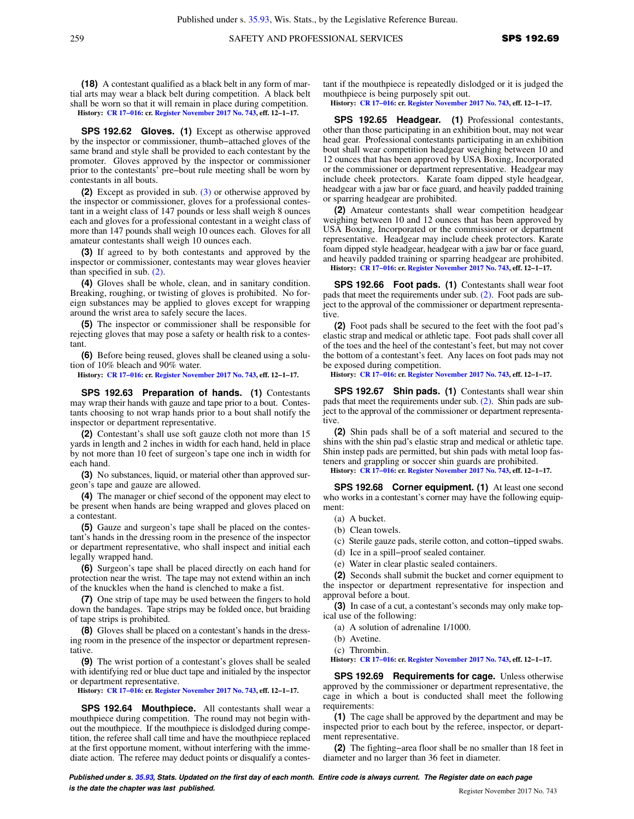**(18)** A contestant qualified as a black belt in any form of martial arts may wear a black belt during competition. A black belt shall be worn so that it will remain in place during competition. **History: [CR 17−016](https://docs.legis.wisconsin.gov/document/cr/2017/16): cr. [Register November 2017 No. 743](https://docs.legis.wisconsin.gov/document/register/743/B/toc), eff. 12−1−17.**

**SPS 192.62 Gloves. (1)** Except as otherwise approved by the inspector or commissioner, thumb−attached gloves of the same brand and style shall be provided to each contestant by the promoter. Gloves approved by the inspector or commissioner prior to the contestants' pre−bout rule meeting shall be worn by contestants in all bouts.

**(2)** Except as provided in sub. [\(3\)](https://docs.legis.wisconsin.gov/document/administrativecode/SPS%20192.62(3)) or otherwise approved by the inspector or commissioner, gloves for a professional contestant in a weight class of 147 pounds or less shall weigh 8 ounces each and gloves for a professional contestant in a weight class of more than 147 pounds shall weigh 10 ounces each. Gloves for all amateur contestants shall weigh 10 ounces each.

**(3)** If agreed to by both contestants and approved by the inspector or commissioner, contestants may wear gloves heavier than specified in sub. [\(2\)](https://docs.legis.wisconsin.gov/document/administrativecode/SPS%20192.62(2)).

**(4)** Gloves shall be whole, clean, and in sanitary condition. Breaking, roughing, or twisting of gloves is prohibited. No foreign substances may be applied to gloves except for wrapping around the wrist area to safely secure the laces.

**(5)** The inspector or commissioner shall be responsible for rejecting gloves that may pose a safety or health risk to a contestant.

**(6)** Before being reused, gloves shall be cleaned using a solution of 10% bleach and 90% water.

**History: [CR 17−016](https://docs.legis.wisconsin.gov/document/cr/2017/16): cr. [Register November 2017 No. 743](https://docs.legis.wisconsin.gov/document/register/743/B/toc), eff. 12−1−17.**

**SPS 192.63 Preparation of hands. (1)** Contestants may wrap their hands with gauze and tape prior to a bout. Contestants choosing to not wrap hands prior to a bout shall notify the inspector or department representative.

**(2)** Contestant's shall use soft gauze cloth not more than 15 yards in length and 2 inches in width for each hand, held in place by not more than 10 feet of surgeon's tape one inch in width for each hand.

**(3)** No substances, liquid, or material other than approved surgeon's tape and gauze are allowed.

**(4)** The manager or chief second of the opponent may elect to be present when hands are being wrapped and gloves placed on a contestant.

**(5)** Gauze and surgeon's tape shall be placed on the contestant's hands in the dressing room in the presence of the inspector or department representative, who shall inspect and initial each legally wrapped hand.

**(6)** Surgeon's tape shall be placed directly on each hand for protection near the wrist. The tape may not extend within an inch of the knuckles when the hand is clenched to make a fist.

**(7)** One strip of tape may be used between the fingers to hold down the bandages. Tape strips may be folded once, but braiding of tape strips is prohibited.

**(8)** Gloves shall be placed on a contestant's hands in the dressing room in the presence of the inspector or department representative.

**(9)** The wrist portion of a contestant's gloves shall be sealed with identifying red or blue duct tape and initialed by the inspector or department representative.

**History: [CR 17−016](https://docs.legis.wisconsin.gov/document/cr/2017/16): cr. [Register November 2017 No. 743](https://docs.legis.wisconsin.gov/document/register/743/B/toc), eff. 12−1−17.**

**SPS 192.64 Mouthpiece.** All contestants shall wear a mouthpiece during competition. The round may not begin without the mouthpiece. If the mouthpiece is dislodged during competition, the referee shall call time and have the mouthpiece replaced at the first opportune moment, without interfering with the immediate action. The referee may deduct points or disqualify a contestant if the mouthpiece is repeatedly dislodged or it is judged the mouthpiece is being purposely spit out.

**History: [CR 17−016:](https://docs.legis.wisconsin.gov/document/cr/2017/16) cr. [Register November 2017 No. 743,](https://docs.legis.wisconsin.gov/document/register/743/B/toc) eff. 12−1−17.**

**SPS 192.65 Headgear. (1)** Professional contestants, other than those participating in an exhibition bout, may not wear head gear. Professional contestants participating in an exhibition bout shall wear competition headgear weighing between 10 and 12 ounces that has been approved by USA Boxing, Incorporated or the commissioner or department representative. Headgear may include cheek protectors. Karate foam dipped style headgear, headgear with a jaw bar or face guard, and heavily padded training or sparring headgear are prohibited.

**(2)** Amateur contestants shall wear competition headgear weighing between 10 and 12 ounces that has been approved by USA Boxing, Incorporated or the commissioner or department representative. Headgear may include cheek protectors. Karate foam dipped style headgear, headgear with a jaw bar or face guard, and heavily padded training or sparring headgear are prohibited.

**History: [CR 17−016:](https://docs.legis.wisconsin.gov/document/cr/2017/16) cr. [Register November 2017 No. 743,](https://docs.legis.wisconsin.gov/document/register/743/B/toc) eff. 12−1−17.**

**SPS 192.66 Foot pads. (1)** Contestants shall wear foot pads that meet the requirements under sub. [\(2\).](https://docs.legis.wisconsin.gov/document/administrativecode/SPS%20192.66(2)) Foot pads are subject to the approval of the commissioner or department representative.

**(2)** Foot pads shall be secured to the feet with the foot pad's elastic strap and medical or athletic tape. Foot pads shall cover all of the toes and the heel of the contestant's feet, but may not cover the bottom of a contestant's feet. Any laces on foot pads may not be exposed during competition.

**History: [CR 17−016:](https://docs.legis.wisconsin.gov/document/cr/2017/16) cr. [Register November 2017 No. 743,](https://docs.legis.wisconsin.gov/document/register/743/B/toc) eff. 12−1−17.**

**SPS 192.67 Shin pads. (1)** Contestants shall wear shin pads that meet the requirements under sub. [\(2\).](https://docs.legis.wisconsin.gov/document/administrativecode/SPS%20192.67(2)) Shin pads are subject to the approval of the commissioner or department representative.

**(2)** Shin pads shall be of a soft material and secured to the shins with the shin pad's elastic strap and medical or athletic tape. Shin instep pads are permitted, but shin pads with metal loop fasteners and grappling or soccer shin guards are prohibited.

**History: [CR 17−016:](https://docs.legis.wisconsin.gov/document/cr/2017/16) cr. [Register November 2017 No. 743,](https://docs.legis.wisconsin.gov/document/register/743/B/toc) eff. 12−1−17.**

**SPS 192.68 Corner equipment. (1)** At least one second who works in a contestant's corner may have the following equipment:

(a) A bucket.

(b) Clean towels.

(c) Sterile gauze pads, sterile cotton, and cotton−tipped swabs.

(d) Ice in a spill−proof sealed container.

(e) Water in clear plastic sealed containers.

**(2)** Seconds shall submit the bucket and corner equipment to the inspector or department representative for inspection and approval before a bout.

**(3)** In case of a cut, a contestant's seconds may only make topical use of the following:

(a) A solution of adrenaline 1/1000.

(b) Avetine.

(c) Thrombin.

**History: [CR 17−016:](https://docs.legis.wisconsin.gov/document/cr/2017/16) cr. [Register November 2017 No. 743,](https://docs.legis.wisconsin.gov/document/register/743/B/toc) eff. 12−1−17.**

**SPS 192.69 Requirements for cage.** Unless otherwise approved by the commissioner or department representative, the cage in which a bout is conducted shall meet the following requirements:

**(1)** The cage shall be approved by the department and may be inspected prior to each bout by the referee, inspector, or department representative.

**(2)** The fighting−area floor shall be no smaller than 18 feet in diameter and no larger than 36 feet in diameter.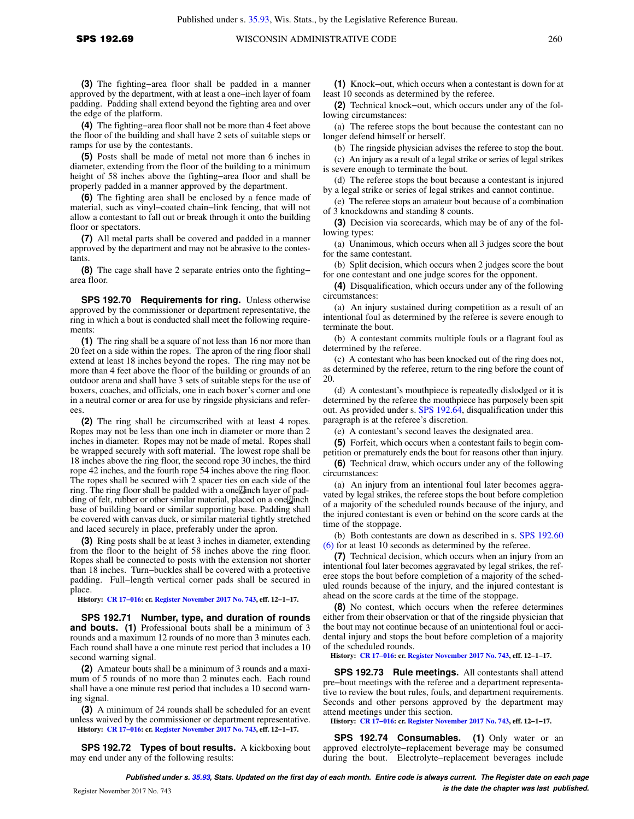**(3)** The fighting−area floor shall be padded in a manner approved by the department, with at least a one−inch layer of foam padding. Padding shall extend beyond the fighting area and over the edge of the platform.

**(4)** The fighting−area floor shall not be more than 4 feet above the floor of the building and shall have 2 sets of suitable steps or ramps for use by the contestants.

**(5)** Posts shall be made of metal not more than 6 inches in diameter, extending from the floor of the building to a minimum height of 58 inches above the fighting−area floor and shall be properly padded in a manner approved by the department.

**(6)** The fighting area shall be enclosed by a fence made of material, such as vinyl−coated chain−link fencing, that will not allow a contestant to fall out or break through it onto the building floor or spectators.

**(7)** All metal parts shall be covered and padded in a manner approved by the department and may not be abrasive to the contestants.

**(8)** The cage shall have 2 separate entries onto the fighting− area floor.

**SPS 192.70 Requirements for ring.** Unless otherwise approved by the commissioner or department representative, the ring in which a bout is conducted shall meet the following requirements:

**(1)** The ring shall be a square of not less than 16 nor more than 20 feet on a side within the ropes. The apron of the ring floor shall extend at least 18 inches beyond the ropes. The ring may not be more than 4 feet above the floor of the building or grounds of an outdoor arena and shall have 3 sets of suitable steps for the use of boxers, coaches, and officials, one in each boxer's corner and one in a neutral corner or area for use by ringside physicians and referees.

**(2)** The ring shall be circumscribed with at least 4 ropes. Ropes may not be less than one inch in diameter or more than 2 inches in diameter. Ropes may not be made of metal. Ropes shall be wrapped securely with soft material. The lowest rope shall be 18 inches above the ring floor, the second rope 30 inches, the third rope 42 inches, and the fourth rope 54 inches above the ring floor. The ropes shall be secured with 2 spacer ties on each side of the ring. The ring floor shall be padded with a one  $\angle$  inch layer of padding of felt, rubber or other similar material, placed on a one Linch base of building board or similar supporting base. Padding shall be covered with canvas duck, or similar material tightly stretched and laced securely in place, preferably under the apron.

**(3)** Ring posts shall be at least 3 inches in diameter, extending from the floor to the height of 58 inches above the ring floor. Ropes shall be connected to posts with the extension not shorter than 18 inches. Turn−buckles shall be covered with a protective padding. Full−length vertical corner pads shall be secured in place.

**History: [CR 17−016](https://docs.legis.wisconsin.gov/document/cr/2017/16): cr. [Register November 2017 No. 743](https://docs.legis.wisconsin.gov/document/register/743/B/toc), eff. 12−1−17.**

**SPS 192.71 Number, type, and duration of rounds and bouts. (1)** Professional bouts shall be a minimum of 3 rounds and a maximum 12 rounds of no more than 3 minutes each. Each round shall have a one minute rest period that includes a 10 second warning signal.

**(2)** Amateur bouts shall be a minimum of 3 rounds and a maximum of 5 rounds of no more than 2 minutes each. Each round shall have a one minute rest period that includes a 10 second warning signal.

**(3)** A minimum of 24 rounds shall be scheduled for an event unless waived by the commissioner or department representative. **History: [CR 17−016](https://docs.legis.wisconsin.gov/document/cr/2017/16): cr. [Register November 2017 No. 743](https://docs.legis.wisconsin.gov/document/register/743/B/toc), eff. 12−1−17.**

**SPS 192.72 Types of bout results.** A kickboxing bout may end under any of the following results:

**(1)** Knock−out, which occurs when a contestant is down for at least 10 seconds as determined by the referee.

**(2)** Technical knock−out, which occurs under any of the following circumstances:

(a) The referee stops the bout because the contestant can no longer defend himself or herself.

(b) The ringside physician advises the referee to stop the bout.

(c) An injury as a result of a legal strike or series of legal strikes is severe enough to terminate the bout.

(d) The referee stops the bout because a contestant is injured by a legal strike or series of legal strikes and cannot continue.

(e) The referee stops an amateur bout because of a combination of 3 knockdowns and standing 8 counts.

**(3)** Decision via scorecards, which may be of any of the following types:

(a) Unanimous, which occurs when all 3 judges score the bout for the same contestant.

(b) Split decision, which occurs when 2 judges score the bout for one contestant and one judge scores for the opponent.

**(4)** Disqualification, which occurs under any of the following circumstances:

(a) An injury sustained during competition as a result of an intentional foul as determined by the referee is severe enough to terminate the bout.

(b) A contestant commits multiple fouls or a flagrant foul as determined by the referee.

(c) A contestant who has been knocked out of the ring does not, as determined by the referee, return to the ring before the count of 20.

(d) A contestant's mouthpiece is repeatedly dislodged or it is determined by the referee the mouthpiece has purposely been spit out. As provided under s. [SPS 192.64](https://docs.legis.wisconsin.gov/document/administrativecode/SPS%20192.64), disqualification under this paragraph is at the referee's discretion.

(e) A contestant's second leaves the designated area.

**(5)** Forfeit, which occurs when a contestant fails to begin competition or prematurely ends the bout for reasons other than injury.

**(6)** Technical draw, which occurs under any of the following circumstances:

(a) An injury from an intentional foul later becomes aggravated by legal strikes, the referee stops the bout before completion of a majority of the scheduled rounds because of the injury, and the injured contestant is even or behind on the score cards at the time of the stoppage.

(b) Both contestants are down as described in s. [SPS 192.60](https://docs.legis.wisconsin.gov/document/administrativecode/SPS%20192.60(6)) [\(6\)](https://docs.legis.wisconsin.gov/document/administrativecode/SPS%20192.60(6)) for at least 10 seconds as determined by the referee.

**(7)** Technical decision, which occurs when an injury from an intentional foul later becomes aggravated by legal strikes, the referee stops the bout before completion of a majority of the scheduled rounds because of the injury, and the injured contestant is ahead on the score cards at the time of the stoppage.

**(8)** No contest, which occurs when the referee determines either from their observation or that of the ringside physician that the bout may not continue because of an unintentional foul or accidental injury and stops the bout before completion of a majority of the scheduled rounds.

**History: [CR 17−016:](https://docs.legis.wisconsin.gov/document/cr/2017/16) cr. [Register November 2017 No. 743,](https://docs.legis.wisconsin.gov/document/register/743/B/toc) eff. 12−1−17.**

**SPS 192.73 Rule meetings.** All contestants shall attend pre−bout meetings with the referee and a department representative to review the bout rules, fouls, and department requirements. Seconds and other persons approved by the department may attend meetings under this section.

**History: [CR 17−016:](https://docs.legis.wisconsin.gov/document/cr/2017/16) cr. [Register November 2017 No. 743,](https://docs.legis.wisconsin.gov/document/register/743/B/toc) eff. 12−1−17.**

**SPS 192.74 Consumables. (1)** Only water or an approved electrolyte−replacement beverage may be consumed during the bout. Electrolyte−replacement beverages include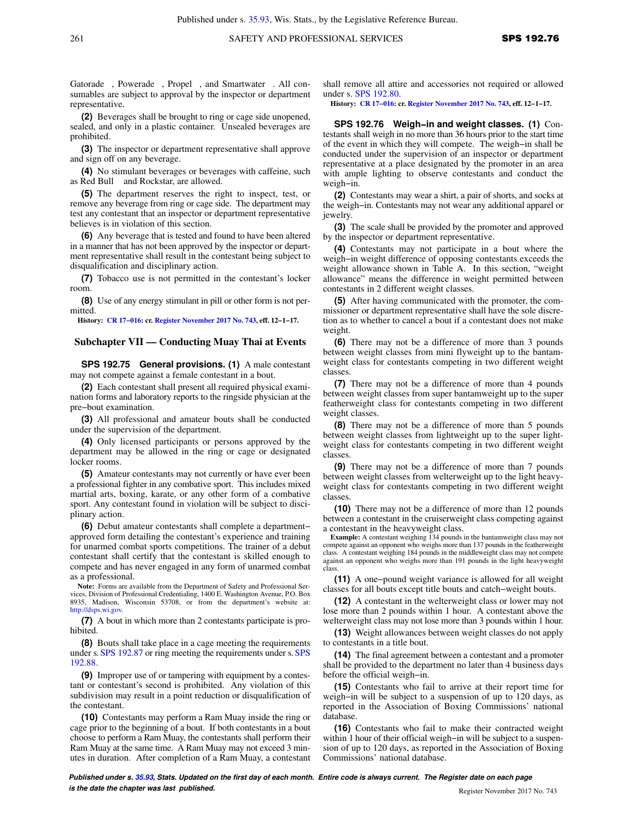Gatorade®, Powerade®, Propel®, and Smartwater®. All consumables are subject to approval by the inspector or department representative.

**(2)** Beverages shall be brought to ring or cage side unopened, sealed, and only in a plastic container. Unsealed beverages are prohibited.

**(3)** The inspector or department representative shall approve and sign off on any beverage.

**(4)** No stimulant beverages or beverages with caffeine, such as Red Bull<sup>®</sup> and Rockstar, are allowed.

**(5)** The department reserves the right to inspect, test, or remove any beverage from ring or cage side. The department may test any contestant that an inspector or department representative believes is in violation of this section.

**(6)** Any beverage that is tested and found to have been altered in a manner that has not been approved by the inspector or department representative shall result in the contestant being subject to disqualification and disciplinary action.

**(7)** Tobacco use is not permitted in the contestant's locker room.

**(8)** Use of any energy stimulant in pill or other form is not permitted.

**History: [CR 17−016](https://docs.legis.wisconsin.gov/document/cr/2017/16): cr. [Register November 2017 No. 743](https://docs.legis.wisconsin.gov/document/register/743/B/toc), eff. 12−1−17.**

### **Subchapter VII — Conducting Muay Thai at Events**

**SPS 192.75 General provisions. (1)** A male contestant may not compete against a female contestant in a bout.

**(2)** Each contestant shall present all required physical examination forms and laboratory reports to the ringside physician at the pre−bout examination.

**(3)** All professional and amateur bouts shall be conducted under the supervision of the department.

**(4)** Only licensed participants or persons approved by the department may be allowed in the ring or cage or designated locker rooms.

**(5)** Amateur contestants may not currently or have ever been a professional fighter in any combative sport. This includes mixed martial arts, boxing, karate, or any other form of a combative sport. Any contestant found in violation will be subject to disciplinary action.

**(6)** Debut amateur contestants shall complete a department− approved form detailing the contestant's experience and training for unarmed combat sports competitions. The trainer of a debut contestant shall certify that the contestant is skilled enough to compete and has never engaged in any form of unarmed combat as a professional.

**Note:** Forms are available from the Department of Safety and Professional Services, Division of Professional Credentialing, 1400 E. Washington Avenue, P.O. Box 8935, Madison, Wisconsin 53708, or from the department's website at: [http://dsps.wi.gov.](http://dsps.wi.gov)

**(7)** A bout in which more than 2 contestants participate is prohibited.

**(8)** Bouts shall take place in a cage meeting the requirements under s. [SPS 192.87](https://docs.legis.wisconsin.gov/document/administrativecode/SPS%20192.87) or ring meeting the requirements under s.[SPS](https://docs.legis.wisconsin.gov/document/administrativecode/SPS%20192.88) [192.88.](https://docs.legis.wisconsin.gov/document/administrativecode/SPS%20192.88)

**(9)** Improper use of or tampering with equipment by a contestant or contestant's second is prohibited. Any violation of this subdivision may result in a point reduction or disqualification of the contestant.

**(10)** Contestants may perform a Ram Muay inside the ring or cage prior to the beginning of a bout. If both contestants in a bout choose to perform a Ram Muay, the contestants shall perform their Ram Muay at the same time. A Ram Muay may not exceed 3 minutes in duration. After completion of a Ram Muay, a contestant

shall remove all attire and accessories not required or allowed under s. [SPS 192.80](https://docs.legis.wisconsin.gov/document/administrativecode/SPS%20192.80).

**History: [CR 17−016:](https://docs.legis.wisconsin.gov/document/cr/2017/16) cr. [Register November 2017 No. 743,](https://docs.legis.wisconsin.gov/document/register/743/B/toc) eff. 12−1−17.**

**SPS 192.76 Weigh−in and weight classes. (1)** Contestants shall weigh in no more than 36 hours prior to the start time of the event in which they will compete. The weigh−in shall be conducted under the supervision of an inspector or department representative at a place designated by the promoter in an area with ample lighting to observe contestants and conduct the weigh−in.

**(2)** Contestants may wear a shirt, a pair of shorts, and socks at the weigh−in. Contestants may not wear any additional apparel or jewelry.

**(3)** The scale shall be provided by the promoter and approved by the inspector or department representative.

**(4)** Contestants may not participate in a bout where the weigh−in weight difference of opposing contestants exceeds the weight allowance shown in Table A. In this section, "weight allowance" means the difference in weight permitted between contestants in 2 different weight classes.

**(5)** After having communicated with the promoter, the commissioner or department representative shall have the sole discretion as to whether to cancel a bout if a contestant does not make weight.

**(6)** There may not be a difference of more than 3 pounds between weight classes from mini flyweight up to the bantamweight class for contestants competing in two different weight classes.

**(7)** There may not be a difference of more than 4 pounds between weight classes from super bantamweight up to the super featherweight class for contestants competing in two different weight classes.

**(8)** There may not be a difference of more than 5 pounds between weight classes from lightweight up to the super lightweight class for contestants competing in two different weight classes.

**(9)** There may not be a difference of more than 7 pounds between weight classes from welterweight up to the light heavyweight class for contestants competing in two different weight classes.

**(10)** There may not be a difference of more than 12 pounds between a contestant in the cruiserweight class competing against a contestant in the heavyweight class.

**Example:** A contestant weighing 134 pounds in the bantamweight class may not compete against an opponent who weighs more than 137 pounds in the featherweight class. A contestant weighing 184 pounds in the middleweight class may not compete against an opponent who weighs more than 191 pounds in the light heavyweight class.

**(11)** A one−pound weight variance is allowed for all weight classes for all bouts except title bouts and catch−weight bouts.

**(12)** A contestant in the welterweight class or lower may not lose more than 2 pounds within 1 hour. A contestant above the welterweight class may not lose more than 3 pounds within 1 hour.

**(13)** Weight allowances between weight classes do not apply to contestants in a title bout.

**(14)** The final agreement between a contestant and a promoter shall be provided to the department no later than 4 business days before the official weigh−in.

**(15)** Contestants who fail to arrive at their report time for weigh−in will be subject to a suspension of up to 120 days, as reported in the Association of Boxing Commissions' national database.

**(16)** Contestants who fail to make their contracted weight within 1 hour of their official weigh−in will be subject to a suspension of up to 120 days, as reported in the Association of Boxing Commissions' national database.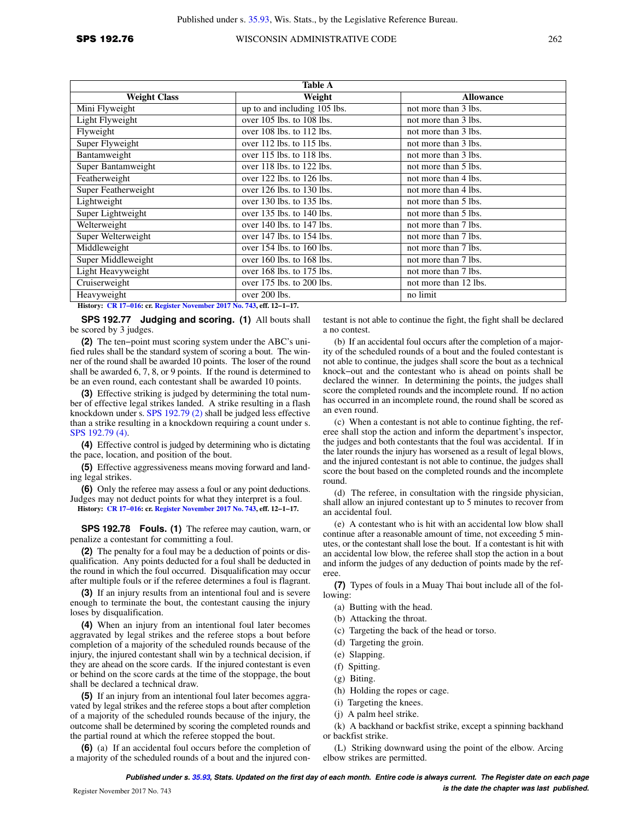| <b>Table A</b>                                                        |                               |                       |  |
|-----------------------------------------------------------------------|-------------------------------|-----------------------|--|
| <b>Weight Class</b>                                                   | Weight                        | <b>Allowance</b>      |  |
| Mini Flyweight                                                        | up to and including 105 lbs.  | not more than 3 lbs.  |  |
| Light Flyweight                                                       | over 105 lbs. to 108 lbs.     | not more than 3 lbs.  |  |
| Flyweight                                                             | over 108 lbs. to 112 lbs.     | not more than 3 lbs.  |  |
| Super Flyweight                                                       | over 112 lbs. to 115 lbs.     | not more than 3 lbs.  |  |
| Bantamweight                                                          | over 115 lbs. to 118 lbs.     | not more than 3 lbs.  |  |
| Super Bantamweight                                                    | over $118$ lbs. to $122$ lbs. | not more than 5 lbs.  |  |
| Featherweight                                                         | over 122 lbs. to 126 lbs.     | not more than 4 lbs.  |  |
| Super Featherweight                                                   | over 126 lbs. to 130 lbs.     | not more than 4 lbs.  |  |
| Lightweight                                                           | over 130 lbs. to 135 lbs.     | not more than 5 lbs.  |  |
| Super Lightweight                                                     | over 135 lbs. to 140 lbs.     | not more than 5 lbs.  |  |
| Welterweight                                                          | over 140 lbs. to 147 lbs.     | not more than 7 lbs.  |  |
| Super Welterweight                                                    | over 147 lbs. to 154 lbs.     | not more than 7 lbs.  |  |
| Middleweight                                                          | over $154$ lbs. to $160$ lbs. | not more than 7 lbs.  |  |
| Super Middleweight                                                    | over $160$ lbs. to $168$ lbs. | not more than 7 lbs.  |  |
| Light Heavyweight                                                     | over 168 lbs. to 175 lbs.     | not more than 7 lbs.  |  |
| Cruiserweight                                                         | over 175 lbs. to 200 lbs.     | not more than 12 lbs. |  |
| Heavyweight                                                           | over 200 lbs.                 | no limit              |  |
| History: CR 17-016; cr. Register November 2017 No. 743, eff. 12-1-17. |                               |                       |  |

**SPS 192.77 Judging and scoring. (1)** All bouts shall be scored by 3 judges.

**(2)** The ten−point must scoring system under the ABC's unified rules shall be the standard system of scoring a bout. The winner of the round shall be awarded 10 points. The loser of the round shall be awarded 6, 7, 8, or 9 points. If the round is determined to be an even round, each contestant shall be awarded 10 points.

**(3)** Effective striking is judged by determining the total number of effective legal strikes landed. A strike resulting in a flash knockdown under s. [SPS 192.79 \(2\)](https://docs.legis.wisconsin.gov/document/administrativecode/SPS%20192.79(2)) shall be judged less effective than a strike resulting in a knockdown requiring a count under s. [SPS 192.79 \(4\).](https://docs.legis.wisconsin.gov/document/administrativecode/SPS%20192.79(4))

**(4)** Effective control is judged by determining who is dictating the pace, location, and position of the bout.

**(5)** Effective aggressiveness means moving forward and landing legal strikes.

**(6)** Only the referee may assess a foul or any point deductions. Judges may not deduct points for what they interpret is a foul. **History: [CR 17−016](https://docs.legis.wisconsin.gov/document/cr/2017/16): cr. [Register November 2017 No. 743](https://docs.legis.wisconsin.gov/document/register/743/B/toc), eff. 12−1−17.**

**SPS 192.78 Fouls. (1)** The referee may caution, warn, or penalize a contestant for committing a foul.

**(2)** The penalty for a foul may be a deduction of points or disqualification. Any points deducted for a foul shall be deducted in the round in which the foul occurred. Disqualification may occur after multiple fouls or if the referee determines a foul is flagrant.

**(3)** If an injury results from an intentional foul and is severe enough to terminate the bout, the contestant causing the injury loses by disqualification.

**(4)** When an injury from an intentional foul later becomes aggravated by legal strikes and the referee stops a bout before completion of a majority of the scheduled rounds because of the injury, the injured contestant shall win by a technical decision, if they are ahead on the score cards. If the injured contestant is even or behind on the score cards at the time of the stoppage, the bout shall be declared a technical draw.

**(5)** If an injury from an intentional foul later becomes aggravated by legal strikes and the referee stops a bout after completion of a majority of the scheduled rounds because of the injury, the outcome shall be determined by scoring the completed rounds and the partial round at which the referee stopped the bout.

**(6)** (a) If an accidental foul occurs before the completion of a majority of the scheduled rounds of a bout and the injured contestant is not able to continue the fight, the fight shall be declared a no contest.

(b) If an accidental foul occurs after the completion of a majority of the scheduled rounds of a bout and the fouled contestant is not able to continue, the judges shall score the bout as a technical knock−out and the contestant who is ahead on points shall be declared the winner. In determining the points, the judges shall score the completed rounds and the incomplete round. If no action has occurred in an incomplete round, the round shall be scored as an even round.

(c) When a contestant is not able to continue fighting, the referee shall stop the action and inform the department's inspector, the judges and both contestants that the foul was accidental. If in the later rounds the injury has worsened as a result of legal blows, and the injured contestant is not able to continue, the judges shall score the bout based on the completed rounds and the incomplete round.

(d) The referee, in consultation with the ringside physician, shall allow an injured contestant up to 5 minutes to recover from an accidental foul.

(e) A contestant who is hit with an accidental low blow shall continue after a reasonable amount of time, not exceeding 5 minutes, or the contestant shall lose the bout. If a contestant is hit with an accidental low blow, the referee shall stop the action in a bout and inform the judges of any deduction of points made by the referee.

**(7)** Types of fouls in a Muay Thai bout include all of the following:

- (a) Butting with the head.
- (b) Attacking the throat.
- (c) Targeting the back of the head or torso.
- (d) Targeting the groin.
- (e) Slapping.
- (f) Spitting.
- (g) Biting.
- (h) Holding the ropes or cage.
- 
- (i) Targeting the knees.
- (j) A palm heel strike.

(k) A backhand or backfist strike, except a spinning backhand or backfist strike.

(L) Striking downward using the point of the elbow. Arcing elbow strikes are permitted.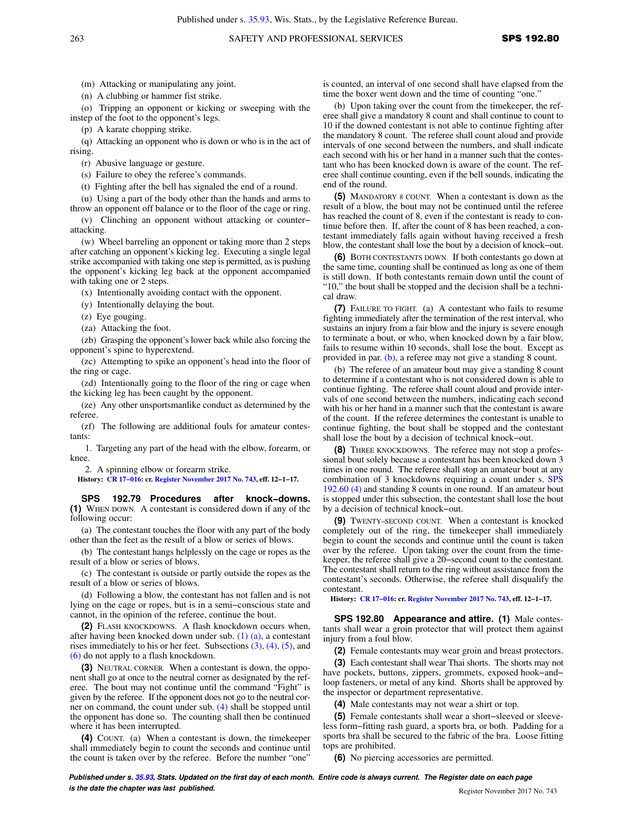(m) Attacking or manipulating any joint.

(n) A clubbing or hammer fist strike.

(o) Tripping an opponent or kicking or sweeping with the instep of the foot to the opponent's legs.

(p) A karate chopping strike.

(q) Attacking an opponent who is down or who is in the act of rising.

(r) Abusive language or gesture.

(s) Failure to obey the referee's commands.

(t) Fighting after the bell has signaled the end of a round.

(u) Using a part of the body other than the hands and arms to throw an opponent off balance or to the floor of the cage or ring.

(v) Clinching an opponent without attacking or counter− attacking.

(w) Wheel barreling an opponent or taking more than 2 steps after catching an opponent's kicking leg. Executing a single legal strike accompanied with taking one step is permitted, as is pushing the opponent's kicking leg back at the opponent accompanied with taking one or 2 steps.

(x) Intentionally avoiding contact with the opponent.

(y) Intentionally delaying the bout.

(z) Eye gouging.

(za) Attacking the foot.

(zb) Grasping the opponent's lower back while also forcing the opponent's spine to hyperextend.

(zc) Attempting to spike an opponent's head into the floor of the ring or cage.

(zd) Intentionally going to the floor of the ring or cage when the kicking leg has been caught by the opponent.

(ze) Any other unsportsmanlike conduct as determined by the referee.

(zf) The following are additional fouls for amateur contestants:

1. Targeting any part of the head with the elbow, forearm, or knee.

2. A spinning elbow or forearm strike.

**History: [CR 17−016](https://docs.legis.wisconsin.gov/document/cr/2017/16): cr. [Register November 2017 No. 743](https://docs.legis.wisconsin.gov/document/register/743/B/toc), eff. 12−1−17.**

**SPS 192.79 Procedures after knock−downs. (1)** WHEN DOWN. A contestant is considered down if any of the following occur:

(a) The contestant touches the floor with any part of the body other than the feet as the result of a blow or series of blows.

(b) The contestant hangs helplessly on the cage or ropes as the result of a blow or series of blows.

(c) The contestant is outside or partly outside the ropes as the result of a blow or series of blows.

(d) Following a blow, the contestant has not fallen and is not lying on the cage or ropes, but is in a semi−conscious state and cannot, in the opinion of the referee, continue the bout.

**(2)** FLASH KNOCKDOWNS. A flash knockdown occurs when, after having been knocked down under sub. [\(1\) \(a\)](https://docs.legis.wisconsin.gov/document/administrativecode/SPS%20192.79(1)(a)), a contestant rises immediately to his or her feet. Subsections  $(3)$ ,  $(4)$ ,  $(5)$ , and [\(6\)](https://docs.legis.wisconsin.gov/document/administrativecode/SPS%20192.79(6)) do not apply to a flash knockdown.

**(3)** NEUTRAL CORNER. When a contestant is down, the opponent shall go at once to the neutral corner as designated by the referee. The bout may not continue until the command "Fight" is given by the referee. If the opponent does not go to the neutral corner on command, the count under sub. [\(4\)](https://docs.legis.wisconsin.gov/document/administrativecode/SPS%20192.79(4)) shall be stopped until the opponent has done so. The counting shall then be continued where it has been interrupted.

**(4)** COUNT. (a) When a contestant is down, the timekeeper shall immediately begin to count the seconds and continue until the count is taken over by the referee. Before the number "one"

is counted, an interval of one second shall have elapsed from the time the boxer went down and the time of counting "one."

(b) Upon taking over the count from the timekeeper, the referee shall give a mandatory 8 count and shall continue to count to 10 if the downed contestant is not able to continue fighting after the mandatory 8 count. The referee shall count aloud and provide intervals of one second between the numbers, and shall indicate each second with his or her hand in a manner such that the contestant who has been knocked down is aware of the count. The referee shall continue counting, even if the bell sounds, indicating the end of the round.

**(5)** MANDATORY 8 COUNT. When a contestant is down as the result of a blow, the bout may not be continued until the referee has reached the count of 8, even if the contestant is ready to continue before then. If, after the count of 8 has been reached, a contestant immediately falls again without having received a fresh blow, the contestant shall lose the bout by a decision of knock−out.

**(6)** BOTH CONTESTANTS DOWN. If both contestants go down at the same time, counting shall be continued as long as one of them is still down. If both contestants remain down until the count of "10," the bout shall be stopped and the decision shall be a technical draw.

**(7)** FAILURE TO FIGHT. (a) A contestant who fails to resume fighting immediately after the termination of the rest interval, who sustains an injury from a fair blow and the injury is severe enough to terminate a bout, or who, when knocked down by a fair blow, fails to resume within 10 seconds, shall lose the bout. Except as provided in par. [\(b\),](https://docs.legis.wisconsin.gov/document/administrativecode/SPS%20192.79(7)(b)) a referee may not give a standing 8 count.

(b) The referee of an amateur bout may give a standing 8 count to determine if a contestant who is not considered down is able to continue fighting. The referee shall count aloud and provide intervals of one second between the numbers, indicating each second with his or her hand in a manner such that the contestant is aware of the count. If the referee determines the contestant is unable to continue fighting, the bout shall be stopped and the contestant shall lose the bout by a decision of technical knock−out.

**(8)** THREE KNOCKDOWNS. The referee may not stop a professional bout solely because a contestant has been knocked down 3 times in one round. The referee shall stop an amateur bout at any combination of 3 knockdowns requiring a count under s. [SPS](https://docs.legis.wisconsin.gov/document/administrativecode/SPS%20192.60(4)) [192.60 \(4\)](https://docs.legis.wisconsin.gov/document/administrativecode/SPS%20192.60(4)) and standing 8 counts in one round. If an amateur bout is stopped under this subsection, the contestant shall lose the bout by a decision of technical knock−out.

**(9)** TWENTY−SECOND COUNT. When a contestant is knocked completely out of the ring, the timekeeper shall immediately begin to count the seconds and continue until the count is taken over by the referee. Upon taking over the count from the timekeeper, the referee shall give a 20−second count to the contestant. The contestant shall return to the ring without assistance from the contestant's seconds. Otherwise, the referee shall disqualify the contestant.

**History: [CR 17−016:](https://docs.legis.wisconsin.gov/document/cr/2017/16) cr. [Register November 2017 No. 743,](https://docs.legis.wisconsin.gov/document/register/743/B/toc) eff. 12−1−17.**

**SPS 192.80 Appearance and attire. (1)** Male contestants shall wear a groin protector that will protect them against injury from a foul blow.

**(2)** Female contestants may wear groin and breast protectors.

**(3)** Each contestant shall wear Thai shorts. The shorts may not have pockets, buttons, zippers, grommets, exposed hook−and− loop fasteners, or metal of any kind. Shorts shall be approved by the inspector or department representative.

**(4)** Male contestants may not wear a shirt or top.

**(5)** Female contestants shall wear a short−sleeved or sleeveless form−fitting rash guard, a sports bra, or both. Padding for a sports bra shall be secured to the fabric of the bra. Loose fitting tops are prohibited.

**(6)** No piercing accessories are permitted.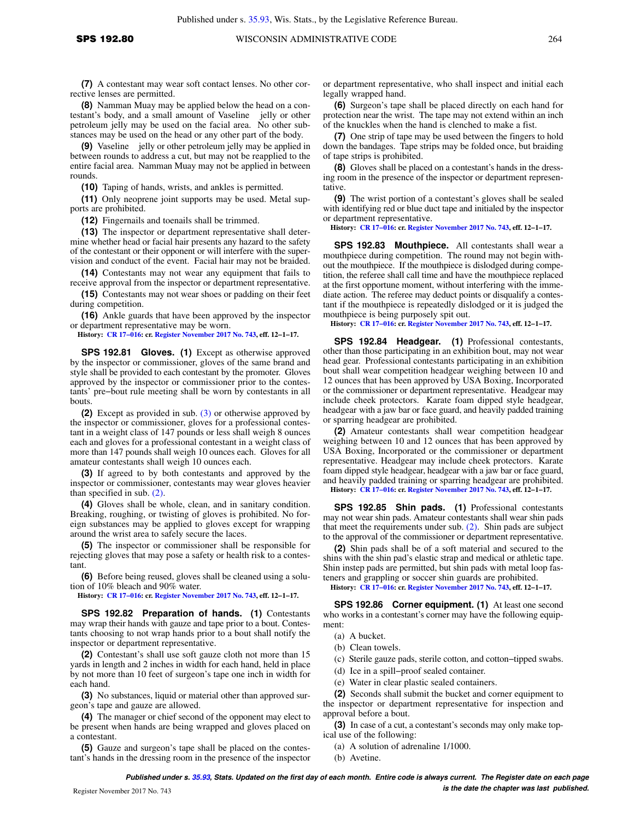**(8)** Namman Muay may be applied below the head on a contestant's body, and a small amount of Vaseline<sup>®</sup> jelly or other petroleum jelly may be used on the facial area. No other substances may be used on the head or any other part of the body.

**(9)** Vaseline **®** jelly or other petroleum jelly may be applied in between rounds to address a cut, but may not be reapplied to the entire facial area. Namman Muay may not be applied in between rounds.

**(10)** Taping of hands, wrists, and ankles is permitted.

**(11)** Only neoprene joint supports may be used. Metal supports are prohibited.

**(12)** Fingernails and toenails shall be trimmed.

**(13)** The inspector or department representative shall determine whether head or facial hair presents any hazard to the safety of the contestant or their opponent or will interfere with the supervision and conduct of the event. Facial hair may not be braided.

**(14)** Contestants may not wear any equipment that fails to receive approval from the inspector or department representative.

**(15)** Contestants may not wear shoes or padding on their feet during competition.

**(16)** Ankle guards that have been approved by the inspector or department representative may be worn.

**History: [CR 17−016](https://docs.legis.wisconsin.gov/document/cr/2017/16): cr. [Register November 2017 No. 743](https://docs.legis.wisconsin.gov/document/register/743/B/toc), eff. 12−1−17.**

**SPS 192.81 Gloves. (1)** Except as otherwise approved by the inspector or commissioner, gloves of the same brand and style shall be provided to each contestant by the promoter. Gloves approved by the inspector or commissioner prior to the contestants' pre−bout rule meeting shall be worn by contestants in all bouts.

**(2)** Except as provided in sub. [\(3\)](https://docs.legis.wisconsin.gov/document/administrativecode/SPS%20192.81(3)) or otherwise approved by the inspector or commissioner, gloves for a professional contestant in a weight class of 147 pounds or less shall weigh 8 ounces each and gloves for a professional contestant in a weight class of more than 147 pounds shall weigh 10 ounces each. Gloves for all amateur contestants shall weigh 10 ounces each.

**(3)** If agreed to by both contestants and approved by the inspector or commissioner, contestants may wear gloves heavier than specified in sub. [\(2\)](https://docs.legis.wisconsin.gov/document/administrativecode/SPS%20192.81(2)).

**(4)** Gloves shall be whole, clean, and in sanitary condition. Breaking, roughing, or twisting of gloves is prohibited. No foreign substances may be applied to gloves except for wrapping around the wrist area to safely secure the laces.

**(5)** The inspector or commissioner shall be responsible for rejecting gloves that may pose a safety or health risk to a contestant.

**(6)** Before being reused, gloves shall be cleaned using a solution of 10% bleach and 90% water.

**History: [CR 17−016](https://docs.legis.wisconsin.gov/document/cr/2017/16): cr. [Register November 2017 No. 743](https://docs.legis.wisconsin.gov/document/register/743/B/toc), eff. 12−1−17.**

**SPS 192.82 Preparation of hands. (1)** Contestants may wrap their hands with gauze and tape prior to a bout. Contestants choosing to not wrap hands prior to a bout shall notify the inspector or department representative.

**(2)** Contestant's shall use soft gauze cloth not more than 15 yards in length and 2 inches in width for each hand, held in place by not more than 10 feet of surgeon's tape one inch in width for each hand.

**(3)** No substances, liquid or material other than approved surgeon's tape and gauze are allowed.

**(4)** The manager or chief second of the opponent may elect to be present when hands are being wrapped and gloves placed on a contestant.

**(5)** Gauze and surgeon's tape shall be placed on the contestant's hands in the dressing room in the presence of the inspector or department representative, who shall inspect and initial each legally wrapped hand.

**(6)** Surgeon's tape shall be placed directly on each hand for protection near the wrist. The tape may not extend within an inch of the knuckles when the hand is clenched to make a fist.

**(7)** One strip of tape may be used between the fingers to hold down the bandages. Tape strips may be folded once, but braiding of tape strips is prohibited.

**(8)** Gloves shall be placed on a contestant's hands in the dressing room in the presence of the inspector or department representative.

**(9)** The wrist portion of a contestant's gloves shall be sealed with identifying red or blue duct tape and initialed by the inspector or department representative.

**History: [CR 17−016:](https://docs.legis.wisconsin.gov/document/cr/2017/16) cr. [Register November 2017 No. 743,](https://docs.legis.wisconsin.gov/document/register/743/B/toc) eff. 12−1−17.**

**SPS 192.83 Mouthpiece.** All contestants shall wear a mouthpiece during competition. The round may not begin without the mouthpiece. If the mouthpiece is dislodged during competition, the referee shall call time and have the mouthpiece replaced at the first opportune moment, without interfering with the immediate action. The referee may deduct points or disqualify a contestant if the mouthpiece is repeatedly dislodged or it is judged the mouthpiece is being purposely spit out.

**History: [CR 17−016:](https://docs.legis.wisconsin.gov/document/cr/2017/16) cr. [Register November 2017 No. 743,](https://docs.legis.wisconsin.gov/document/register/743/B/toc) eff. 12−1−17.**

**SPS 192.84 Headgear. (1)** Professional contestants, other than those participating in an exhibition bout, may not wear head gear. Professional contestants participating in an exhibition bout shall wear competition headgear weighing between 10 and 12 ounces that has been approved by USA Boxing, Incorporated or the commissioner or department representative. Headgear may include cheek protectors. Karate foam dipped style headgear, headgear with a jaw bar or face guard, and heavily padded training or sparring headgear are prohibited.

**(2)** Amateur contestants shall wear competition headgear weighing between 10 and 12 ounces that has been approved by USA Boxing, Incorporated or the commissioner or department representative. Headgear may include cheek protectors. Karate foam dipped style headgear, headgear with a jaw bar or face guard, and heavily padded training or sparring headgear are prohibited. **History: [CR 17−016:](https://docs.legis.wisconsin.gov/document/cr/2017/16) cr. [Register November 2017 No. 743,](https://docs.legis.wisconsin.gov/document/register/743/B/toc) eff. 12−1−17.**

**SPS 192.85 Shin pads. (1)** Professional contestants may not wear shin pads. Amateur contestants shall wear shin pads that meet the requirements under sub. [\(2\).](https://docs.legis.wisconsin.gov/document/administrativecode/SPS%20192.85(2)) Shin pads are subject to the approval of the commissioner or department representative.

**(2)** Shin pads shall be of a soft material and secured to the shins with the shin pad's elastic strap and medical or athletic tape. Shin instep pads are permitted, but shin pads with metal loop fasteners and grappling or soccer shin guards are prohibited.

**History: [CR 17−016:](https://docs.legis.wisconsin.gov/document/cr/2017/16) cr. [Register November 2017 No. 743,](https://docs.legis.wisconsin.gov/document/register/743/B/toc) eff. 12−1−17.**

**SPS 192.86 Corner equipment. (1)** At least one second who works in a contestant's corner may have the following equipment:

- (a) A bucket.
- (b) Clean towels.
- (c) Sterile gauze pads, sterile cotton, and cotton−tipped swabs.
- (d) Ice in a spill−proof sealed container.
- (e) Water in clear plastic sealed containers.

**(2)** Seconds shall submit the bucket and corner equipment to the inspector or department representative for inspection and approval before a bout.

**(3)** In case of a cut, a contestant's seconds may only make topical use of the following:

- (a) A solution of adrenaline 1/1000.
- (b) Avetine.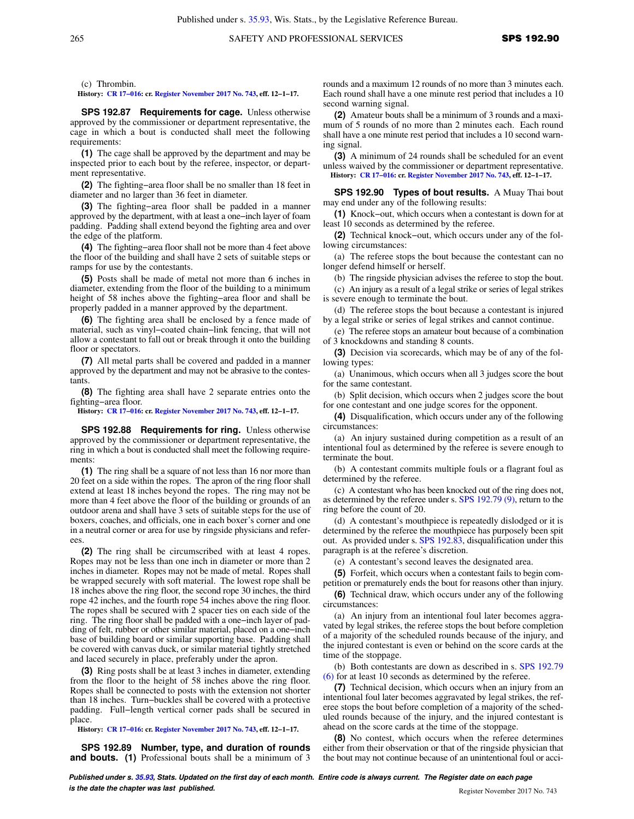(c) Thrombin.

**History: [CR 17−016](https://docs.legis.wisconsin.gov/document/cr/2017/16): cr. [Register November 2017 No. 743](https://docs.legis.wisconsin.gov/document/register/743/B/toc), eff. 12−1−17.**

**SPS 192.87 Requirements for cage.** Unless otherwise approved by the commissioner or department representative, the cage in which a bout is conducted shall meet the following requirements:

**(1)** The cage shall be approved by the department and may be inspected prior to each bout by the referee, inspector, or department representative.

**(2)** The fighting−area floor shall be no smaller than 18 feet in diameter and no larger than 36 feet in diameter.

**(3)** The fighting−area floor shall be padded in a manner approved by the department, with at least a one−inch layer of foam padding. Padding shall extend beyond the fighting area and over the edge of the platform.

**(4)** The fighting−area floor shall not be more than 4 feet above the floor of the building and shall have 2 sets of suitable steps or ramps for use by the contestants.

**(5)** Posts shall be made of metal not more than 6 inches in diameter, extending from the floor of the building to a minimum height of 58 inches above the fighting−area floor and shall be properly padded in a manner approved by the department.

**(6)** The fighting area shall be enclosed by a fence made of material, such as vinyl−coated chain−link fencing, that will not allow a contestant to fall out or break through it onto the building floor or spectators.

**(7)** All metal parts shall be covered and padded in a manner approved by the department and may not be abrasive to the contestants.

**(8)** The fighting area shall have 2 separate entries onto the fighting−area floor.

**History: [CR 17−016](https://docs.legis.wisconsin.gov/document/cr/2017/16): cr. [Register November 2017 No. 743](https://docs.legis.wisconsin.gov/document/register/743/B/toc), eff. 12−1−17.**

**SPS 192.88 Requirements for ring.** Unless otherwise approved by the commissioner or department representative, the ring in which a bout is conducted shall meet the following requirements:

**(1)** The ring shall be a square of not less than 16 nor more than 20 feet on a side within the ropes. The apron of the ring floor shall extend at least 18 inches beyond the ropes. The ring may not be more than 4 feet above the floor of the building or grounds of an outdoor arena and shall have 3 sets of suitable steps for the use of boxers, coaches, and officials, one in each boxer's corner and one in a neutral corner or area for use by ringside physicians and referees

**(2)** The ring shall be circumscribed with at least 4 ropes. Ropes may not be less than one inch in diameter or more than 2 inches in diameter. Ropes may not be made of metal. Ropes shall be wrapped securely with soft material. The lowest rope shall be 18 inches above the ring floor, the second rope 30 inches, the third rope 42 inches, and the fourth rope 54 inches above the ring floor. The ropes shall be secured with 2 spacer ties on each side of the ring. The ring floor shall be padded with a one−inch layer of padding of felt, rubber or other similar material, placed on a one−inch base of building board or similar supporting base. Padding shall be covered with canvas duck, or similar material tightly stretched and laced securely in place, preferably under the apron.

**(3)** Ring posts shall be at least 3 inches in diameter, extending from the floor to the height of 58 inches above the ring floor. Ropes shall be connected to posts with the extension not shorter than 18 inches. Turn−buckles shall be covered with a protective padding. Full−length vertical corner pads shall be secured in place.

**History: [CR 17−016](https://docs.legis.wisconsin.gov/document/cr/2017/16): cr. [Register November 2017 No. 743](https://docs.legis.wisconsin.gov/document/register/743/B/toc), eff. 12−1−17.**

**SPS 192.89 Number, type, and duration of rounds and bouts. (1)** Professional bouts shall be a minimum of 3

rounds and a maximum 12 rounds of no more than 3 minutes each. Each round shall have a one minute rest period that includes a 10 second warning signal.

**(2)** Amateur bouts shall be a minimum of 3 rounds and a maximum of 5 rounds of no more than 2 minutes each. Each round shall have a one minute rest period that includes a 10 second warning signal.

**(3)** A minimum of 24 rounds shall be scheduled for an event unless waived by the commissioner or department representative. **History: [CR 17−016:](https://docs.legis.wisconsin.gov/document/cr/2017/16) cr. [Register November 2017 No. 743,](https://docs.legis.wisconsin.gov/document/register/743/B/toc) eff. 12−1−17.**

**SPS 192.90 Types of bout results.** A Muay Thai bout may end under any of the following results:

**(1)** Knock−out, which occurs when a contestant is down for at least 10 seconds as determined by the referee.

**(2)** Technical knock−out, which occurs under any of the following circumstances:

(a) The referee stops the bout because the contestant can no longer defend himself or herself.

(b) The ringside physician advises the referee to stop the bout.

(c) An injury as a result of a legal strike or series of legal strikes is severe enough to terminate the bout.

(d) The referee stops the bout because a contestant is injured by a legal strike or series of legal strikes and cannot continue.

(e) The referee stops an amateur bout because of a combination of 3 knockdowns and standing 8 counts.

**(3)** Decision via scorecards, which may be of any of the following types:

(a) Unanimous, which occurs when all 3 judges score the bout for the same contestant.

(b) Split decision, which occurs when 2 judges score the bout for one contestant and one judge scores for the opponent.

**(4)** Disqualification, which occurs under any of the following circumstances:

(a) An injury sustained during competition as a result of an intentional foul as determined by the referee is severe enough to terminate the bout.

(b) A contestant commits multiple fouls or a flagrant foul as determined by the referee.

(c) A contestant who has been knocked out of the ring does not, as determined by the referee under s. [SPS 192.79 \(9\)](https://docs.legis.wisconsin.gov/document/administrativecode/SPS%20192.79(9)), return to the ring before the count of 20.

(d) A contestant's mouthpiece is repeatedly dislodged or it is determined by the referee the mouthpiece has purposely been spit out. As provided under s. [SPS 192.83,](https://docs.legis.wisconsin.gov/document/administrativecode/SPS%20192.83) disqualification under this paragraph is at the referee's discretion.

(e) A contestant's second leaves the designated area.

**(5)** Forfeit, which occurs when a contestant fails to begin com-

petition or prematurely ends the bout for reasons other than injury. **(6)** Technical draw, which occurs under any of the following

(a) An injury from an intentional foul later becomes aggravated by legal strikes, the referee stops the bout before completion of a majority of the scheduled rounds because of the injury, and the injured contestant is even or behind on the score cards at the time of the stoppage.

(b) Both contestants are down as described in s. [SPS 192.79](https://docs.legis.wisconsin.gov/document/administrativecode/SPS%20192.79(6)) [\(6\)](https://docs.legis.wisconsin.gov/document/administrativecode/SPS%20192.79(6)) for at least 10 seconds as determined by the referee.

**(7)** Technical decision, which occurs when an injury from an intentional foul later becomes aggravated by legal strikes, the referee stops the bout before completion of a majority of the scheduled rounds because of the injury, and the injured contestant is ahead on the score cards at the time of the stoppage.

**(8)** No contest, which occurs when the referee determines either from their observation or that of the ringside physician that the bout may not continue because of an unintentional foul or acci-

**Published under s. [35.93,](https://docs.legis.wisconsin.gov/document/statutes/35.93) Stats. Updated on the first day of each month. Entire code is always current. The Register date on each page is the date the chapter was last published. is the date the chapter was last published.** Register November 2017 No. 743

circumstances: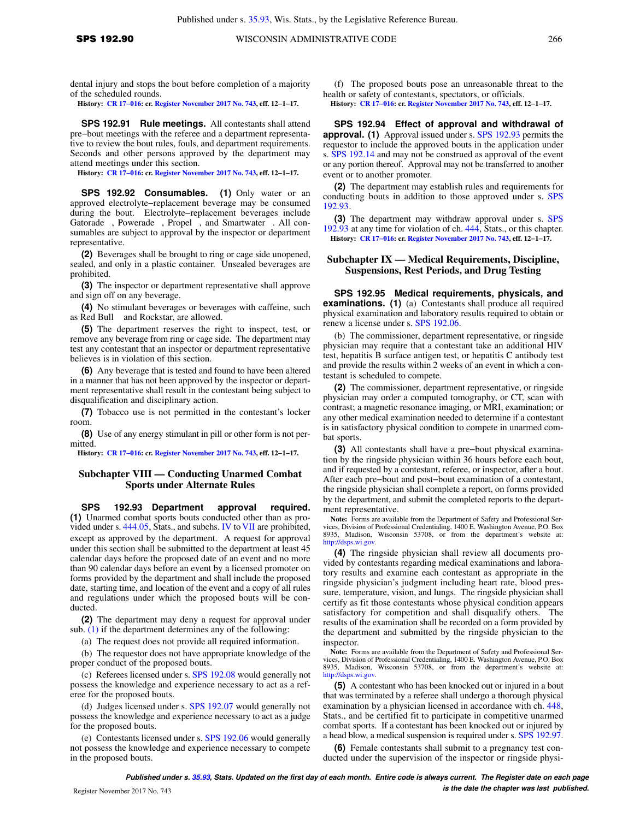**History: [CR 17−016](https://docs.legis.wisconsin.gov/document/cr/2017/16): cr. [Register November 2017 No. 743](https://docs.legis.wisconsin.gov/document/register/743/B/toc), eff. 12−1−17.**

**SPS 192.91 Rule meetings.** All contestants shall attend pre−bout meetings with the referee and a department representative to review the bout rules, fouls, and department requirements. Seconds and other persons approved by the department may attend meetings under this section.

**History: [CR 17−016](https://docs.legis.wisconsin.gov/document/cr/2017/16): cr. [Register November 2017 No. 743](https://docs.legis.wisconsin.gov/document/register/743/B/toc), eff. 12−1−17.**

**SPS 192.92 Consumables. (1)** Only water or an approved electrolyte−replacement beverage may be consumed during the bout. Electrolyte−replacement beverages include Gatorade®, Powerade®, Propel®, and Smartwater®. All consumables are subject to approval by the inspector or department representative.

**(2)** Beverages shall be brought to ring or cage side unopened, sealed, and only in a plastic container. Unsealed beverages are prohibited.

**(3)** The inspector or department representative shall approve and sign off on any beverage.

**(4)** No stimulant beverages or beverages with caffeine, such as Red Bull<sup>®</sup> and Rockstar, are allowed.

**(5)** The department reserves the right to inspect, test, or remove any beverage from ring or cage side. The department may test any contestant that an inspector or department representative believes is in violation of this section.

**(6)** Any beverage that is tested and found to have been altered in a manner that has not been approved by the inspector or department representative shall result in the contestant being subject to disqualification and disciplinary action.

**(7)** Tobacco use is not permitted in the contestant's locker room.

**(8)** Use of any energy stimulant in pill or other form is not permitted.

**History: [CR 17−016](https://docs.legis.wisconsin.gov/document/cr/2017/16): cr. [Register November 2017 No. 743](https://docs.legis.wisconsin.gov/document/register/743/B/toc), eff. 12−1−17.**

# **Subchapter VIII — Conducting Unarmed Combat Sports under Alternate Rules**

**SPS 192.93 Department approval required. (1)** Unarmed combat sports bouts conducted other than as pro-vided under s. [444.05,](https://docs.legis.wisconsin.gov/document/statutes/444.05) Stats., and subchs. [IV](https://docs.legis.wisconsin.gov/document/administrativecode/subch.%20IV%20of%20ch.%20SPS%20192) to [VII](https://docs.legis.wisconsin.gov/document/administrativecode/subch.%20VII%20of%20ch.%20SPS%20192) are prohibited, except as approved by the department. A request for approval under this section shall be submitted to the department at least 45 calendar days before the proposed date of an event and no more than 90 calendar days before an event by a licensed promoter on forms provided by the department and shall include the proposed date, starting time, and location of the event and a copy of all rules and regulations under which the proposed bouts will be conducted.

**(2)** The department may deny a request for approval under sub. [\(1\)](https://docs.legis.wisconsin.gov/document/administrativecode/SPS%20192.93(1)) if the department determines any of the following:

(a) The request does not provide all required information.

(b) The requestor does not have appropriate knowledge of the proper conduct of the proposed bouts.

(c) Referees licensed under s. [SPS 192.08](https://docs.legis.wisconsin.gov/document/administrativecode/SPS%20192.08) would generally not possess the knowledge and experience necessary to act as a referee for the proposed bouts.

(d) Judges licensed under s. [SPS 192.07](https://docs.legis.wisconsin.gov/document/administrativecode/SPS%20192.07) would generally not possess the knowledge and experience necessary to act as a judge for the proposed bouts.

(e) Contestants licensed under s. [SPS 192.06](https://docs.legis.wisconsin.gov/document/administrativecode/SPS%20192.06) would generally not possess the knowledge and experience necessary to compete in the proposed bouts.

(f) The proposed bouts pose an unreasonable threat to the health or safety of contestants, spectators, or officials.

**History: [CR 17−016:](https://docs.legis.wisconsin.gov/document/cr/2017/16) cr. [Register November 2017 No. 743,](https://docs.legis.wisconsin.gov/document/register/743/B/toc) eff. 12−1−17.**

**SPS 192.94 Effect of approval and withdrawal of approval. (1)** Approval issued under s. [SPS 192.93](https://docs.legis.wisconsin.gov/document/administrativecode/SPS%20192.93) permits the requestor to include the approved bouts in the application under s. [SPS 192.14](https://docs.legis.wisconsin.gov/document/administrativecode/SPS%20192.14) and may not be construed as approval of the event or any portion thereof. Approval may not be transferred to another event or to another promoter.

**(2)** The department may establish rules and requirements for conducting bouts in addition to those approved under s. [SPS](https://docs.legis.wisconsin.gov/document/administrativecode/SPS%20192.93) [192.93](https://docs.legis.wisconsin.gov/document/administrativecode/SPS%20192.93).

**(3)** The department may withdraw approval under s. [SPS](https://docs.legis.wisconsin.gov/document/administrativecode/SPS%20192.93) [192.93](https://docs.legis.wisconsin.gov/document/administrativecode/SPS%20192.93) at any time for violation of ch. [444](https://docs.legis.wisconsin.gov/document/statutes/ch.%20444), Stats., or this chapter. **History: [CR 17−016:](https://docs.legis.wisconsin.gov/document/cr/2017/16) cr. [Register November 2017 No. 743,](https://docs.legis.wisconsin.gov/document/register/743/B/toc) eff. 12−1−17.**

# **Subchapter IX — Medical Requirements, Discipline, Suspensions, Rest Periods, and Drug Testing**

**SPS 192.95 Medical requirements, physicals, and examinations. (1)** (a) Contestants shall produce all required physical examination and laboratory results required to obtain or renew a license under s. [SPS 192.06](https://docs.legis.wisconsin.gov/document/administrativecode/SPS%20192.06).

(b) The commissioner, department representative, or ringside physician may require that a contestant take an additional HIV test, hepatitis B surface antigen test, or hepatitis C antibody test and provide the results within 2 weeks of an event in which a contestant is scheduled to compete.

**(2)** The commissioner, department representative, or ringside physician may order a computed tomography, or CT, scan with contrast; a magnetic resonance imaging, or MRI, examination; or any other medical examination needed to determine if a contestant is in satisfactory physical condition to compete in unarmed combat sports.

**(3)** All contestants shall have a pre−bout physical examination by the ringside physician within 36 hours before each bout, and if requested by a contestant, referee, or inspector, after a bout. After each pre−bout and post−bout examination of a contestant, the ringside physician shall complete a report, on forms provided by the department, and submit the completed reports to the department representative.

**Note:** Forms are available from the Department of Safety and Professional Services, Division of Professional Credentialing, 1400 E. Washington Avenue, P.O. Box 8935, Madison, Wisconsin 53708, or from the department's website at: [http://dsps.wi.gov.](http://dsps.wi.gov)

**(4)** The ringside physician shall review all documents provided by contestants regarding medical examinations and laboratory results and examine each contestant as appropriate in the ringside physician's judgment including heart rate, blood pressure, temperature, vision, and lungs. The ringside physician shall certify as fit those contestants whose physical condition appears satisfactory for competition and shall disqualify others. The results of the examination shall be recorded on a form provided by the department and submitted by the ringside physician to the inspector.

**Note:** Forms are available from the Department of Safety and Professional Services, Division of Professional Credentialing, 1400 E. Washington Avenue, P.O. Box 8935, Madison, Wisconsin 53708, or from the department's website at: [http://dsps.wi.gov.](http://dsps.wi.gov)

**(5)** A contestant who has been knocked out or injured in a bout that was terminated by a referee shall undergo a thorough physical examination by a physician licensed in accordance with ch. [448,](https://docs.legis.wisconsin.gov/document/statutes/ch.%20448) Stats., and be certified fit to participate in competitive unarmed combat sports. If a contestant has been knocked out or injured by a head blow, a medical suspension is required under s. [SPS 192.97.](https://docs.legis.wisconsin.gov/document/administrativecode/SPS%20192.97)

**(6)** Female contestants shall submit to a pregnancy test conducted under the supervision of the inspector or ringside physi-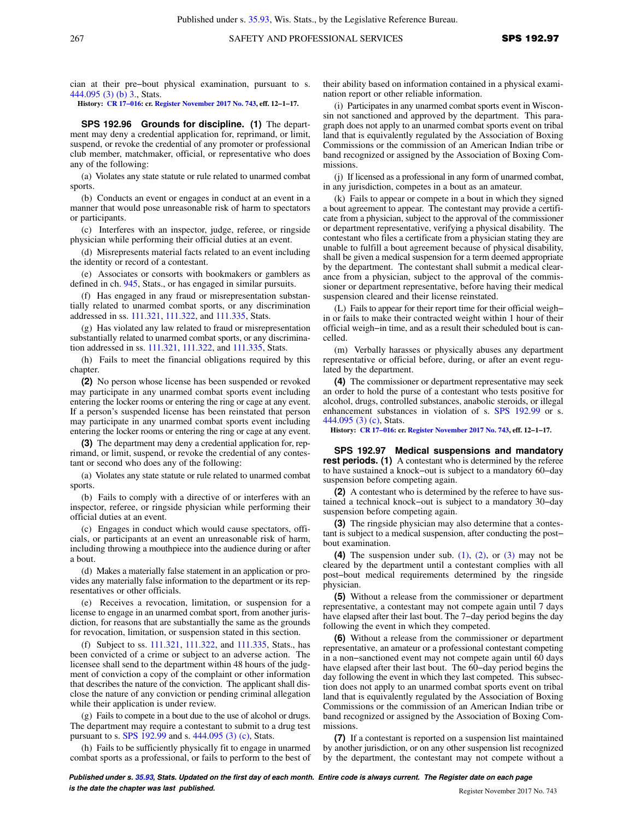cian at their pre−bout physical examination, pursuant to s. [444.095 \(3\) \(b\) 3.,](https://docs.legis.wisconsin.gov/document/statutes/444.095(3)(b)3.) Stats.

**History: [CR 17−016](https://docs.legis.wisconsin.gov/document/cr/2017/16): cr. [Register November 2017 No. 743](https://docs.legis.wisconsin.gov/document/register/743/B/toc), eff. 12−1−17.**

**SPS 192.96 Grounds for discipline. (1)** The department may deny a credential application for, reprimand, or limit, suspend, or revoke the credential of any promoter or professional club member, matchmaker, official, or representative who does any of the following:

(a) Violates any state statute or rule related to unarmed combat sports.

(b) Conducts an event or engages in conduct at an event in a manner that would pose unreasonable risk of harm to spectators or participants.

(c) Interferes with an inspector, judge, referee, or ringside physician while performing their official duties at an event.

(d) Misrepresents material facts related to an event including the identity or record of a contestant.

(e) Associates or consorts with bookmakers or gamblers as defined in ch. [945](https://docs.legis.wisconsin.gov/document/statutes/ch.%20945), Stats., or has engaged in similar pursuits.

(f) Has engaged in any fraud or misrepresentation substantially related to unarmed combat sports, or any discrimination addressed in ss. [111.321](https://docs.legis.wisconsin.gov/document/statutes/111.321), [111.322,](https://docs.legis.wisconsin.gov/document/statutes/111.322) and [111.335](https://docs.legis.wisconsin.gov/document/statutes/111.335), Stats.

(g) Has violated any law related to fraud or misrepresentation substantially related to unarmed combat sports, or any discrimination addressed in ss. [111.321,](https://docs.legis.wisconsin.gov/document/statutes/111.321) [111.322](https://docs.legis.wisconsin.gov/document/statutes/111.322), and [111.335,](https://docs.legis.wisconsin.gov/document/statutes/111.335) Stats.

(h) Fails to meet the financial obligations required by this chapter.

**(2)** No person whose license has been suspended or revoked may participate in any unarmed combat sports event including entering the locker rooms or entering the ring or cage at any event. If a person's suspended license has been reinstated that person may participate in any unarmed combat sports event including entering the locker rooms or entering the ring or cage at any event.

**(3)** The department may deny a credential application for, reprimand, or limit, suspend, or revoke the credential of any contestant or second who does any of the following:

(a) Violates any state statute or rule related to unarmed combat sports.

(b) Fails to comply with a directive of or interferes with an inspector, referee, or ringside physician while performing their official duties at an event.

(c) Engages in conduct which would cause spectators, officials, or participants at an event an unreasonable risk of harm, including throwing a mouthpiece into the audience during or after a bout.

(d) Makes a materially false statement in an application or provides any materially false information to the department or its representatives or other officials.

(e) Receives a revocation, limitation, or suspension for a license to engage in an unarmed combat sport, from another jurisdiction, for reasons that are substantially the same as the grounds for revocation, limitation, or suspension stated in this section.

(f) Subject to ss. [111.321,](https://docs.legis.wisconsin.gov/document/statutes/111.321) [111.322,](https://docs.legis.wisconsin.gov/document/statutes/111.322) and [111.335,](https://docs.legis.wisconsin.gov/document/statutes/111.335) Stats., has been convicted of a crime or subject to an adverse action. The licensee shall send to the department within 48 hours of the judgment of conviction a copy of the complaint or other information that describes the nature of the conviction. The applicant shall disclose the nature of any conviction or pending criminal allegation while their application is under review.

(g) Fails to compete in a bout due to the use of alcohol or drugs. The department may require a contestant to submit to a drug test pursuant to s. [SPS 192.99](https://docs.legis.wisconsin.gov/document/administrativecode/SPS%20192.99) and s. [444.095 \(3\) \(c\)](https://docs.legis.wisconsin.gov/document/statutes/444.095(3)(c)), Stats.

(h) Fails to be sufficiently physically fit to engage in unarmed combat sports as a professional, or fails to perform to the best of their ability based on information contained in a physical examination report or other reliable information.

(i) Participates in any unarmed combat sports event in Wisconsin not sanctioned and approved by the department. This paragraph does not apply to an unarmed combat sports event on tribal land that is equivalently regulated by the Association of Boxing Commissions or the commission of an American Indian tribe or band recognized or assigned by the Association of Boxing Commissions.

(j) If licensed as a professional in any form of unarmed combat, in any jurisdiction, competes in a bout as an amateur.

(k) Fails to appear or compete in a bout in which they signed a bout agreement to appear. The contestant may provide a certificate from a physician, subject to the approval of the commissioner or department representative, verifying a physical disability. The contestant who files a certificate from a physician stating they are unable to fulfill a bout agreement because of physical disability, shall be given a medical suspension for a term deemed appropriate by the department. The contestant shall submit a medical clearance from a physician, subject to the approval of the commissioner or department representative, before having their medical suspension cleared and their license reinstated.

(L) Fails to appear for their report time for their official weigh− in or fails to make their contracted weight within 1 hour of their official weigh−in time, and as a result their scheduled bout is cancelled.

(m) Verbally harasses or physically abuses any department representative or official before, during, or after an event regulated by the department.

**(4)** The commissioner or department representative may seek an order to hold the purse of a contestant who tests positive for alcohol, drugs, controlled substances, anabolic steroids, or illegal enhancement substances in violation of s. [SPS 192.99](https://docs.legis.wisconsin.gov/document/administrativecode/SPS%20192.99) or s. [444.095 \(3\) \(c\),](https://docs.legis.wisconsin.gov/document/statutes/444.095(3)(c)) Stats.

**History: [CR 17−016:](https://docs.legis.wisconsin.gov/document/cr/2017/16) cr. [Register November 2017 No. 743,](https://docs.legis.wisconsin.gov/document/register/743/B/toc) eff. 12−1−17.**

**SPS 192.97 Medical suspensions and mandatory rest periods.** (1) A contestant who is determined by the referee to have sustained a knock−out is subject to a mandatory 60−day suspension before competing again.

**(2)** A contestant who is determined by the referee to have sustained a technical knock−out is subject to a mandatory 30−day suspension before competing again.

**(3)** The ringside physician may also determine that a contestant is subject to a medical suspension, after conducting the post− bout examination.

**(4)** The suspension under sub. [\(1\)](https://docs.legis.wisconsin.gov/document/administrativecode/SPS%20192.97(1)), [\(2\),](https://docs.legis.wisconsin.gov/document/administrativecode/SPS%20192.97(2)) or [\(3\)](https://docs.legis.wisconsin.gov/document/administrativecode/SPS%20192.97(3)) may not be cleared by the department until a contestant complies with all post−bout medical requirements determined by the ringside physician.

**(5)** Without a release from the commissioner or department representative, a contestant may not compete again until 7 days have elapsed after their last bout. The 7−day period begins the day following the event in which they competed.

**(6)** Without a release from the commissioner or department representative, an amateur or a professional contestant competing in a non−sanctioned event may not compete again until 60 days have elapsed after their last bout. The 60−day period begins the day following the event in which they last competed. This subsection does not apply to an unarmed combat sports event on tribal land that is equivalently regulated by the Association of Boxing Commissions or the commission of an American Indian tribe or band recognized or assigned by the Association of Boxing Commissions.

**(7)** If a contestant is reported on a suspension list maintained by another jurisdiction, or on any other suspension list recognized by the department, the contestant may not compete without a